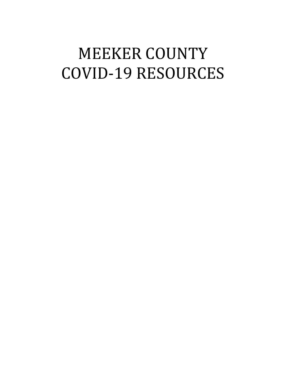# MEEKER COUNTY COVID-19 RESOURCES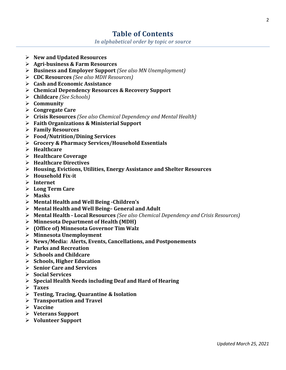# **Table of Contents**

*In alphabetical order by topic or source*

- **New and Updated Resources**
- **Agri-business & Farm Resources**
- **Business and Employer Support** *(See also MN Unemployment)*
- **CDC Resources** *(See also MDH Resources)*
- **Cash and Economic Assistance**
- **Chemical Dependency Resources & Recovery Support**
- **Childcare** *(See Schools)*
- **Community**
- **Congregate Care**
- **Crisis Resources** *(See also Chemical Dependency and Mental Health)*
- **Faith Organizations & Ministerial Support**
- **Family Resources**
- **Food/Nutrition/Dining Services**
- **Grocery & Pharmacy Services/Household Essentials**
- **Healthcare**
- **Healthcare Coverage**
- **Healthcare Directives**
- **Housing, Evictions, Utilities, Energy Assistance and Shelter Resources**
- **Household Fix-it**
- **Internet**
- **Long Term Care**
- **Masks**
- **Mental Health and Well Being -Children's**
- **Mental Health and Well Being– General and Adult**
- **Mental Health - Local Resources** *(See also Chemical Dependency and Crisis Resources)*
- **Minnesota Department of Health (MDH)**
- **(Office of) Minnesota Governor Tim Walz**
- **Minnesota Unemployment**
- **News/Media: Alerts, Events, Cancellations, and Postponements**
- **Parks and Recreation**
- **Schools and Childcare**
- **Schools, Higher Education**
- **Senior Care and Services**
- **Social Services**
- **Special Health Needs including Deaf and Hard of Hearing**
- **Taxes**
- **Testing, Tracing, Quarantine & Isolation**
- **Transportation and Travel**
- **Vaccine**
- **Veterans Support**
- **Volunteer Support**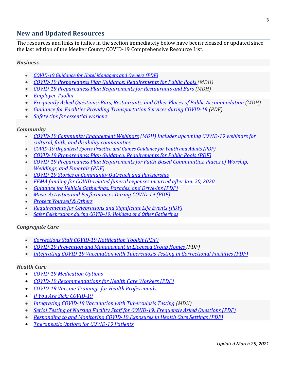## **New and Updated Resources**

The resources and links in italics in the section immediately below have been released or updated since the last edition of the Meeker County COVID-19 Comprehensive Resource List.

#### *Business*

- *[COVID-19 Guidance for Hotel Managers and Owners \(PDF\)](https://lnks.gd/l/eyJhbGciOiJIUzI1NiJ9.eyJidWxsZXRpbl9saW5rX2lkIjoxNTAsInVyaSI6ImJwMjpjbGljayIsImJ1bGxldGluX2lkIjoiMjAyMTAzMTcuMzcyMTI5MzEiLCJ1cmwiOiJodHRwczovL3d3dy5oZWFsdGguc3RhdGUubW4udXMvZGlzZWFzZXMvY29yb25hdmlydXMvbG9kZ2luZ2NsZWFuaW5nLnBkZiJ9.MWKOyBgahJPD7-kVLvrLE8wKUVotqmK6KIO6vmSNFZc/s/862318511/br/100276481084-l)*
- *[COVID-19 Preparedness Plan Guidance: Requirements for Public Pools \(](https://www.health.state.mn.us/diseases/coronavirus/poolreopen.pdf)MDH)*
- *[COVID-19 Preparedness Plan Requirements for Restaurants and Bars](https://www.health.state.mn.us/diseases/coronavirus/safedining.pdf) (MDH)*
- *[Employer Toolkit](https://mn.gov/covid19/vaccine/employer-toolkit/index.jsp)*
- *[Frequently Asked Questions: Bars, Restaurants, and Other Places of Public Accommodation \(](https://www.health.state.mn.us/diseases/coronavirus/hospitalityfaq.pdf)MDH)*
- *[Guidance for Facilities Providing Transportation Services during COVID-19 \(PDF\)](https://lnks.gd/l/eyJhbGciOiJIUzI1NiJ9.eyJidWxsZXRpbl9saW5rX2lkIjoxNDgsInVyaSI6ImJwMjpjbGljayIsImJ1bGxldGluX2lkIjoiMjAyMTAzMDMuMzYzMDE1NDEiLCJ1cmwiOiJodHRwczovL3d3dy5oZWFsdGguc3RhdGUubW4udXMvZGlzZWFzZXMvY29yb25hdmlydXMvZ3VpZGV0cmFuc3BvcnQucGRmIn0.r63yQhsYTMsmj_yWMsPy6-DqObjco3AH5DVRvNk9KAI/s/862318511/br/99384025154-l)*
- *[Safety tips for essential workers](https://lnks.gd/l/eyJhbGciOiJIUzI1NiJ9.eyJidWxsZXRpbl9saW5rX2lkIjoxMTcsInVyaSI6ImJwMjpjbGljayIsImJ1bGxldGluX2lkIjoiMjAyMTAzMjUuMzc3MTIwNDEiLCJ1cmwiOiJodHRwczovL3d3dy5oZWFsdGguc3RhdGUubW4udXMvZGlzZWFzZXMvY29yb25hdmlydXMvbWF0ZXJpYWxzL2luZGV4Lmh0bWwjdGlwcyJ9.7xUo5mqQdohPp_DNgkYmoUW6WPOSLqNT0r0aL9zxsJc/s/862318511/br/100675009280-l)*

#### *Community*

- *[COVID-19 Community Engagement Webinars](https://www.health.state.mn.us/diseases/coronavirus/materials/webinars.html) (MDH) Includes upcoming COVID-19 webinars for cultural, faith, and disability communities*
- *[COVID-19 Organized Sports Practice and Games Guidance for Youth and Adults \(PDF\)](https://lnks.gd/l/eyJhbGciOiJIUzI1NiJ9.eyJidWxsZXRpbl9saW5rX2lkIjoxNDIsInVyaSI6ImJwMjpjbGljayIsImJ1bGxldGluX2lkIjoiMjAyMTAzMTcuMzcyMTI5MzEiLCJ1cmwiOiJodHRwczovL3d3dy5oZWFsdGguc3RhdGUubW4udXMvZGlzZWFzZXMvY29yb25hdmlydXMvc3BvcnRzZ3VpZGUucGRmIn0.xo7PqV06YOuKEfAmrmnj5oNfjUL2Z3Bj2fzvY3C3Kxg/s/862318511/br/100276481084-l)*
- *[COVID-19 Preparedness Plan Guidance: Requirements for Public Pools \(PDF\)](https://lnks.gd/l/eyJhbGciOiJIUzI1NiJ9.eyJidWxsZXRpbl9saW5rX2lkIjoxNDMsInVyaSI6ImJwMjpjbGljayIsImJ1bGxldGluX2lkIjoiMjAyMTAzMTcuMzcyMTI5MzEiLCJ1cmwiOiJodHRwczovL3d3dy5oZWFsdGguc3RhdGUubW4udXMvZGlzZWFzZXMvY29yb25hdmlydXMvcG9vbHJlb3Blbi5wZGYifQ.RL_OpKup2Ekk6gROuAN3WRPp-ojGViuRaxsYD5DczRc/s/862318511/br/100276481084-l)*
- *[COVID-19 Preparedness Plan Requirements for Faith-Based Communities, Places of Worship,](https://lnks.gd/l/eyJhbGciOiJIUzI1NiJ9.eyJidWxsZXRpbl9saW5rX2lkIjoxNDcsInVyaSI6ImJwMjpjbGljayIsImJ1bGxldGluX2lkIjoiMjAyMTAzMTcuMzcyMTI5MzEiLCJ1cmwiOiJodHRwczovL3d3dy5oZWFsdGguc3RhdGUubW4udXMvZGlzZWFzZXMvY29yb25hdmlydXMvc2FmZWZhaXRoLnBkZiJ9.qJlvLkAADgL3901-e8XR-FafQvR2OGm42m8g92u52sk/s/862318511/br/100276481084-l)  [Weddings, and Funerals \(PDF\)](https://lnks.gd/l/eyJhbGciOiJIUzI1NiJ9.eyJidWxsZXRpbl9saW5rX2lkIjoxNDcsInVyaSI6ImJwMjpjbGljayIsImJ1bGxldGluX2lkIjoiMjAyMTAzMTcuMzcyMTI5MzEiLCJ1cmwiOiJodHRwczovL3d3dy5oZWFsdGguc3RhdGUubW4udXMvZGlzZWFzZXMvY29yb25hdmlydXMvc2FmZWZhaXRoLnBkZiJ9.qJlvLkAADgL3901-e8XR-FafQvR2OGm42m8g92u52sk/s/862318511/br/100276481084-l)*
- *[COVID-19 Stories of Community Outreach and Partnership](https://lnks.gd/l/eyJhbGciOiJIUzI1NiJ9.eyJidWxsZXRpbl9saW5rX2lkIjoxMjksInVyaSI6ImJwMjpjbGljayIsImJ1bGxldGluX2lkIjoiMjAyMTAzMTcuMzcyMTI5MzEiLCJ1cmwiOiJodHRwczovL3d3dy5oZWFsdGguc3RhdGUubW4udXMvZGlzZWFzZXMvY29yb25hdmlydXMvc3Rvcmllcy9pbmRleC5odG1sIn0.7B9Z2_KEscPRGb3Jh5FNb1z9_IJ_GZeFcmamXMEe9Dg/s/862318511/br/100276481084-l)*
- *FEMA funding for COVID-related funeral expenses incurred after Jan. 20, 2020*
- *[Guidance for Vehicle Gatherings, Parades, and Drive-ins \(PDF\)](https://lnks.gd/l/eyJhbGciOiJIUzI1NiJ9.eyJidWxsZXRpbl9saW5rX2lkIjoxNDUsInVyaSI6ImJwMjpjbGljayIsImJ1bGxldGluX2lkIjoiMjAyMTAzMTcuMzcyMTI5MzEiLCJ1cmwiOiJodHRwczovL3d3dy5oZWFsdGguc3RhdGUubW4udXMvZGlzZWFzZXMvY29yb25hdmlydXMvdmVoaWNsZWdhdGhlci5wZGYifQ.DyraRvwgRTajxACLapK_J6sjTxawQ8n9H5m9qYPia2I/s/862318511/br/100276481084-l)*
- *[Music Activities and Performances During](https://lnks.gd/l/eyJhbGciOiJIUzI1NiJ9.eyJidWxsZXRpbl9saW5rX2lkIjoxNDQsInVyaSI6ImJwMjpjbGljayIsImJ1bGxldGluX2lkIjoiMjAyMTAzMTcuMzcyMTI5MzEiLCJ1cmwiOiJodHRwczovL3d3dy5oZWFsdGguc3RhdGUubW4udXMvZGlzZWFzZXMvY29yb25hdmlydXMvbXVzaWNndWlkZS5wZGYifQ.t34vinkofaW0VBK8GeoKu1b48dKY90zzLCl8me5Vt1I/s/862318511/br/100276481084-l) COVID-19 (PDF)*
- *[Protect Yourself & Others](https://lnks.gd/l/eyJhbGciOiJIUzI1NiJ9.eyJidWxsZXRpbl9saW5rX2lkIjoxMjcsInVyaSI6ImJwMjpjbGljayIsImJ1bGxldGluX2lkIjoiMjAyMTAzMTcuMzcyMTI5MzEiLCJ1cmwiOiJodHRwczovL3d3dy5oZWFsdGguc3RhdGUubW4udXMvZGlzZWFzZXMvY29yb25hdmlydXMvcHJldmVudGlvbi5odG1sIn0.n4gZ9W4R5GzVHahbOvomrlmx5uitskjBlLHVFjjnXgg/s/862318511/br/100276481084-l)*
- *[Requirements for Celebrations and Significant Life Events \(PDF\)](https://lnks.gd/l/eyJhbGciOiJIUzI1NiJ9.eyJidWxsZXRpbl9saW5rX2lkIjoxNDYsInVyaSI6ImJwMjpjbGljayIsImJ1bGxldGluX2lkIjoiMjAyMTAzMTcuMzcyMTI5MzEiLCJ1cmwiOiJodHRwczovL3d3dy5oZWFsdGguc3RhdGUubW4udXMvZGlzZWFzZXMvY29yb25hdmlydXMvc2FmZWV2ZW50cy5wZGYifQ.xOpR12WetwWkjTx4zG3ZdxsyEMKdeW0z959R6syN7bw/s/862318511/br/100276481084-l)*
- *[Safer Celebrations during COVID-19: Holidays and Other Gatherings](https://lnks.gd/l/eyJhbGciOiJIUzI1NiJ9.eyJidWxsZXRpbl9saW5rX2lkIjoxNDAsInVyaSI6ImJwMjpjbGljayIsImJ1bGxldGluX2lkIjoiMjAyMTAzMTcuMzcyMTI5MzEiLCJ1cmwiOiJodHRwczovL3d3dy5oZWFsdGguc3RhdGUubW4udXMvZGlzZWFzZXMvY29yb25hdmlydXMvaG9saWRheXMuaHRtbCJ9.WGs3hlnMiEPTytCZuen8U86qGVY3DxuEOArmeqA1lnk/s/862318511/br/100276481084-l)*

#### *Congregate Care*

- *[Corrections Staff COVID-19 Notification Toolkit \(PDF\)](https://lnks.gd/l/eyJhbGciOiJIUzI1NiJ9.eyJidWxsZXRpbl9saW5rX2lkIjoxMjYsInVyaSI6ImJwMjpjbGljayIsImJ1bGxldGluX2lkIjoiMjAyMTAzMTcuMzcyMTI5MzEiLCJ1cmwiOiJodHRwczovL3d3dy5oZWFsdGguc3RhdGUubW4udXMvZGlzZWFzZXMvY29yb25hdmlydXMvamFpbHRvb2xraXQucGRmIn0.1_NDSuZIM5o213yR0IpHB829indrpwVV2czeyZXwOsI/s/862318511/br/100276481084-l)*
- *[COVID-19 Prevention and Management in Licensed Group Homes \(PDF\)](https://lnks.gd/l/eyJhbGciOiJIUzI1NiJ9.eyJidWxsZXRpbl9saW5rX2lkIjoxMjUsInVyaSI6ImJwMjpjbGljayIsImJ1bGxldGluX2lkIjoiMjAyMTAzMTAuMzY3NDkyMTEiLCJ1cmwiOiJodHRwczovL3d3dy5oZWFsdGguc3RhdGUubW4udXMvZGlzZWFzZXMvY29yb25hdmlydXMvZ3VpZGVnaC5wZGYifQ.f6NpfKwQraRz6JmWXORCAill56ghvdzpirU2s7Td780/s/862318511/br/99734707175-l)*
- *[Integrating COVID-19 Vaccination with Tuberculosis Testing in Correctional Facilities \(PDF\)](https://lnks.gd/l/eyJhbGciOiJIUzI1NiJ9.eyJidWxsZXRpbl9saW5rX2lkIjoxMjEsInVyaSI6ImJwMjpjbGljayIsImJ1bGxldGluX2lkIjoiMjAyMTAzMjUuMzc3MTIwNDEiLCJ1cmwiOiJodHRwczovL3d3dy5oZWFsdGguc3RhdGUubW4udXMvZGlzZWFzZXMvdGIvcnVsZXMvY3YxOXZheHRiY29yLnBkZiJ9._-eYH0nkA_YRyvbZnMe5P_8E--5BaK9-IlA-n2be5QI/s/862318511/br/100675009280-l)*

#### *Health Care*

- *[COVID-19 Medication Options](https://lnks.gd/l/eyJhbGciOiJIUzI1NiJ9.eyJidWxsZXRpbl9saW5rX2lkIjoxMjIsInVyaSI6ImJwMjpjbGljayIsImJ1bGxldGluX2lkIjoiMjAyMTAzMTAuMzY3NDkyMTEiLCJ1cmwiOiJodHRwczovL3d3dy5oZWFsdGguc3RhdGUubW4udXMvZGlzZWFzZXMvY29yb25hdmlydXMvbWVkcy5odG1sIn0.6gFeeo5xkadqVcAEKB9NhRwwAerqquFILJYTHpZ6FD4/s/862318511/br/99734707175-l)*
- *[COVID-19 Recommendations for Health Care Workers \(PDF\)](https://lnks.gd/l/eyJhbGciOiJIUzI1NiJ9.eyJidWxsZXRpbl9saW5rX2lkIjoxMzYsInVyaSI6ImJwMjpjbGljayIsImJ1bGxldGluX2lkIjoiMjAyMTAzMTcuMzcyMTI5MzEiLCJ1cmwiOiJodHRwczovL3d3dy5oZWFsdGguc3RhdGUubW4udXMvZGlzZWFzZXMvY29yb25hdmlydXMvaGNwL2hjd3JlY3MucGRmIn0.P4GORR3dvsZ0wTHzClimnOycKiWQwRYK6YJKT-jtiLM/s/862318511/br/100276481084-l)*
- *[COVID-19 Vaccine Trainings for Health Professionals](https://lnks.gd/l/eyJhbGciOiJIUzI1NiJ9.eyJidWxsZXRpbl9saW5rX2lkIjoxMjksInVyaSI6ImJwMjpjbGljayIsImJ1bGxldGluX2lkIjoiMjAyMTAzMjUuMzc3MTIwNDEiLCJ1cmwiOiJodHRwczovL3d3dy5oZWFsdGguc3RhdGUubW4udXMvZGlzZWFzZXMvY29yb25hdmlydXMvdmFjY2luZS90cmFpbmluZy5odG1sIn0.soZYRApjeh4Yl-EK1BpIBIfBQWiTfluDMprIBtbefpA/s/862318511/br/100675009280-l)*
- *[If You Are Sick: COVID-19](https://lnks.gd/l/eyJhbGciOiJIUzI1NiJ9.eyJidWxsZXRpbl9saW5rX2lkIjoxMjYsInVyaSI6ImJwMjpjbGljayIsImJ1bGxldGluX2lkIjoiMjAyMTAzMTAuMzY3NDkyMTEiLCJ1cmwiOiJodHRwczovL3d3dy5oZWFsdGguc3RhdGUubW4udXMvZGlzZWFzZXMvY29yb25hdmlydXMvc2ljay5odG1sIn0.x3JZw9c-gWZYiLi72i6xPuvfDOwVBSRMB10Sz36-zN0/s/862318511/br/99734707175-l)*
- *[Integrating COVID-19 Vaccination with Tuberculosis Testing](https://www.health.state.mn.us/diseases/tb/rules/cv19tb.pdf) (MDH)*
- *[Serial Testing of Nursing Facility Staff for COVID-19: Frequently Asked Questions \(PDF\)](https://lnks.gd/l/eyJhbGciOiJIUzI1NiJ9.eyJidWxsZXRpbl9saW5rX2lkIjoxMzksInVyaSI6ImJwMjpjbGljayIsImJ1bGxldGluX2lkIjoiMjAyMTAzMTcuMzcyMTI5MzEiLCJ1cmwiOiJodHRwczovL3d3dy5oZWFsdGguc3RhdGUubW4udXMvZGlzZWFzZXMvY29yb25hdmlydXMvaGNwL3NlcmlhbHRlc3RmYXEucGRmIn0.PThKbiLrIsSjyKUpta95FvtTsBXAGCuF7QaOQekjg6M/s/862318511/br/100276481084-l)*
- *[Responding to and Monitoring COVID-19 Exposures in Health Care Settings \(PDF\)](https://lnks.gd/l/eyJhbGciOiJIUzI1NiJ9.eyJidWxsZXRpbl9saW5rX2lkIjoxMzcsInVyaSI6ImJwMjpjbGljayIsImJ1bGxldGluX2lkIjoiMjAyMTAzMTcuMzcyMTI5MzEiLCJ1cmwiOiJodHRwczovL3d3dy5oZWFsdGguc3RhdGUubW4udXMvZGlzZWFzZXMvY29yb25hdmlydXMvaGNwL3Jlc3BvbnNlLnBkZiJ9.z-pJgibNXkq7SvM_zSeCr5jMInO98cHJ72dHB6m_o2s/s/862318511/br/100276481084-l)*
- *[Therapeutic Options for COVID-19 Patients](https://lnks.gd/l/eyJhbGciOiJIUzI1NiJ9.eyJidWxsZXRpbl9saW5rX2lkIjoxMzcsInVyaSI6ImJwMjpjbGljayIsImJ1bGxldGluX2lkIjoiMjAyMTAyMjQuMzU4ODQ2ODEiLCJ1cmwiOiJodHRwczovL3d3dy5oZWFsdGguc3RhdGUubW4udXMvZGlzZWFzZXMvY29yb25hdmlydXMvaGNwL3RoZXJhcGV1dGljLmh0bWwifQ.LZ_R9FXlHF_afhQJxBO4LYKvYUW-CAQcP7O1VOFxpuo/s/862318511/br/98303970767-l)*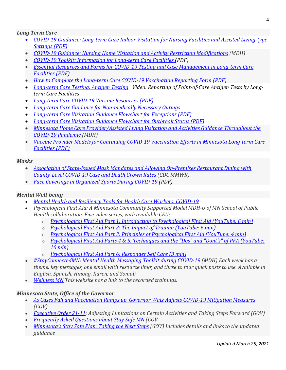#### *Long Term Care*

- *[COVID-19 Guidance: Long-term Care Indoor Visitation for Nursing Facilities and Assisted Living-type](https://lnks.gd/l/eyJhbGciOiJIUzI1NiJ9.eyJidWxsZXRpbl9saW5rX2lkIjoxMjMsInVyaSI6ImJwMjpjbGljayIsImJ1bGxldGluX2lkIjoiMjAyMTAzMTcuMzcyMTI5MzEiLCJ1cmwiOiJodHRwczovL3d3dy5oZWFsdGguc3RhdGUubW4udXMvZGlzZWFzZXMvY29yb25hdmlydXMvaGNwL2x0Y2luZG9vci5wZGYifQ.jA_lCUyJhaE31XqobTjKbopswgeq2wfcDXE-1R88kXc/s/862318511/br/100276481084-l)  [Settings \(PDF\)](https://lnks.gd/l/eyJhbGciOiJIUzI1NiJ9.eyJidWxsZXRpbl9saW5rX2lkIjoxMjMsInVyaSI6ImJwMjpjbGljayIsImJ1bGxldGluX2lkIjoiMjAyMTAzMTcuMzcyMTI5MzEiLCJ1cmwiOiJodHRwczovL3d3dy5oZWFsdGguc3RhdGUubW4udXMvZGlzZWFzZXMvY29yb25hdmlydXMvaGNwL2x0Y2luZG9vci5wZGYifQ.jA_lCUyJhaE31XqobTjKbopswgeq2wfcDXE-1R88kXc/s/862318511/br/100276481084-l)*
- *[COVID-19 Guidance: Nursing Home Visitation and Activity Restriction Modifications](https://www.health.state.mn.us/diseases/coronavirus/hcp/nhvisit.pdf) (MDH)*
- *[COVID-19 Toolkit: Information for Long-term Care Facilities \(PDF\)](https://lnks.gd/l/eyJhbGciOiJIUzI1NiJ9.eyJidWxsZXRpbl9saW5rX2lkIjoxMzksInVyaSI6ImJwMjpjbGljayIsImJ1bGxldGluX2lkIjoiMjAyMTAzMTAuMzY3NDkyMTEiLCJ1cmwiOiJodHRwczovL3d3dy5oZWFsdGguc3RhdGUubW4udXMvZGlzZWFzZXMvY29yb25hdmlydXMvaGNwL2x0Y3Rvb2xraXQucGRmIn0.SgnHWQ00UkJNSXrWwUcCtrdmgaWcX3CGMa4mhRKMvzU/s/862318511/br/99734707175-l)*
- *[Essential Resources and Forms for COVID-19 Testing and Case Management in Long-term Care](https://lnks.gd/l/eyJhbGciOiJIUzI1NiJ9.eyJidWxsZXRpbl9saW5rX2lkIjoxMzIsInVyaSI6ImJwMjpjbGljayIsImJ1bGxldGluX2lkIjoiMjAyMTAzMjUuMzc3MTIwNDEiLCJ1cmwiOiJodHRwczovL3d3dy5oZWFsdGguc3RhdGUubW4udXMvZGlzZWFzZXMvY29yb25hdmlydXMvaGNwL2x0Y2Zvcm1zZ3VpZGUucGRmIn0.91tS5DT1IJhpeo1AmBGL55ud01luqECCtB7ftrMqvBc/s/862318511/br/100675009280-l)  [Facilities \(PDF\)](https://lnks.gd/l/eyJhbGciOiJIUzI1NiJ9.eyJidWxsZXRpbl9saW5rX2lkIjoxMzIsInVyaSI6ImJwMjpjbGljayIsImJ1bGxldGluX2lkIjoiMjAyMTAzMjUuMzc3MTIwNDEiLCJ1cmwiOiJodHRwczovL3d3dy5oZWFsdGguc3RhdGUubW4udXMvZGlzZWFzZXMvY29yb25hdmlydXMvaGNwL2x0Y2Zvcm1zZ3VpZGUucGRmIn0.91tS5DT1IJhpeo1AmBGL55ud01luqECCtB7ftrMqvBc/s/862318511/br/100675009280-l)*
- *[How to Complete the Long-term Care COVID-19 Vaccination Reporting Form \(PDF\)](https://lnks.gd/l/eyJhbGciOiJIUzI1NiJ9.eyJidWxsZXRpbl9saW5rX2lkIjoxMzEsInVyaSI6ImJwMjpjbGljayIsImJ1bGxldGluX2lkIjoiMjAyMTAzMjUuMzc3MTIwNDEiLCJ1cmwiOiJodHRwczovL3d3dy5oZWFsdGguc3RhdGUubW4udXMvZGlzZWFzZXMvY29yb25hdmlydXMvaGNwL2x0Y3ZheHJlcG9ydC5wZGYifQ.d9-pW8x0cPQjLvVXsGQDJ35-X14vBEnfJEclO2bQv_w/s/862318511/br/100675009280-l)*
- *[Long-term Care Testing: Antigen Testing](https://lnks.gd/l/eyJhbGciOiJIUzI1NiJ9.eyJidWxsZXRpbl9saW5rX2lkIjoxMjAsInVyaSI6ImJwMjpjbGljayIsImJ1bGxldGluX2lkIjoiMjAyMTAzMjUuMzc3MTIwNDEiLCJ1cmwiOiJodHRwczovL3d3dy5oZWFsdGguc3RhdGUubW4udXMvZGlzZWFzZXMvY29yb25hdmlydXMvaGNwL2x0Y3Rlc3RpbmcuaHRtbCNhbnRpZ2VuIn0.1g4cqH4TfZsjOpl08B2XrMoQNxspo0u4dn1bnYAAj2k/s/862318511/br/100675009280-l) Video: Reporting of Point-of-Care Antigen Tests by Longterm Care Facilities*
- *[Long-term Care COVID-19 Vaccine Resources \(PDF\)](https://lnks.gd/l/eyJhbGciOiJIUzI1NiJ9.eyJidWxsZXRpbl9saW5rX2lkIjoxMTksInVyaSI6ImJwMjpjbGljayIsImJ1bGxldGluX2lkIjoiMjAyMTAzMjUuMzc3MTIwNDEiLCJ1cmwiOiJodHRwczovL3d3dy5oZWFsdGguc3RhdGUubW4udXMvZGlzZWFzZXMvY29yb25hdmlydXMvaGNwL2x0Y3ZheHJlcy5wZGYifQ.sFsIt279nTjwkr-53vxnE_VdV6LI8LVQC11ULhicVd4/s/862318511/br/100675009280-l)*
- *[Long-term Care Guidance for Non-medically Necessary Outings](https://lnks.gd/l/eyJhbGciOiJIUzI1NiJ9.eyJidWxsZXRpbl9saW5rX2lkIjoxMzgsInVyaSI6ImJwMjpjbGljayIsImJ1bGxldGluX2lkIjoiMjAyMTAzMTcuMzcyMTI5MzEiLCJ1cmwiOiJodHRwczovL3d3dy5oZWFsdGguc3RhdGUubW4udXMvZGlzZWFzZXMvY29yb25hdmlydXMvaGNwL2x0Y2VvZ3VpZGUuaHRtbCJ9.jDciaL7IUlCG3riYtN89l4LdNLIvDd98rJTJZbzV57A/s/862318511/br/100276481084-l)*
- *[Long-term Care Visitation Guidance Flowchart for Exceptions \(PDF\)](https://lnks.gd/l/eyJhbGciOiJIUzI1NiJ9.eyJidWxsZXRpbl9saW5rX2lkIjoxMjUsInVyaSI6ImJwMjpjbGljayIsImJ1bGxldGluX2lkIjoiMjAyMTAzMTcuMzcyMTI5MzEiLCJ1cmwiOiJodHRwczovL3d3dy5oZWFsdGguc3RhdGUubW4udXMvZGlzZWFzZXMvY29yb25hdmlydXMvaGNwL2x0Y2V4Y2VwdC5wZGYifQ.fLt2QLiBce0Pa1WSDoSY9kA8WTt6x4p8Hzqs7pkSSM8/s/862318511/br/100276481084-l)*
- *[Long-term Care Visitation Guidance Flowchart for Outbreak Status \(PDF\)](https://lnks.gd/l/eyJhbGciOiJIUzI1NiJ9.eyJidWxsZXRpbl9saW5rX2lkIjoxMjQsInVyaSI6ImJwMjpjbGljayIsImJ1bGxldGluX2lkIjoiMjAyMTAzMTcuMzcyMTI5MzEiLCJ1cmwiOiJodHRwczovL3d3dy5oZWFsdGguc3RhdGUubW4udXMvZGlzZWFzZXMvY29yb25hdmlydXMvaGNwL2x0Y291dGJyZWFrLnBkZiJ9.qjrnZn5CNDHy0o-7hQk2fMeMreUlIRNyIH5hff_jHXw/s/862318511/br/100276481084-l)*
- *[Minnesota Home Care Provider/Assisted Living Visitation and Activities Guidance Throughout the](https://www.health.state.mn.us/diseases/coronavirus/hcp/ltcvisit.pdf)  [COVID-19 Pandemic \(](https://www.health.state.mn.us/diseases/coronavirus/hcp/ltcvisit.pdf)MDH)*
- *[Vaccine Provider Models for Continuing COVID-19 Vaccination Efforts in Minnesota Long-term Care](https://lnks.gd/l/eyJhbGciOiJIUzI1NiJ9.eyJidWxsZXRpbl9saW5rX2lkIjoxMTgsInVyaSI6ImJwMjpjbGljayIsImJ1bGxldGluX2lkIjoiMjAyMTAzMjUuMzc3MTIwNDEiLCJ1cmwiOiJodHRwczovL3d3dy5oZWFsdGguc3RhdGUubW4udXMvZGlzZWFzZXMvY29yb25hdmlydXMvaGNwL2x0Y3ZheG1vZGVsLnBkZiJ9.wA_Xv1ufc6fZ--ljWpPhBoE3kIFyS9804N2IIFQzJpg/s/862318511/br/100675009280-l)  [Facilities \(PDF\)](https://lnks.gd/l/eyJhbGciOiJIUzI1NiJ9.eyJidWxsZXRpbl9saW5rX2lkIjoxMTgsInVyaSI6ImJwMjpjbGljayIsImJ1bGxldGluX2lkIjoiMjAyMTAzMjUuMzc3MTIwNDEiLCJ1cmwiOiJodHRwczovL3d3dy5oZWFsdGguc3RhdGUubW4udXMvZGlzZWFzZXMvY29yb25hdmlydXMvaGNwL2x0Y3ZheG1vZGVsLnBkZiJ9.wA_Xv1ufc6fZ--ljWpPhBoE3kIFyS9804N2IIFQzJpg/s/862318511/br/100675009280-l)*

#### *Masks*

- *[Association of State-Issued Mask Mandates and Allowing On-Premises Restaurant Dining with](https://www.cdc.gov/mmwr/volumes/70/wr/mm7010e3.htm?s_cid=mm7010e3_w)  [County-Level COVID-19 Case and Death Grown Rates](https://www.cdc.gov/mmwr/volumes/70/wr/mm7010e3.htm?s_cid=mm7010e3_w) (CDC MMWR)*
- *[Face Coverings in Organized Sports During COVID-19 \(PDF\)](https://lnks.gd/l/eyJhbGciOiJIUzI1NiJ9.eyJidWxsZXRpbl9saW5rX2lkIjoxMjAsInVyaSI6ImJwMjpjbGljayIsImJ1bGxldGluX2lkIjoiMjAyMTAzMDMuMzYzMDE1NDEiLCJ1cmwiOiJodHRwczovL3d3dy5oZWFsdGguc3RhdGUubW4udXMvZGlzZWFzZXMvY29yb25hdmlydXMvc3BvcnRzbWFzay5wZGYifQ.tmQMx-TIPp7xoHm_lVu6epr6C_7-n_OadCgsy4iRMSo/s/862318511/br/99384025154-l)*

#### *Mental Well-being*

- *[Mental Health and Resiliency Tools for Health Care Workers: COVID-19](https://lnks.gd/l/eyJhbGciOiJIUzI1NiJ9.eyJidWxsZXRpbl9saW5rX2lkIjoxNDAsInVyaSI6ImJwMjpjbGljayIsImJ1bGxldGluX2lkIjoiMjAyMTAzMTAuMzY3NDkyMTEiLCJ1cmwiOiJodHRwczovL3d3dy5oZWFsdGguc3RhdGUubW4udXMvZGlzZWFzZXMvY29yb25hdmlydXMvaGNwL21oLmh0bWwifQ.nOj6HZoVGRmFdZXN4kf6cd8Wv3ZAU4QbS4wCA163obg/s/862318511/br/99734707175-l)*
- *[Psychological First Aid: A Minnesota Community Supported Model MDH-U of MN School of Public](https://lnks.gd/l/eyJhbGciOiJIUzI1NiJ9.eyJidWxsZXRpbl9saW5rX2lkIjoxNDAsInVyaSI6ImJwMjpjbGljayIsImJ1bGxldGluX2lkIjoiMjAyMTAzMTAuMzY3NDkyMTEiLCJ1cmwiOiJodHRwczovL3d3dy5oZWFsdGguc3RhdGUubW4udXMvZGlzZWFzZXMvY29yb25hdmlydXMvaGNwL21oLmh0bWwifQ.nOj6HZoVGRmFdZXN4kf6cd8Wv3ZAU4QbS4wCA163obg/s/862318511/br/99734707175-l)  [Health collaboration. Five video series, with available CEUs.](https://lnks.gd/l/eyJhbGciOiJIUzI1NiJ9.eyJidWxsZXRpbl9saW5rX2lkIjoxNDAsInVyaSI6ImJwMjpjbGljayIsImJ1bGxldGluX2lkIjoiMjAyMTAzMTAuMzY3NDkyMTEiLCJ1cmwiOiJodHRwczovL3d3dy5oZWFsdGguc3RhdGUubW4udXMvZGlzZWFzZXMvY29yb25hdmlydXMvaGNwL21oLmh0bWwifQ.nOj6HZoVGRmFdZXN4kf6cd8Wv3ZAU4QbS4wCA163obg/s/862318511/br/99734707175-l)* 
	- o *[Psychological First Aid Part 1: Introduction to Psychological First Aid \(YouTube: 6 min\)](https://www.youtube.com/watch?v=uS_SvkbqxMo)*
	- o *[Psychological First Aid Part 2: The Impact of Trauma \(YouTube: 6 min\)](https://www.youtube.com/watch?v=16wuLVWd54Y)*
	- o *[Psychological First Aid Part 3: Principles of Psychological First Aid \(YouTube: 4 min\)](https://www.youtube.com/watch?v=4p9zBC6eChw)*
	- o *[Psychological First Aid Parts 4 & 5: Techniques and the "Dos" and "Dont's" of PFA \(YouTube:](https://www.youtube.com/watch?v=vOJ2KMHoj7A)  [10 min\)](https://www.youtube.com/watch?v=vOJ2KMHoj7A)*
	- o *[Psychological First Aid Part 6: Responder Self Care \(3 min\)](https://www.youtube.com/watch?v=9TyZYFjylrc)*
- *[#StayConnectedMN: Mental Health Messaging Toolkit during COVID-19](https://www.health.state.mn.us/communities/suicide/basics/stayconnectedmn.html) (MDH) Each week has a [theme, key messages, one email with resource links, and three to four quick posts to use. Available in](https://lnks.gd/l/eyJhbGciOiJIUzI1NiJ9.eyJidWxsZXRpbl9saW5rX2lkIjoxNDAsInVyaSI6ImJwMjpjbGljayIsImJ1bGxldGluX2lkIjoiMjAyMTAzMTAuMzY3NDkyMTEiLCJ1cmwiOiJodHRwczovL3d3dy5oZWFsdGguc3RhdGUubW4udXMvZGlzZWFzZXMvY29yb25hdmlydXMvaGNwL21oLmh0bWwifQ.nOj6HZoVGRmFdZXN4kf6cd8Wv3ZAU4QbS4wCA163obg/s/862318511/br/99734707175-l)  [English, Spanish, Hmong, Karen, and Somali.](https://lnks.gd/l/eyJhbGciOiJIUzI1NiJ9.eyJidWxsZXRpbl9saW5rX2lkIjoxNDAsInVyaSI6ImJwMjpjbGljayIsImJ1bGxldGluX2lkIjoiMjAyMTAzMTAuMzY3NDkyMTEiLCJ1cmwiOiJodHRwczovL3d3dy5oZWFsdGguc3RhdGUubW4udXMvZGlzZWFzZXMvY29yb25hdmlydXMvaGNwL21oLmh0bWwifQ.nOj6HZoVGRmFdZXN4kf6cd8Wv3ZAU4QbS4wCA163obg/s/862318511/br/99734707175-l)*
- *[Wellness MN](http://wellnessmn.org/) This website has a link to the recorded trainings.*

#### *Minnesota State, Office of the Governor*

- *[As Cases Fall and Vaccination Ramps up, Governor Walz Adjusts COVID-19 Mitigation Measures](https://mn.gov/governor/covid-19/news/#/detail/appId/1/id/471544) (GOV)*
- *[Executive Order 21-11:](https://mn.gov/governor/assets/EO%2021-11%20Final_tcm1055-471550.pdf) Adjusting Limitations on Certain Activities and Taking Steps Forward (GOV)*
- *[Frequently Asked Questions about Stay Safe MN](https://mn.gov/covid19/stay-safe/faq/index.jsp) (GOV*
- *[Minnesota's Stay Safe Plan: Taking the Next Steps](https://mn.gov/covid19/stay-safe/stay-safe-plan/index.jsp) (GOV) Includes details and links to the updated guidance*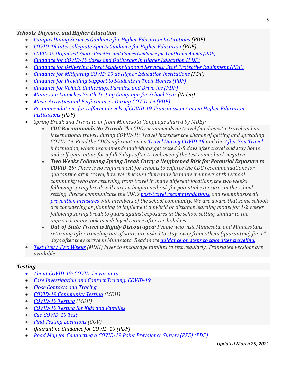#### *Schools, Daycare, and Higher Education*

- *[Campus Dining Services Guidance for Higher Education Institutions](https://lnks.gd/l/eyJhbGciOiJIUzI1NiJ9.eyJidWxsZXRpbl9saW5rX2lkIjoxNDcsInVyaSI6ImJwMjpjbGljayIsImJ1bGxldGluX2lkIjoiMjAyMTAzMDMuMzYzMDE1NDEiLCJ1cmwiOiJodHRwczovL3d3dy5oZWFsdGguc3RhdGUubW4udXMvZGlzZWFzZXMvY29yb25hdmlydXMvc2Nob29scy9paGVkaW5pbmcucGRmIn0.6dcMwBd7H7ZGl6nvDvnUhjj6yZ0a_1hJkz4szR_u4TI/s/862318511/br/99384025154-l) (PDF)*
- *COVID-19 Intercollegiate Sports Guidance for Higher Education (PDF)*
- *[COVID-19 Organized Sports Practice and Games Guidance for Youth and Adults \(PDF\)](https://lnks.gd/l/eyJhbGciOiJIUzI1NiJ9.eyJidWxsZXRpbl9saW5rX2lkIjoxNDIsInVyaSI6ImJwMjpjbGljayIsImJ1bGxldGluX2lkIjoiMjAyMTAzMTcuMzcyMTI5MzEiLCJ1cmwiOiJodHRwczovL3d3dy5oZWFsdGguc3RhdGUubW4udXMvZGlzZWFzZXMvY29yb25hdmlydXMvc3BvcnRzZ3VpZGUucGRmIn0.xo7PqV06YOuKEfAmrmnj5oNfjUL2Z3Bj2fzvY3C3Kxg/s/862318511/br/100276481084-l)*
- *[Guidance for COVID-19 Cases and Outbreaks in Higher Education \(PDF\)](https://lnks.gd/l/eyJhbGciOiJIUzI1NiJ9.eyJidWxsZXRpbl9saW5rX2lkIjoxNDIsInVyaSI6ImJwMjpjbGljayIsImJ1bGxldGluX2lkIjoiMjAyMTAzMjUuMzc3MTIwNDEiLCJ1cmwiOiJodHRwczovL3d3dy5oZWFsdGguc3RhdGUubW4udXMvZGlzZWFzZXMvY29yb25hdmlydXMvc2Nob29scy9paGVjYXNlcy5wZGYifQ.lOf6UdWFqfzJLmQWTOAhkUtMS_8Vyzho0tZhUkoUIJM/s/862318511/br/100675009280-l)*
- *[Guidance for Delivering Direct Student Support Services: Staff Protective Equipment \(PDF\)](https://lnks.gd/l/eyJhbGciOiJIUzI1NiJ9.eyJidWxsZXRpbl9saW5rX2lkIjoxMzcsInVyaSI6ImJwMjpjbGljayIsImJ1bGxldGluX2lkIjoiMjAyMTAzMjUuMzc3MTIwNDEiLCJ1cmwiOiJodHRwczovL3d3dy5oZWFsdGguc3RhdGUubW4udXMvZGlzZWFzZXMvY29yb25hdmlydXMvc2Nob29scy9kaXJlY3RzdXBwb3J0LnBkZiJ9.u9u_5LqUEvoTiIU2Icu1d8NlRsNbX_Ug8rynP2RjoX0/s/862318511/br/100675009280-l)*
- *[Guidance for Mitigating COVID-19 at Higher Education Institutions \(PDF\)](https://lnks.gd/l/eyJhbGciOiJIUzI1NiJ9.eyJidWxsZXRpbl9saW5rX2lkIjoxNDAsInVyaSI6ImJwMjpjbGljayIsImJ1bGxldGluX2lkIjoiMjAyMTAzMDMuMzYzMDE1NDEiLCJ1cmwiOiJodHRwczovL3d3dy5oZWFsdGguc3RhdGUubW4udXMvZGlzZWFzZXMvY29yb25hdmlydXMvc2Nob29scy9ndWlkZWloZS5wZGYifQ.uMWa7SUxNbTa4n8ZQtM-q_DilHoqzWcoX6FFUJylIyo/s/862318511/br/99384025154-l)*
- *[Guidance for Providing Support to Students in Their Homes \(PDF\)](https://lnks.gd/l/eyJhbGciOiJIUzI1NiJ9.eyJidWxsZXRpbl9saW5rX2lkIjoxMzgsInVyaSI6ImJwMjpjbGljayIsImJ1bGxldGluX2lkIjoiMjAyMTAzMjUuMzc3MTIwNDEiLCJ1cmwiOiJodHRwczovL3d3dy5oZWFsdGguc3RhdGUubW4udXMvZGlzZWFzZXMvY29yb25hdmlydXMvc2Nob29scy9ob21ldmlzaXQucGRmIn0.X1XncCzh7PNMj1Zxn-e0KYlOvq2gPCEsqQ0mO9xBcPA/s/862318511/br/100675009280-l)*
- *[Guidance for Vehicle Gatherings, Parades, and Drive-ins \(PDF\)](https://lnks.gd/l/eyJhbGciOiJIUzI1NiJ9.eyJidWxsZXRpbl9saW5rX2lkIjoxNDUsInVyaSI6ImJwMjpjbGljayIsImJ1bGxldGluX2lkIjoiMjAyMTAzMTcuMzcyMTI5MzEiLCJ1cmwiOiJodHRwczovL3d3dy5oZWFsdGguc3RhdGUubW4udXMvZGlzZWFzZXMvY29yb25hdmlydXMvdmVoaWNsZWdhdGhlci5wZGYifQ.DyraRvwgRTajxACLapK_J6sjTxawQ8n9H5m9qYPia2I/s/862318511/br/100276481084-l)*
- *[Minnesota Launches Youth Testing Campaign for School Year](https://lnks.gd/l/eyJhbGciOiJIUzI1NiJ9.eyJidWxsZXRpbl9saW5rX2lkIjoxMzAsInVyaSI6ImJwMjpjbGljayIsImJ1bGxldGluX2lkIjoiMjAyMTAzMTAuMzY3NDkyMTEiLCJ1cmwiOiJodHRwczovL3d3dy5oZWFsdGguc3RhdGUubW4udXMvZGlzZWFzZXMvY29yb25hdmlydXMvbWF0ZXJpYWxzL3ZpZGVvcy5odG1sI3NjaG9vbCJ9.g2iGFfYLoMLh-wADlj-HuD3nTE7veuLxfS1JZNGCM2k/s/862318511/br/99734707175-l) (Video)*
- *[Music Activities and Performances During COVID-19 \(PDF\)](https://lnks.gd/l/eyJhbGciOiJIUzI1NiJ9.eyJidWxsZXRpbl9saW5rX2lkIjoxNDQsInVyaSI6ImJwMjpjbGljayIsImJ1bGxldGluX2lkIjoiMjAyMTAzMTcuMzcyMTI5MzEiLCJ1cmwiOiJodHRwczovL3d3dy5oZWFsdGguc3RhdGUubW4udXMvZGlzZWFzZXMvY29yb25hdmlydXMvbXVzaWNndWlkZS5wZGYifQ.t34vinkofaW0VBK8GeoKu1b48dKY90zzLCl8me5Vt1I/s/862318511/br/100276481084-l)*
- *[Recommendations for Different Levels of COVID-19 Transmission Among Higher Education](https://lnks.gd/l/eyJhbGciOiJIUzI1NiJ9.eyJidWxsZXRpbl9saW5rX2lkIjoxNDEsInVyaSI6ImJwMjpjbGljayIsImJ1bGxldGluX2lkIjoiMjAyMTAzMDMuMzYzMDE1NDEiLCJ1cmwiOiJodHRwczovL3d3dy5oZWFsdGguc3RhdGUubW4udXMvZGlzZWFzZXMvY29yb25hdmlydXMvc2Nob29scy9paGVyZWNzLnBkZiJ9.kE3WAZ4uwNTTayK8eqCFdP4Tol07yD9e0297r6oGvpk/s/862318511/br/99384025154-l)  [Institutions \(PDF\)](https://lnks.gd/l/eyJhbGciOiJIUzI1NiJ9.eyJidWxsZXRpbl9saW5rX2lkIjoxNDEsInVyaSI6ImJwMjpjbGljayIsImJ1bGxldGluX2lkIjoiMjAyMTAzMDMuMzYzMDE1NDEiLCJ1cmwiOiJodHRwczovL3d3dy5oZWFsdGguc3RhdGUubW4udXMvZGlzZWFzZXMvY29yb25hdmlydXMvc2Nob29scy9paGVyZWNzLnBkZiJ9.kE3WAZ4uwNTTayK8eqCFdP4Tol07yD9e0297r6oGvpk/s/862318511/br/99384025154-l)*
- *[Spring Break and Travel to or from Minnesota \(language shared by MDE\):](https://www.health.state.mn.us/diseases/coronavirus/schools/test2weeks.pdf)*
	- *CDC Recommends No Travel: [The CDC recommends no travel \(no domestic travel and no](https://www.health.state.mn.us/diseases/coronavirus/schools/test2weeks.pdf)  [international travel\) during COVID-19. Travel increases the chance of getting and spreading](https://www.health.state.mn.us/diseases/coronavirus/schools/test2weeks.pdf)  [COVID-19. Read the CDC's information on Travel During COVID-19](https://www.health.state.mn.us/diseases/coronavirus/schools/test2weeks.pdf) and the [After You Travel](https://www.cdc.gov/coronavirus/2019-ncov/travelers/after-travel-precautions.html) [information, which recommends individuals get tested 3-5 days after travel and stay home](https://www.health.state.mn.us/diseases/coronavirus/schools/test2weeks.pdf)  [and self-quarantine for a full 7 days after travel, even if the test comes back negative.](https://www.health.state.mn.us/diseases/coronavirus/schools/test2weeks.pdf)*
	- *[Two Weeks Following Spring Break Carry a Heightened Risk for Potential Exposure to](https://www.health.state.mn.us/diseases/coronavirus/schools/test2weeks.pdf)  COVID-19: [There is no requirement for schools to enforce the CDC recommendations for](https://www.health.state.mn.us/diseases/coronavirus/schools/test2weeks.pdf)  [quarantine after travel, however because there may be many members of the school](https://www.health.state.mn.us/diseases/coronavirus/schools/test2weeks.pdf)  [community who are returning from travel in many different locations, the two weeks](https://www.health.state.mn.us/diseases/coronavirus/schools/test2weeks.pdf)  [following spring break will carry a heightened risk for potential exposures in the school](https://www.health.state.mn.us/diseases/coronavirus/schools/test2weeks.pdf)  [setting. Please communicate the CDC's post-travel recommendations,](https://www.health.state.mn.us/diseases/coronavirus/schools/test2weeks.pdf) and reemphasize all [prevention measures](https://www.health.state.mn.us/diseases/coronavirus/prevention.html#slow) with members of the school community. We are aware that some schools [are considering or planning to implement a hybrid or distance learning model for 1-2 weeks](https://www.health.state.mn.us/diseases/coronavirus/schools/test2weeks.pdf)  [following spring break to guard against exposures in the school setting, similar to the](https://www.health.state.mn.us/diseases/coronavirus/schools/test2weeks.pdf)  [approach many took in a delayed return after the holidays.](https://www.health.state.mn.us/diseases/coronavirus/schools/test2weeks.pdf)*
	- *Out-of-State Travel is Highly Discouraged: [People who visit Minnesota, and Minnesotans](https://www.health.state.mn.us/diseases/coronavirus/schools/test2weeks.pdf)  [returning after traveling out of state, are asked to stay away from others \(quarantine\) for 14](https://www.health.state.mn.us/diseases/coronavirus/schools/test2weeks.pdf)  [days after they arrive in Minnesota. Read more guidance on steps to take after traveling.](https://www.health.state.mn.us/diseases/coronavirus/schools/test2weeks.pdf)*
- *[Test Every Two Weeks](https://www.health.state.mn.us/diseases/coronavirus/schools/test2weeks.pdf) (MDH) Flyer to encourage families to test regularly. Translated versions are available.*

#### *Testing*

- *[About COVID-19: COVID-19 variants](https://lnks.gd/l/eyJhbGciOiJIUzI1NiJ9.eyJidWxsZXRpbl9saW5rX2lkIjoxMjIsInVyaSI6ImJwMjpjbGljayIsImJ1bGxldGluX2lkIjoiMjAyMTAzMjUuMzc3MTIwNDEiLCJ1cmwiOiJodHRwczovL3d3dy5oZWFsdGguc3RhdGUubW4udXMvZGlzZWFzZXMvY29yb25hdmlydXMvYmFzaWNzLmh0bWwjdmFyaWFudHMifQ.JeMoVXdLgLMm5kWbE7WANNij-rcwdnU7qytac7aQgDg/s/862318511/br/100675009280-l)*
- *[Case Investigation and Contact Tracing: COVID-19](https://lnks.gd/l/eyJhbGciOiJIUzI1NiJ9.eyJidWxsZXRpbl9saW5rX2lkIjoxMjIsInVyaSI6ImJwMjpjbGljayIsImJ1bGxldGluX2lkIjoiMjAyMTAzMjUuMzc3MTIwNDEiLCJ1cmwiOiJodHRwczovL3d3dy5oZWFsdGguc3RhdGUubW4udXMvZGlzZWFzZXMvY29yb25hdmlydXMvYmFzaWNzLmh0bWwjdmFyaWFudHMifQ.JeMoVXdLgLMm5kWbE7WANNij-rcwdnU7qytac7aQgDg/s/862318511/br/100675009280-l)*
- *[Close Contacts and Tracing](https://lnks.gd/l/eyJhbGciOiJIUzI1NiJ9.eyJidWxsZXRpbl9saW5rX2lkIjoxMTgsInVyaSI6ImJwMjpjbGljayIsImJ1bGxldGluX2lkIjoiMjAyMTAyMTguMzU0OTA5ODEiLCJ1cmwiOiJodHRwczovL3d3dy5oZWFsdGguc3RhdGUubW4udXMvZGlzZWFzZXMvY29yb25hdmlydXMvY2xvc2UuaHRtbCJ9.P-zktPzXGEfqftfqc23jiXSqXJ36EQ_14uun4Zn2bys/s/862318511/br/97838333105-l)*
- *[COVID-19 Community Testing](https://www.health.state.mn.us/diseases/coronavirus/testsites/community.html) (MDH)*
- *[COVID-19 Testing](https://www.health.state.mn.us/diseases/coronavirus/testsites/community.html) (MDH)*
- *[COVID-19 Testing for Kids and Families](https://lnks.gd/l/eyJhbGciOiJIUzI1NiJ9.eyJidWxsZXRpbl9saW5rX2lkIjoxMjgsInVyaSI6ImJwMjpjbGljayIsImJ1bGxldGluX2lkIjoiMjAyMTAzMTcuMzcyMTI5MzEiLCJ1cmwiOiJodHRwczovL3d3dy5oZWFsdGguc3RhdGUubW4udXMvZGlzZWFzZXMvY29yb25hdmlydXMvc2Nob29scy90ZXN0aW5nLmh0bWwifQ.I-77mdd0YxzdEiTje4UsSlt22My38hJWEBw_Q6qhmcU/s/862318511/br/100276481084-l)*
- *[Cue COVID-19 Test](https://lnks.gd/l/eyJhbGciOiJIUzI1NiJ9.eyJidWxsZXRpbl9saW5rX2lkIjoxMzUsInVyaSI6ImJwMjpjbGljayIsImJ1bGxldGluX2lkIjoiMjAyMTAzMTcuMzcyMTI5MzEiLCJ1cmwiOiJodHRwczovL3d3dy5oZWFsdGguc3RhdGUubW4udXMvZGlzZWFzZXMvY29yb25hdmlydXMvaGNwL2N1ZS5odG1sIn0.v0hFNGj80VfwrLjM4nt8b2TMoFAGIZMhv4F8E7V3EFc/s/862318511/br/100276481084-l)*
- *[Find Testing Locations](https://mn.gov/covid19/get-tested/testing-locations/index.jsp) (GOV)*
- *Quarantine Guidance for COVID-19 (PDF)*
- *[Road Map for Conducting a COVID-19 Point Prevalence Survey \(PPS\) \(PDF\)](https://lnks.gd/l/eyJhbGciOiJIUzI1NiJ9.eyJidWxsZXRpbl9saW5rX2lkIjoxMzMsInVyaSI6ImJwMjpjbGljayIsImJ1bGxldGluX2lkIjoiMjAyMTAzMjUuMzc3MTIwNDEiLCJ1cmwiOiJodHRwczovL3d3dy5oZWFsdGguc3RhdGUubW4udXMvZGlzZWFzZXMvY29yb25hdmlydXMvaGNwL3BwczByb2FkbWFwLnBkZiJ9.Og7mYWo4C86v8Wg0MvuUVpsnk026-r69mXmBRbaqMrY/s/862318511/br/100675009280-l)*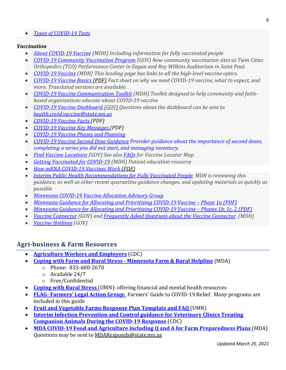• *[Types of COVID-19 Tests](https://lnks.gd/l/eyJhbGciOiJIUzI1NiJ9.eyJidWxsZXRpbl9saW5rX2lkIjoxMjksInVyaSI6ImJwMjpjbGljayIsImJ1bGxldGluX2lkIjoiMjAyMTAzMTAuMzY3NDkyMTEiLCJ1cmwiOiJodHRwczovL3d3dy5oZWFsdGguc3RhdGUubW4udXMvZGlzZWFzZXMvY29yb25hdmlydXMvdGVzdHNpdGVzL3R5cGVzLmh0bWwifQ.sDidJWi_QEyVzKJNCsTqNxIuEag-AgpoXd0t5VvQqG8/s/862318511/br/99734707175-l)*

#### *Vaccination*

- *[About COVID-19 Vaccine](https://www.health.state.mn.us/diseases/coronavirus/vaccine/basics.html) (MDH) Including information for fully vaccinated people*
- *[COVID-19 Community Vaccination Program](https://mn.gov/covid19/vaccine/find-vaccine/community-vaccination-program/index.jsp) [\(GOV\) New community vaccination sites at Twin Cities](https://mn.gov/covid19/vaccine/find-vaccine/community-vaccination-program/index.jsp)  [Orthopedics \(TCO\) Performance Center in Eagan and Roy Wilkins Auditorium in Saint Paul.](https://mn.gov/covid19/vaccine/find-vaccine/community-vaccination-program/index.jsp)*
- *[COVID-19 Vaccine](https://www.health.state.mn.us/diseases/coronavirus/vaccine/index.html) (MDH) This landing page has links to all the high-level vaccine optics.*
- *[COVID-19 Vaccine Basics \(PDF\)](https://lnks.gd/l/eyJhbGciOiJIUzI1NiJ9.eyJidWxsZXRpbl9saW5rX2lkIjoxMzMsInVyaSI6ImJwMjpjbGljayIsImJ1bGxldGluX2lkIjoiMjAyMTAzMTcuMzcyMTI5MzEiLCJ1cmwiOiJodHRwczovL3d3dy5oZWFsdGguc3RhdGUubW4udXMvZGlzZWFzZXMvY29yb25hdmlydXMvdmFjY2luZS9iYXNpY3Nmcy5wZGYifQ.2Viw2owOivw4ZKycG_xqUy2zCrPuyUb3nFk0zmWYUxU/s/862318511/br/100276481084-l) Fact sheet on why we need COVID-19 vaccine, what to expect, and more. Translated versions are available.*
- *[COVID-19 Vaccine Communication Toolkit](https://www.health.state.mn.us/diseases/coronavirus/vaccine/communitytk.html) (MDH) Toolkit designed to help community and faithbased organizations educate about COVID-19 vaccine*
- *[COVID-19 Vaccine Dashboard](https://mn.gov/covid19/vaccine/data/index.jsp) (GOV) Questions about the dashboard can be sent to [health.covid.vaccine@state.mn.us](mailto:health.covid.vaccine@state.mn.us)*
- *[COVID-19 Vaccine Facts \(PDF\)](https://lnks.gd/l/eyJhbGciOiJIUzI1NiJ9.eyJidWxsZXRpbl9saW5rX2lkIjoxMjMsInVyaSI6ImJwMjpjbGljayIsImJ1bGxldGluX2lkIjoiMjAyMTAzMTAuMzY3NDkyMTEiLCJ1cmwiOiJodHRwczovL3d3dy5oZWFsdGguc3RhdGUubW4udXMvZGlzZWFzZXMvY29yb25hdmlydXMvdmFjY2luZS92YXhmYWN0cy5wZGYifQ.-AmLTsZ9fPnD3TqDUAZkpnFUNlk7GoVvonrTO8AgGxw/s/862318511/br/99734707175-l)*
- *[COVID-19 Vaccine Key Messages \(PDF\)](https://lnks.gd/l/eyJhbGciOiJIUzI1NiJ9.eyJidWxsZXRpbl9saW5rX2lkIjoxMzYsInVyaSI6ImJwMjpjbGljayIsImJ1bGxldGluX2lkIjoiMjAyMTAzMTAuMzY3NDkyMTEiLCJ1cmwiOiJodHRwczovL3d3dy5oZWFsdGguc3RhdGUubW4udXMvZGlzZWFzZXMvY29yb25hdmlydXMvdmFjY2luZS92YXhrZXltZXNzYWdlcy5wZGYifQ.KQANXLSdz3iSTwzNTlXPbYjLNEqPFt8S3eFFxGTl5oo/s/862318511/br/99734707175-l)*
- *[COVID-19 Vaccine Phases and Planning](https://lnks.gd/l/eyJhbGciOiJIUzI1NiJ9.eyJidWxsZXRpbl9saW5rX2lkIjoxMjYsInVyaSI6ImJwMjpjbGljayIsImJ1bGxldGluX2lkIjoiMjAyMTAzMDMuMzYzMDE1NDEiLCJ1cmwiOiJodHRwczovL3d3dy5oZWFsdGguc3RhdGUubW4udXMvZGlzZWFzZXMvY29yb25hdmlydXMvdmFjY2luZS9wbGFuLmh0bWwifQ.Q7s5Itu6g3aedWiPt8_G_clU_2McaXPhLTw-qVu5aeE/s/862318511/br/99384025154-l)*
- *[COVID-19 Vaccine Second Dose Guidance](https://lnks.gd/l/eyJhbGciOiJIUzI1NiJ9.eyJidWxsZXRpbl9saW5rX2lkIjoxMjQsInVyaSI6ImJwMjpjbGljayIsImJ1bGxldGluX2lkIjoiMjAyMTAzMTAuMzY3NDkyMTEiLCJ1cmwiOiJodHRwczovL3d3dy5oZWFsdGguc3RhdGUubW4udXMvZGlzZWFzZXMvY29yb25hdmlydXMvdmFjY2luZS9zZWNvbmRkb3NlLmh0bWwifQ.LGJ_Bc5hKTvhVZeRIBOIfZDF_1X2WCswAfQLzVLF7Bs/s/862318511/br/99734707175-l) Provider guidance about the importance of second doses, completing a series you did not start, and managing inventory.*
- *[Find Vaccine Locations](https://mn.gov/covid19/vaccine/find-vaccine/locations/index.jsp) (GOV) See also [FAQs](https://mn.gov/covid19/vaccine/find-vaccine/community-vaccination-program/faq.jsp) for Vaccine Locator Map.*
- *[Getting Vaccinated for COVID-19](https://www.health.state.mn.us/diseases/coronavirus/vaccine/getvax.pdf) (MDH) Patient education resource*
- *[How mRNA COVID-19 Vaccines](https://lnks.gd/l/eyJhbGciOiJIUzI1NiJ9.eyJidWxsZXRpbl9saW5rX2lkIjoxMjIsInVyaSI6ImJwMjpjbGljayIsImJ1bGxldGluX2lkIjoiMjAyMTAzMTcuMzcyMTI5MzEiLCJ1cmwiOiJodHRwczovL3d3dy5oZWFsdGguc3RhdGUubW4udXMvZGlzZWFzZXMvY29yb25hdmlydXMvdmFjY2luZS9tcm5hLnBkZiJ9.zfYkBk9ibfOsJHAvPViUgbCNoFasKOebFJuU1T316AM/s/862318511/br/100276481084-l) Work (PDF)*
- *[Interim Public Health Recommendations for Fully Vaccinated People.](https://www.cdc.gov/coronavirus/2019-ncov/vaccines/fully-vaccinated-guidance.html) MDH is reviewing this guidance, as well as other recent quarantine guidance changes, and updating materials as quickly as possible*
- *[Minnesota COVID-19 Vaccine Allocation Advisory Group](https://lnks.gd/l/eyJhbGciOiJIUzI1NiJ9.eyJidWxsZXRpbl9saW5rX2lkIjoxMzQsInVyaSI6ImJwMjpjbGljayIsImJ1bGxldGluX2lkIjoiMjAyMTAzMjUuMzc3MTIwNDEiLCJ1cmwiOiJodHRwczovL3d3dy5oZWFsdGguc3RhdGUubW4udXMvZGlzZWFzZXMvY29yb25hdmlydXMvdmFjY2luZS9hZHZpc29yeS5odG1sIn0.0JcHRCi5mHL4wletsRdF0xC4craRiQAgP9qrBd-RyQc/s/862318511/br/100675009280-l)*
- *[Minnesota Guidance for Allocating and Prioritizing COVID-19 Vaccine –](https://lnks.gd/l/eyJhbGciOiJIUzI1NiJ9.eyJidWxsZXRpbl9saW5rX2lkIjoxNDAsInVyaSI6ImJwMjpjbGljayIsImJ1bGxldGluX2lkIjoiMjAyMTAyMTAuMzUwMDg2NzEiLCJ1cmwiOiJodHRwczovL3d3dy5oZWFsdGguc3RhdGUubW4udXMvZGlzZWFzZXMvY29yb25hdmlydXMvdmFjY2luZS9waGFzZTFhZ3VpZGUucGRmIn0.Q64TdXZne671Pqe8jgTBBIHXWL9sKdweMUm3DQn3vF4/s/862318511/br/97356835959-l) Phase 1a (PDF)*
- *[Minnesota Guidance for Allocating and Prioritizing COVID-19 Vaccine –](https://lnks.gd/l/eyJhbGciOiJIUzI1NiJ9.eyJidWxsZXRpbl9saW5rX2lkIjoxMjEsInVyaSI6ImJwMjpjbGljayIsImJ1bGxldGluX2lkIjoiMjAyMTAzMDMuMzYzMDE1NDEiLCJ1cmwiOiJodHRwczovL3d3dy5oZWFsdGguc3RhdGUubW4udXMvZGlzZWFzZXMvY29yb25hdmlydXMvdmFjY2luZS9waGFzZTFiMWMyLnBkZiJ9.re9qIZPN5DOdS45LKsBBHCUQ_G64EiwxKJwuvHwFH0I/s/862318511/br/99384025154-l) Phases 1b, 1c, 2 (PDF)*
- *[Vaccine Connector](https://mn.gov/covid19/vaccine/connector/) (GOV) and [Frequently Asked Questions about the Vaccine Connector.](https://mn.gov/covid19/vaccine/connector/faq.jsp) (MDH)*
- *[Vaccine Hotlines](https://mn.gov/covid19/vaccine/find-vaccine/hotlines/index.jsp) (GOV)*

## **Agri-business & Farm Resources**

- **[Agriculture Workers and Employers](https://www.cdc.gov/coronavirus/2019-ncov/community/guidance-agricultural-workers.html)** (CDC)
	- **[Coping with Farm and Rural Stress -](https://www.mda.state.mn.us/about/mnfarmerstress) Minnesota Farm & Rural Helpline** (MDA)
		- o Phone: 833-600-2670
			- o Available 24/7
			- o Free/Confidential
- **Coping with [Rural Stress](https://extension.umn.edu/rural-stress)** (UMN): offering financial and mental health resources
- **FLAG- [Farmers' Legal Action Group:](http://www.flaginc.org/covid-19-guide/)** Farmers' Guide to COVID-19 Relief. Many programs are included in this guide
- **[Fruit and Vegetable Farms Response Plan Template and FAQ](https://blog-fruit-vegetable-ipm.extension.umn.edu/2020/04/covid-19-response-plan-template-and-faq.html)** (UMN)
- **[Interim Infection Prevention and Control guidance for Veterinary Clinics Treating](https://www.cdc.gov/coronavirus/2019-ncov/community/veterinarians.html)  [Companion Animals During the COVID-19 Response](https://www.cdc.gov/coronavirus/2019-ncov/community/veterinarians.html)** (CDC)
- **MDA COVID-19 Food and Agriculture [including Q and A for Farm Preparedness Plans](https://www.mda.state.mn.us/covid-19-agriculture)** (MDA) Questions may be sent to [MDAResponds@state.mn.us](mailto:MDAResponds@state.mn.us)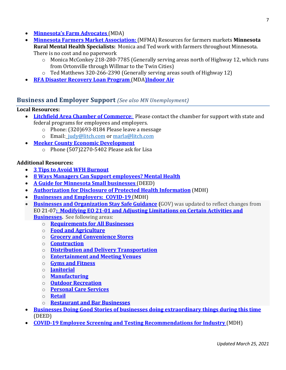- **[Minnesota's Farm Advocates](https://www.mda.state.mn.us/about/commissionersoffice/farmadvocates)** (MDA)
- **[Minnesota Farmers Market Association:](https://www.mfma.org/)** (MFMA) Resources for farmers markets **Minnesota Rural Mental Health Specialists:** Monica and Ted work with farmers throughout Minnesota. There is no cost and no paperwork
	- o Monica McConkey 218-280-7785 (Generally serving areas north of Highway 12, which runs from Ortonville through Willmar to the Twin Cities)
	- o Ted Matthews 320-266-2390 (Generally serving areas south of Highway 12)
- **[RFA Disaster Recovery Loan Program](https://www.mda.state.mn.us/disasterloan)** (MDA**)Indoor Air**

#### **Business and Employer Support** *(See also MN Unemployment)*

#### **Local Resources:**

- **[Litchfield Area Chamber of Commerce](https://litch.com/)**: Please contact the chamber for support with state and federal programs for employees and employers.
	- o Phone: (320)693-8184 Please leave a message
	- o Email: [judy@litch.com](mailto:judy@litch.com) or [marla@litch.com](mailto:marla@litch.com)
- **[Meeker County Economic Development](https://meekercodevcorp.com/made-in-meeker/)**
	- o Phone (507)2270-5402 Please ask for Lisa

#### **Additional Resources:**

- **[3 Tips to Avoid WFH Burnout](https://hbr.org/2020/04/3-tips-to-avoid-wfh-burnout)**
- **8 [Ways Managers Can Support employees? Mental Health](https://hbr.org/2020/08/8-ways-managers-can-support-employees-mental-health?utm_medium=email&utm_source=newsletter_weekly&utm_campaign=weeklyhotlist_not_activesubs&deliveryName=DM91903)**
- **[A Guide for Minnesota Small businesses](https://mn.gov/deed/newscenter/covid/employers/small-business-help/)** (DEED)
- **[Authorization for Disclosure of Protected Health Information](https://www.health.state.mn.us/diseases/coronavirus/materials/busitemp.docx)** (MDH)
- **[Businesses and Employers: COVID-19](https://www.health.state.mn.us/diseases/coronavirus/businesses.html)** (MDH)
- **<u>[Businesses and Organization Stay Safe Guidance](https://staysafe.mn.gov/industry-guidance/index.jsp)</u>** (GOV) was updated to reflect changes from EO 21-07**: [Modifying EO 21-01 and Adjusting Limitations on Certain Activities and](https://mn.gov/governor/assets/EO%2021-07%20Final_tcm1055-468258.pdf)  [Businesses.](https://mn.gov/governor/assets/EO%2021-07%20Final_tcm1055-468258.pdf)** See following areas:
	- o **[Requirements for All Businesses](https://staysafe.mn.gov/industry-guidance/all-businesses.jsp)**
	- o **[Food and Agriculture](https://staysafe.mn.gov/industry-guidance/food-agriculture.jsp)**
	- o **Grocery and [Convenience Stores](https://staysafe.mn.gov/industry-guidance/grocery-and-convenience-stores.jsp)**
	- o **[Construction](https://staysafe.mn.gov/industry-guidance/construction.jsp)**
	- o **[Distribution and Delivery Transportation](https://staysafe.mn.gov/industry-guidance/transportation-distribution-delivery.jsp)**
	- o **[Entertainment and Meeting Venues](https://staysafe.mn.gov/industry-guidance/entertainment.jsp)**
	- o **[Gyms and Fitness](https://staysafe.mn.gov/industry-guidance/gyms-studios-fitness-centers.jsp)**
	- o **[Janitorial](https://staysafe.mn.gov/industry-guidance/custodial-janitorial.jsp)**
	- o **[Manufacturing](https://staysafe.mn.gov/industry-guidance/manufacturing.jsp)**
	- o **[Outdoor Recreation](https://staysafe.mn.gov/industry-guidance/outdoor-recreation.jsp)**
	- o **[Personal Care Services](https://staysafe.mn.gov/industry-guidance/personal-care-and-salons.jsp)**
	- o **[Retail](https://staysafe.mn.gov/industry-guidance/retail.jsp)**
	- o **[Restaurant and Bar Businesses](https://staysafe.mn.gov/industry-guidance/restaurants-bars.jsp)**
- **[Businesses Doing Good Stories of businesses doing extraordinary things during this time](https://mn.gov/deed/newscenter/covid/stories/doing-good/)** [\(DEED\)](https://mn.gov/deed/newscenter/covid/stories/doing-good/)
- **[COVID-19 Employee Screening and Testing Recommendations for Industry](https://www.health.state.mn.us/diseases/coronavirus/busiscreentest.pdf)** (MDH)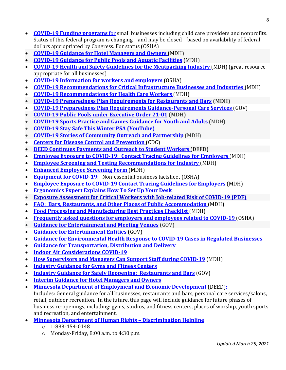- **[COVID-19 Funding programs](https://www.sba.gov/funding-programs/disaster-assistance)** for small businesses including child care providers and nonprofits. Status of this federal program is changing – and may be closed – based on availability of federal dollars appropriated by Congress. For status (OSHA)
- **[COVID-19 Guidance for Hotel Managers and Owners](https://www.health.state.mn.us/diseases/coronavirus/lodgingcleaning.pdf)** (MDH)
- **[COVID-19 Guidance for Public Pools and Aquatic Facilities](https://www.health.state.mn.us/diseases/coronavirus/poolreopen.pdf)** (MDH)
- **[COVID-19 Health and Safety Guidelines for the Meatpacking Industry](https://www.dli.mn.gov/sites/default/files/pdf/COVID_19_meatpacking_guidance.pdf)** (MDH) (great resource appropriate for all businesses)
- **[COVID-19 Information for workers and employers](https://www.osha.gov/SLTC/covid-19/)** (OSHA)
- **[COVID-19 Recommendations for Critical Infrastructure Businesses and Industries](https://www.health.state.mn.us/diseases/coronavirus/guidebusiessential.pdf)** (MDH)
- **[COVID-19 Recommendations for Health Care Workers](https://www.health.state.mn.us/diseases/coronavirus/hcp/hcwrecs.pdf)** (MDH)
- **[COVID-19 Preparedness Plan Requirements for Restaurants and Bars](https://www.health.state.mn.us/diseases/coronavirus/safedining.pdf) (MDH)**
- **[COVID-19 Preparedness Plan Requirements Guidance-Personal Care Services](http://dli.mn.gov/sites/default/files/pdf/COVID_19_preparedness_plan_requirements_guidelines_personal_care_services.pdf)** (GOV)
- **[COVID-19 Public Pools under Executive Order 21-01](https://www.health.state.mn.us/diseases/coronavirus/poolreopen.pdf) (MDH)**
- **[COVID-19 Sports Practice and Games Guidance for Youth and Adults](https://www.health.state.mn.us/diseases/coronavirus/sportsguide.pdf)** (MDH)
- **[COVID-19 Stay Safe This Winter PSA \(YouTube\)](https://lnks.gd/l/eyJhbGciOiJIUzI1NiJ9.eyJidWxsZXRpbl9saW5rX2lkIjoxMTUsInVyaSI6ImJwMjpjbGljayIsImJ1bGxldGluX2lkIjoiMjAyMTAyMDMuMzQ1NDc5MTEiLCJ1cmwiOiJodHRwczovL3lvdXR1LmJlL096MXJDT01TRjJJIn0.tX0aQk3jtySNajzbDoljT2eWGXrfULPe0ZXLVYKV8RA/s/862318511/br/97014989944-l)**
- **[COVID-19 Stories of Community Outreach and Partnership](https://www.health.state.mn.us/diseases/coronavirus/stories/index.html)** (MDH)
- **[Centers for Disease Control and Prevention](https://www.cdc.gov/)** (CDC)
- **[DEED Continues Payments and Outreach to Student Workers](https://mn.gov/deed/newscenter/press-releases/?id=1045-458169)** (DEED)
- **[Employee Exposure to COVID-19: Contact Tracing Guidelines for Employers](https://www.health.state.mn.us/diseases/coronavirus/guidebusinessct.pdf)** (MDH)
- **[Employee Screening and Testing Recommendations for Industry](https://www.health.state.mn.us/diseases/coronavirus/busiscreentest.pdf)** (MDH)
- **[Enhanced Employee Screening Form](http://www.health.state.mn.us/diseases/coronavirus/materials/busiscreen.docx)** (MDH)
- **[Equipment for COVID-19](https://www.dli.mn.gov/sites/default/files/pdf/fact_equip_for_COVID-19_noncritical_businesses.pdf)**: Non-essential business factsheet (OSHA)
- **[Employee Exposure to COVID-19 Contact Tracing Guidelines for Employers](https://www.health.state.mn.us/diseases/coronavirus/guidebusinessct.pdf)** (MDH)
- **[Ergonomics Expert Explains How To Set Up Your Desk](https://www.youtube.com/watch?v=F8_ME4VwTiw)**
- **[Exposure Assessment for Critical Workers with Job-related Risk of COVID-19 \(PDF\)](https://lnks.gd/l/eyJhbGciOiJIUzI1NiJ9.eyJidWxsZXRpbl9saW5rX2lkIjoxMzksInVyaSI6ImJwMjpjbGljayIsImJ1bGxldGluX2lkIjoiMjAyMTAyMTguMzU0OTA5ODEiLCJ1cmwiOiJodHRwczovL3d3dy5oZWFsdGguc3RhdGUubW4udXMvZGlzZWFzZXMvY29yb25hdmlydXMvaGNwL21hYmFzc2Vzcy5wZGYifQ.T23Ty1Zs2bV7Nh9CzixhEkIJSoK4qYQrjua78hOOlEA/s/862318511/br/97838333105-l)**
- **[FAQ: Bars, Restaurants, and Other Places of Public Accommodation](https://www.health.state.mn.us/diseases/coronavirus/hospitalityfaq.pdf)** (MDH)
- **[Food Processing and Manufacturing Best Practices Checklist](https://www.health.state.mn.us/diseases/coronavirus/busiplantchecklist.pdf)** (MDH)
- **[Frequently asked questions for employers and employees related to COVID-19](https://www.dli.mn.gov/sites/default/files/pdf/Employer_and_employee_questions_related_to_COVID_19.pdf)** (OSHA)
- **[Guidance for Entertainment and Meeting Venues](https://staysafe.mn.gov/industry-guidance/entertainment.jsp)** (GOV)
- **[Guidance for Entertainment Entities](https://staysafe.mn.gov/industry-guidance/entertainment.jsp)** (GOV)
- **[Guidance for Environmental Health Response to COVID-19 Cases in Regulated Businesses](https://www.health.state.mn.us/diseases/coronavirus/ehresponse.pdf)**
- **[Guidance for Transportation, Distribution and Delivery](https://staysafe.mn.gov/industry-guidance/transportation-distribution-delivery.jsp)**
- **[Indoor Air Considerations COVID-19](https://www.health.state.mn.us/diseases/coronavirus/indoorair.html)**
- **[How Supervisors and Managers Can Support Staff during COVID-19](https://www.health.state.mn.us/communities/ep/behavioral/supervisors.pdf)** (MDH)
- **[Industry Guidance for Gyms and Fitness Centers](https://www.health.state.mn.us/diseases/coronavirus/safegym.pdf)**
- **Industry Guidance for Safely [Reopening: Restaurants and Bars](https://www.health.state.mn.us/diseases/coronavirus/safedining.pdf)** (GOV)
- **[Interim Guidance for Hotel Managers and Owners](https://www.health.state.mn.us/diseases/coronavirus/lodgingcleaning.pdf)**
- **[Minnesota Department of Employment and Economic Development](https://mn.gov/deed/newscenter/covid/stories/doing-good/)** (DEED)**:** Includes: General guidance for all businesses, restaurants and bars, personal care services/salons, retail, outdoor recreation. In the future, this page will include guidance for future phases of business re-openings, including: gyms, studios, and fitness centers, places of worship, youth sports and recreation, and entertainment.
- **[Minnesota Department of Human Rights –](https://mn.gov/mdhr/intake/discrimination-helpline.jsp) Discrimination Helpline**
	- $O$  1-833-454-0148
	- $\circ$  Monday-Friday, 8:00 a.m. to 4:30 p.m.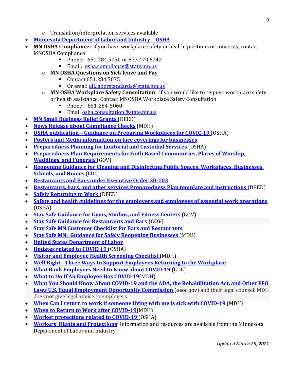- o Translation/interpretation services available
- **[Minnesota Department of Labor and Industry –](https://www.dli.mn.gov/sites/default/files/pdf/Employer_and_employee_questions_related_to_COVID_19.pdf) OSHA**
- **MN OSHA Compliance:** If you have workplace safety or health questions or concerns, contact MNOSHA Compliance
	- Phone: 651.284.5050 or 877.470.6742
	- Email:[osha.compliance@state.mn.us](mailto:osha.compliance@state.mn.us)
	- o **MN OSHA Questions on Sick leave and Pay**
		- Contact 651.284.5075<br>■ Or email dli laborstano
		- Or email [dli.laborstandards@state.mn.us](mailto:dli.laborstandards@state.mn.us)
	- o **MN OSHA Workplace Safety Consultation**: If you would like to request workplace safety or health assistance, Contact MNOSHA Workplace Safety Consultation
		- Phone:  $651-284-5060$ <br>Figure 5.2 consultation
		- Email [osha.consultation@state.mn.us](mailto:osha.consultation@state.mn.us)
- **[MN Small Business Relief Grants](https://mn.gov/deed/business/financing-business/deed-programs/relief/)** (DEED)
- **[News Release about Compliance Checks](https://www.health.state.mn.us/news/pressrel/2020/covid090920.html)** (MDH)
- **OSHA publication – [Guidance on Preparing Workplaces for COVIC-19](https://www.osha.gov/Publications/OSHA3990.pdf)** (OSHA)
- **[Posters and Media information on face coverings for businesses](https://mn.gov/covid19/media/share-message/for-businesses/index.jsp%20.)**
- **[Preparedness Planning for Janitorial and Custodial Services](https://www.dli.mn.gov/sites/default/files/pdf/COVID_19_preparedness_plan_requirements_guidelines_janitorial.pdf)** (OSHA)
- **[Preparedness Plan Requirements for Faith Based Communities, Places of Worship,](https://www.health.state.mn.us/diseases/coronavirus/safefaith.pdf)  [Weddings, and Funerals](https://www.health.state.mn.us/diseases/coronavirus/safefaith.pdf)** (GOV)
- **[Reopening Guidance for Cleaning and Disinfecting Public Spaces, Workplaces, Businesses,](https://www.cdc.gov/coronavirus/2019-ncov/community/reopen-guidance.html)  [Schools, and Homes](https://www.cdc.gov/coronavirus/2019-ncov/community/reopen-guidance.html)** (CDC)
- **[Restaurants and Bars under Executive Order 20-103](https://www.health.state.mn.us/diseases/coronavirus/safedining.pdf)**
- **[Restaurants, bars, and other services Preparedness Plan template and instructions](https://www.dli.mn.gov/updates)** (DEED)
- **[Safely Returning to Work](https://mn.gov/deed/newscenter/covid/safework/)** (DEED)
- **[Safety and health guidelines for the employers and employees of essential work operations](https://www.dli.mn.gov/sites/default/files/pdf/COVID-19_s-h_guidelines_ers_and_ees.pdf)**  [\(OSHA\)](https://www.dli.mn.gov/sites/default/files/pdf/COVID-19_s-h_guidelines_ers_and_ees.pdf)
- **[Stay Safe Guidance for Gyms, Studios, and Fitness Centers](https://staysafe.mn.gov/industry-guidance/gyms-studios-fitness-centers.jsp)** (GOV)
- **[Stay Safe Guidance for Restaurants and Bars](https://staysafe.mn.gov/industry-guidance/restaurants-bars.jsp) (GOV)**
- **[Stay Safe MN Customer Checklist for](https://staysafe.mn.gov/individuals-families/restaurant-dining-checklist.jsp) Bars and Restaurants**
- **[Stay Safe MN: Guidance for Safely Reopening Businesses](https://content.govdelivery.com/accounts/MNMDH/bulletins/28ccaef)** (MDH)
- **[United States Department of Labor](https://www.dol.gov/agencies/whd)**
- **[Updates related to COVID 19](https://www.dli.mn.gov/updates)** (OSHA)
- **Visitor [and Employee Health Screening Checklist](https://www.health.state.mn.us/diseases/coronavirus/facilityhlthscreen.pdf)** (MDH)
- **Well Right - [Three Ways to Support Employees Returning to the Workplace](https://www.wellright.com/blog/3-ways-to-support-employees-returning-to-the-workplace?utm_campaign=Blog&utm_medium=email&_hsmi=87495268&_hsenc=p2ANqtz-9hRTtA0hWhMA--eYMVLOty7aoGFP0N8MlY1P7PzqS6tfRFjbcaJAB-hJwsgf7fnxyRuYXg&utm_content=87495268&utm_source=hs_email)**
- **[What Bank Employees Need to](https://www.cdc.gov/coronavirus/2019-ncov/community/organizations/bank-employees.html?deliveryName=USCDC_2067-DM31413) Know about COVID-19** (CDC)
- **[What to Do If An Employee Has COVID-19](https://www.health.state.mn.us/diseases/coronavirus/sickemployee.pdf)**(MDH)
- **[What You Should Know About COVID-19 and the ADA, the Rehabilitation Act, and Other EEO](https://www.eeoc.gov/wysk/what-you-should-know-about-covid-19-and-ada-rehabilitation-act-and-other-eeo-laws)  [Laws U.S. Equal Employment Opportunity Commission](https://www.eeoc.gov/wysk/what-you-should-know-about-covid-19-and-ada-rehabilitation-act-and-other-eeo-laws)** (eeoc.gov) and their legal counsel. MDH does not give legal advice to employers.
- **[When Can I return to work if someone living with me is sick with COVID-19](https://www.youtube.com/watch?time_continue=2&v=sy_YzDgjy-A&feature=emb_logo)** (MDH)
- **[When to Return to Work after COVID-19](https://www.health.state.mn.us/diseases/coronavirus/returntowork.pdf)**(MDH)
- **[Worker protections related to COVID-19](https://www.dli.mn.gov/sites/default/files/pdf/MN_worker_protections_related_to_COVID_19.pdf)** (OSHA)
- **[Workers' Rights and Protections:](https://www.dli.mn.gov/workers/worker-rights-and-protections)** Information and resources are available from th[e Minnesota](https://lnks.gd/l/eyJhbGciOiJIUzI1NiJ9.eyJidWxsZXRpbl9saW5rX2lkIjoxMTgsInVyaSI6ImJwMjpjbGljayIsImJ1bGxldGluX2lkIjoiMjAyMDAzMTkuMTg5OTIwMDEiLCJ1cmwiOiJodHRwczovL3d3dy5kbGkubW4uZ292L3dvcmtlcnMvd29ya2VyLXJpZ2h0cy1hbmQtcHJvdGVjdGlvbnMifQ.PtOVqAYY9H_vAx9LnifsU4nVzlQzLFGK_dXJtMX4xMg/br/76348180438-l)  [Department of Labor and Industry](https://lnks.gd/l/eyJhbGciOiJIUzI1NiJ9.eyJidWxsZXRpbl9saW5rX2lkIjoxMTgsInVyaSI6ImJwMjpjbGljayIsImJ1bGxldGluX2lkIjoiMjAyMDAzMTkuMTg5OTIwMDEiLCJ1cmwiOiJodHRwczovL3d3dy5kbGkubW4uZ292L3dvcmtlcnMvd29ya2VyLXJpZ2h0cy1hbmQtcHJvdGVjdGlvbnMifQ.PtOVqAYY9H_vAx9LnifsU4nVzlQzLFGK_dXJtMX4xMg/br/76348180438-l)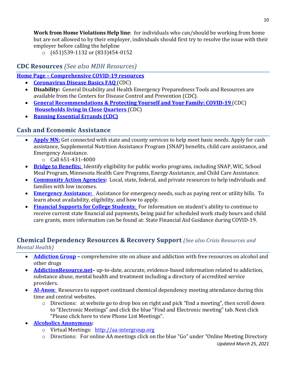**Work from Home Violations Help line**: for individuals who can/should be working from home but are not allowed to by their employer, individuals should first try to resolve the issue with their employer before calling the helpline

o (651)539-1132 or (833)454-0152

# **CDC Resources** *(See also MDH Resources)*

## **Home Page – [Comprehensive COVID-19](https://www.cdc.gov/coronavirus/2019-ncov/index.html) resources**

- **[Coronavirus Disease Basics](https://www.cdc.gov/coronavirus/2019-ncov/faq.html#anchor_1584386215012) FAQ** (CDC)
- **Disability:** General [Disability and Health Emergency Preparedness Tools and Resources](https://lnks.gd/l/eyJhbGciOiJIUzI1NiJ9.eyJidWxsZXRpbl9saW5rX2lkIjoxMDgsInVyaSI6ImJwMjpjbGljayIsImJ1bGxldGluX2lkIjoiMjAyMDAzMTkuMTg5OTIwMDEiLCJ1cmwiOiJodHRwczovL3d3dy5jZGMuZ292L25jYmRkZC9kaXNhYmlsaXR5YW5kaGVhbHRoL2VtZXJnZW5jeS10b29scy5odG1sIn0.5_bGOW3A3lsex5ICEfwd6bB4Tq51q20oBJmLyxKMIK4/br/76348180438-l) are available from the Centers for Disease Control and Prevention (CDC).
- **[General Recommendations & Protecting Yourself and Your Family: COVID-19](https://www.cdc.gov/coronavirus/2019-ncov/community/home/index.html)** (CDC) **[Households living in Close Quarters](https://www.cdc.gov/coronavirus/2019-ncov/daily-life-coping/living-in-close-quarters.html)** (CDC)
- **[Running Essential Errands](https://www.cdc.gov/coronavirus/2019-ncov/daily-life-coping/essential-goods-services.html) (CDC)**

# **Cash and Economic Assistance**

- **[Apply MN:](https://applymn.dhs.mn.gov/online-app-web/spring/public/process-login?execution=e2s1)** Get connected with state and county services to help meet basic needs. Apply for cash assistance, Supplemental Nutrition Assistance Program (SNAP) benefits, child care assistance, and Emergency Assistance.
	- o Call 651-431-4000
- **[Bridge to Benefits:](http://www.bridgetobenefits.org/Home2)** Identify eligibility for public works programs, including SNAP, WIC, School Meal Program, Minnesota Health Care Programs, Energy Assistance, and Child Care Assistance.
- **[Community Action Agencies:](https://www.minncap.org/)** Local, state, federal, and private resources to help individuals and families with low incomes.
- **[Emergency Assistance:](https://edocs.dhs.state.mn.us/lfserver/Public/DHS-5207-ENG)** Assistance for emergency needs, such as paying rent or utility bills. To learn about availability, eligibility, and how to apply.
- **[Financial Supports for College Students](https://www.ohe.state.mn.us/mPg.cfm?pageID=2391)**: For information on student's ability to continue to receive current state financial aid payments, being paid for scheduled work study hours and child care grants, more information can be found at: State Financial Aid Guidance during COVID-19.

## **Chemical Dependency Resources & Recovery Support** *(See also Crisis Resources and Mental Health)*

- **[Addiction Group](https://www.addictiongroup.org/alcohol) –** comprehensive site on abuse and addiction with free resources on alcohol and other drugs
- **[AddictionResource.net–](https://www.addictionresource.net/best-drug-rehab-centers/minnesota/)** up-to-date, accurate, evidence-based information related to addiction, substance abuse, mental health and treatment including a directory of accredited service providers.
- **Al-Anon:** Resources to support continued chemical dependency meeting attendance during this time and central websites.
	- o Directions: at website go to drop box on right and pick "find a meeting", then scroll down to "Electronic Meetings" and click the blue "Find and Electronic meeting" tab. Next click "Please click here to view Phone List Meetings".
- **[Alcoholics Anonymous:](http://www.aa.org/)**
	- o Virtual Meetings:[http://aa-intergroup.org](http://aa-intergroup.org/)
	- o Directions: For online AA meetings click on the blue "Go" under "Online Meeting Directory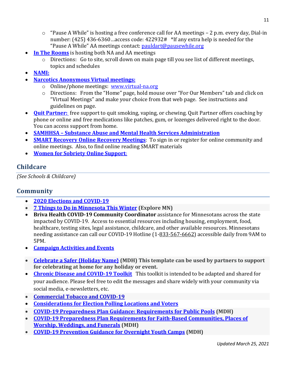- $\circ$  "Pause A While" is hosting a free conference call for AA meetings 2 p.m. every day, Dial-in number: (425) 436-6360…access code: 422932# \*If any extra help is needed for the "Pause A While" AA meetings contact: [pauldart@pausewhile.org](mailto:pauldart@pausewhile.org)
- **[In The Rooms](http://www.intherooms.com/)** is hosting both NA and AA meetings
	- o Directions: Go to site, scroll down on main page till you see list of different meetings, topics and schedules
- **[NAMI:](https://namimn.org/)**
- **[Narcotics Anonymous](http://www.na.org/) Virtual meetings:**
	- o Online/phone meetings: [www.virtual-na.org](http://www.virtual-na.org/)
	- o Directions: From the "Home" page, hold mouse over "For Our Members" tab and click on "Virtual Meetings" and make your choice from that web page. See instructions and guidelines on page.
- **[Quit Partner:](http://quitpartnermn.com/)** free support to quit smoking, vaping, or chewing. Quit Partner offers coaching by phone or online and free medications like patches, gum, or lozenges delivered right to the door. You can access support from home.
- **SAMHHSA – [Substance Abuse and Mental Health Services Administration](https://www.samhsa.gov/find-help/national-helpline)**
- **SMART Recovery [Online Recovery Meetings](http://www.smartrecovery.com/)**: To sign in or register for online community and online meetings. Also, to find online reading SMART materials
- **[Women for Sobriety Online Support](https://womenforsobriety.org/community/#supportTab-2)**:

## **Childcare**

*(See Schools & Childcare)*

## **Community**

- **[2020 Elections and COVID-19](https://www.sos.state.mn.us/election-administration-campaigns/elections-calendar/2020-elections-and-covid-19/)**
- **[7 Things to Do in Minnesota This Winter](https://www.exploreminnesota.com/list/7-things-to-do-minnesota-this-winter) (Explore MN)**
- **Briva Health COVID-19 Community Coordinator** assistance for Minnesotans across the state impacted by COVID-19. Access to essential resources including housing, employment, food, healthcare, testing sites, legal assistance, childcare, and other available resources. Minnesotans needing assistance can call our COVID-19 Hotline (1[-833-567-6662\)](tel:8335676662) accessible daily from 9AM to 5PM.
- **[Campaign Activities and Events](https://www.health.state.mn.us/diseases/coronavirus/campaign.html)**
- **[Celebrate a Safer {Holiday Name}](https://www.health.state.mn.us/diseases/coronavirus/materials/celebrate.pdf) (MDH) This template can be used by partners to support for celebrating at home for any holiday or event.**
- **[Chronic Disease and COVID-19 Toolkit](https://content.govdelivery.com/accounts/MNMDH/bulletins/2af2152)** This toolkit is intended to be adapted and shared for your audience. Please feel free to edit the messages and share widely with your community via social media, e-newsletters, etc.
- **[Commercial Tobacco and COVID-19](https://lnks.gd/l/eyJhbGciOiJIUzI1NiJ9.eyJidWxsZXRpbl9saW5rX2lkIjoxNDAsInVyaSI6ImJwMjpjbGljayIsImJ1bGxldGluX2lkIjoiMjAyMTAyMTguMzU0OTA5ODEiLCJ1cmwiOiJodHRwczovL3d3dy5oZWFsdGguc3RhdGUubW4udXMvY29tbXVuaXRpZXMvdG9iYWNjby9jb3ZpZDE5L2luZGV4Lmh0bWwifQ.5NRxWr45L9Ou8BPmOeaJv-thmr42DFB1SDaHlE9slGU/s/862318511/br/97838333105-l)**
- **[Considerations for Election Polling Locations and Voters](https://www.cdc.gov/coronavirus/2019-ncov/community/election-polling-locations.html)**
- **[COVID-19 Preparedness Plan Guidance: Requirements for Public Pools](https://www.health.state.mn.us/diseases/coronavirus/poolreopen.pdf) (MDH)**
- **[COVID-19 Preparedness Plan Requirements for Faith-Based Communities, Places of](https://www.health.state.mn.us/diseases/coronavirus/safefaith.pdf)  [Worship, Weddings, and Funerals](https://www.health.state.mn.us/diseases/coronavirus/safefaith.pdf) (MDH)**
- **[COVID-19 Prevention Guidance for Overnight Youth Camps](https://www.health.state.mn.us/diseases/coronavirus/schools/overnightcamp.pdf) (MDH)**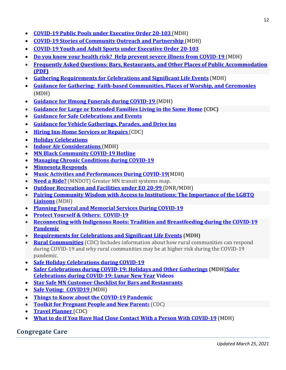- **[COVID-19 Public Pools under Executive Order 20-103](https://www.health.state.mn.us/diseases/coronavirus/poolreopen.pdf)** (MDH)
- **[COVID-19 Stories of Community Outreach and Partnership](https://www.health.state.mn.us/diseases/coronavirus/stories/index.html)** (MDH)
- **[COVID-19 Youth and Adult Sports under Executive Order 20-103](https://www.health.state.mn.us/diseases/coronavirus/sportsguide.pdf)**
- **[Do you know your health risk? Help prevent severe illness from COVID-19](https://www.health.state.mn.us/people/conditions/docs/knowyourrisk.pdf)** (MDH)
- **[Frequently Asked Questions: Bars, Restaurants, and Other Places of Public Accommodation](https://lnks.gd/l/eyJhbGciOiJIUzI1NiJ9.eyJidWxsZXRpbl9saW5rX2lkIjoxNTIsInVyaSI6ImJwMjpjbGljayIsImJ1bGxldGluX2lkIjoiMjAyMTAyMTguMzU0OTA5ODEiLCJ1cmwiOiJodHRwczovL3d3dy5oZWFsdGguc3RhdGUubW4udXMvZGlzZWFzZXMvY29yb25hdmlydXMvaG9zcGl0YWxpdHlmYXEucGRmIn0.f8FyKUlBdI9eUUE-rvJzOya7HgxlhgCJX5dazTQc14M/s/862318511/br/97838333105-l)  [\(PDF\)](https://lnks.gd/l/eyJhbGciOiJIUzI1NiJ9.eyJidWxsZXRpbl9saW5rX2lkIjoxNTIsInVyaSI6ImJwMjpjbGljayIsImJ1bGxldGluX2lkIjoiMjAyMTAyMTguMzU0OTA5ODEiLCJ1cmwiOiJodHRwczovL3d3dy5oZWFsdGguc3RhdGUubW4udXMvZGlzZWFzZXMvY29yb25hdmlydXMvaG9zcGl0YWxpdHlmYXEucGRmIn0.f8FyKUlBdI9eUUE-rvJzOya7HgxlhgCJX5dazTQc14M/s/862318511/br/97838333105-l)**
- **[Gathering Requirements for Celebrations and Significant Life Events](https://www.health.state.mn.us/diseases/coronavirus/safeevents.pdf)** (MDH)
- **[Guidance for Gathering: Faith-based Communities, Places of Worship, and Ceremonies](https://www.health.state.mn.us/diseases/coronavirus/guidefaith.pdf)**  [\(MDH\)](https://www.health.state.mn.us/diseases/coronavirus/guidefaith.pdf)
- **[Guidance for Hmong Funerals during COVID-19](https://www.health.state.mn.us/diseases/coronavirus/hmongfuneral.pdf)** (MDH)
- **[Guidance for Large or Extended Families Living in the Same Home](https://gcc01.safelinks.protection.outlook.com/?url=https%3A//www.cdc.gov/coronavirus/2019-ncov/downloads/living-in-close-quarters.pdf&data=04|01|toby.mcadams@state.mn.us|33c6c10ab0c34d21f05308d8ca1906d5|eb14b04624c445198f26b89c2159828c|0|0|637481556124070344|Unknown|TWFpbGZsb3d8eyJWIjoiMC4wLjAwMDAiLCJQIjoiV2luMzIiLCJBTiI6Ik1haWwiLCJXVCI6Mn0=|1000&sdata=cPhBUJTmBAuysagg1U+EWEAW+HGy2Y6R/ngCHTR0FA0=&reserved=0) (CDC)**
- **[Guidance for Safe Celebrations and Events](https://www.health.state.mn.us/diseases/coronavirus/safeevents.pdf)**
- **Guidance for Vehicle [Gatherings, Parades, and Drive ins](https://www.health.state.mn.us/diseases/coronavirus/vehiclegather.pdf)**
- **[Hiring Inn-Home Services or Repairs](https://www.cdc.gov/coronavirus/2019-ncov/daily-life-coping/at-home/in-home-services.html)** (CDC)
- **[Holiday Celebrations](https://www.cdc.gov/coronavirus/2019-ncov/daily-life-coping/holidays.html)**
- **Indoor Air Considerations** (MDH)
- **[MN Black Community COVID-19 Hotline](https://mailchi.mp/aalftc/introducing-the-mn-black-community-covid-19-hotline)**
- **[Managing Chronic Conditions](https://www.health.state.mn.us/people/conditions/index.html) during COVID-19**
- **[Minnesota Responds](https://lnks.gd/l/eyJhbGciOiJIUzI1NiJ9.eyJidWxsZXRpbl9saW5rX2lkIjoxNDEsInVyaSI6ImJwMjpjbGljayIsImJ1bGxldGluX2lkIjoiMjAyMTAyMTguMzU0OTA5ODEiLCJ1cmwiOiJodHRwczovL3d3dy5oZWFsdGguc3RhdGUubW4udXMvY29tbXVuaXRpZXMvZXAvbW5yZXNwb25kcy8ifQ.T5pV-gaOWNmGauhSLwZvA52VR0rXDJjPT_9w3huclmI/s/862318511/br/97838333105-l)**
- **[Music Activities and Performances During COVID-19](https://www.health.state.mn.us/diseases/coronavirus/musicguide.pdf)**(MDH)
- **[Need a Ride?](https://www.dot.state.mn.us/transit/riders/index.html)** (MNDOT) Greater MN transit systems map.
- **[Outdoor Recreation and Facilities under EO 20-99](https://staysafe.mn.gov/assets/COVID%20Outdoor%20Rec%20Guidelines_20201118_final_tcm1152-435380.pdf)** (DNR/MDH)
- **[Pairing Community Wisdom with Access to Institutions: The Importance of the LGBTQ](https://www.health.state.mn.us/diseases/coronavirus/stories/lgbtq.html)  [Liaisons](https://www.health.state.mn.us/diseases/coronavirus/stories/lgbtq.html)** (MDH)
- **[Planning Funeral and Memorial Services During COVID-19](https://www.health.state.mn.us/facilities/providers/mortsci/docs/planduringcovid.pdf)**
- **[Protect Yourself & Others: COVID-19](https://www.health.state.mn.us/diseases/coronavirus/prevention.html)**
- **[Reconnecting with Indigenous Roots: Tradition and Breastfeeding during the COVID-19](https://lnks.gd/l/eyJhbGciOiJIUzI1NiJ9.eyJidWxsZXRpbl9saW5rX2lkIjoxMTksInVyaSI6ImJwMjpjbGljayIsImJ1bGxldGluX2lkIjoiMjAyMTAyMDMuMzQ1NDc5MTEiLCJ1cmwiOiJodHRwczovL3d3dy5oZWFsdGguc3RhdGUubW4udXMvZGlzZWFzZXMvY29yb25hdmlydXMvc3Rvcmllcy90cmFkaXRpb24uaHRtbCJ9.zn_IDFfNBeX2bihHFLJ7aWzlLelXt0sfMG50uEJyTKc/s/862318511/br/97014989944-l)  [Pandemic](https://lnks.gd/l/eyJhbGciOiJIUzI1NiJ9.eyJidWxsZXRpbl9saW5rX2lkIjoxMTksInVyaSI6ImJwMjpjbGljayIsImJ1bGxldGluX2lkIjoiMjAyMTAyMDMuMzQ1NDc5MTEiLCJ1cmwiOiJodHRwczovL3d3dy5oZWFsdGguc3RhdGUubW4udXMvZGlzZWFzZXMvY29yb25hdmlydXMvc3Rvcmllcy90cmFkaXRpb24uaHRtbCJ9.zn_IDFfNBeX2bihHFLJ7aWzlLelXt0sfMG50uEJyTKc/s/862318511/br/97014989944-l)**
- **[Requirements for Celebrations and Significant Life Events](https://www.health.state.mn.us/diseases/coronavirus/safeevents.pdf) (MDH)**
- **[Rural Communities](https://www.cdc.gov/coronavirus/2019-ncov/need-extra-precautions/other-at-risk-populations/rural-communities.html)** (CDC) Includes information about how rural communities can respond during COVID-19 and why rural communities may be at higher risk during the COVID-19 pandemic.
- **[Safe Holiday Celebrations during COVID-19](https://www.health.state.mn.us/diseases/coronavirus/holidays.html)**
- **[Safer Celebrations during COVID-19: Holidays and Other Gatherings](https://www.health.state.mn.us/diseases/coronavirus/holidays.html) (MDH[\)Safer](https://www.health.state.mn.us/diseases/coronavirus/holidays.html)  [Celebrations during COVID-19: Lunar New Year](https://www.health.state.mn.us/diseases/coronavirus/holidays.html) Videos**
- **[Stay Safe MN Customer Checklist for Bars and Restaurants](https://staysafe.mn.gov/individuals-families/restaurant-dining-checklist.jsp)**
- **[Safe Voting: COVID19](https://www.health.state.mn.us/diseases/coronavirus/voting.html)** (MDH)
- **[Things to Know about the COVID-19 Pandemic](https://www.cdc.gov/coronavirus/2019-ncov/your-health/need-to-know.html)**
- **[Toolkit for Pregnant People and New Parent](https://www.cdc.gov/coronavirus/2019-ncov/communication/toolkits/pregnant-people-and-new-parents.html)**s (CDC)
- **[Travel Planner](https://www.cdc.gov/coronavirus/2019-ncov/travelers/travel-planner/index.html)** (CDC)
- **What to do if You Have Had Close [Contact With a Person With COVID-19](https://www.health.state.mn.us/diseases/coronavirus/contact.pdf)** (MDH)

#### **Congregate Care**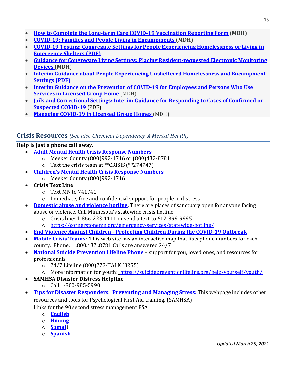- **[How to Complete the Long-term Care COVID-19 Vaccination Reporting Form](https://www.health.state.mn.us/diseases/coronavirus/hcp/ltcvaxreport.pdf) (MDH)**
- **[COVID-19: Families and People Living in Encampments](https://www.health.state.mn.us/diseases/coronavirus/encampment.pdf) (MDH)**
- **[COVID-19 Testing: Congregate Settings for People Experiencing Homelessness or Living in](https://lnks.gd/l/eyJhbGciOiJIUzI1NiJ9.eyJidWxsZXRpbl9saW5rX2lkIjoxMzMsInVyaSI6ImJwMjpjbGljayIsImJ1bGxldGluX2lkIjoiMjAyMTAyMDMuMzQ1NDc5MTEiLCJ1cmwiOiJodHRwczovL3d3dy5oZWFsdGguc3RhdGUubW4udXMvZGlzZWFzZXMvY29yb25hdmlydXMvZ3VpZGV0ZXN0c2hlbHRlci5wZGYifQ.64ze0eiSYuVQyS-je1uVcaQyfg5Q6wpfEMgzcoJWBR8/s/862318511/br/97014989944-l)  [Emergency Shelters \(PDF\)](https://lnks.gd/l/eyJhbGciOiJIUzI1NiJ9.eyJidWxsZXRpbl9saW5rX2lkIjoxMzMsInVyaSI6ImJwMjpjbGljayIsImJ1bGxldGluX2lkIjoiMjAyMTAyMDMuMzQ1NDc5MTEiLCJ1cmwiOiJodHRwczovL3d3dy5oZWFsdGguc3RhdGUubW4udXMvZGlzZWFzZXMvY29yb25hdmlydXMvZ3VpZGV0ZXN0c2hlbHRlci5wZGYifQ.64ze0eiSYuVQyS-je1uVcaQyfg5Q6wpfEMgzcoJWBR8/s/862318511/br/97014989944-l)**
- **[Guidance for Congregate Living Settings: Placing Resident-requested Electronic Monitoring](https://www.health.state.mn.us/facilities/regulation/emonitoring/docs/cameraplacement.pdf)  [Devices \(](https://www.health.state.mn.us/facilities/regulation/emonitoring/docs/cameraplacement.pdf)MDH)**
- **[Interim Guidance about People Experiencing Unsheltered Homelessness and Encampment](https://lnks.gd/l/eyJhbGciOiJIUzI1NiJ9.eyJidWxsZXRpbl9saW5rX2lkIjoxMzQsInVyaSI6ImJwMjpjbGljayIsImJ1bGxldGluX2lkIjoiMjAyMTAyMDMuMzQ1NDc5MTEiLCJ1cmwiOiJodHRwczovL3d3dy5oZWFsdGguc3RhdGUubW4udXMvZGlzZWFzZXMvY29yb25hdmlydXMvdW5zaGVsdGVyZWQucGRmIn0.MbKAeJTS5z7QB_JUh6F1S23Jq8jtdu9qkLhpTCQ_SbM/s/862318511/br/97014989944-l)  [Settings \(PDF\)](https://lnks.gd/l/eyJhbGciOiJIUzI1NiJ9.eyJidWxsZXRpbl9saW5rX2lkIjoxMzQsInVyaSI6ImJwMjpjbGljayIsImJ1bGxldGluX2lkIjoiMjAyMTAyMDMuMzQ1NDc5MTEiLCJ1cmwiOiJodHRwczovL3d3dy5oZWFsdGguc3RhdGUubW4udXMvZGlzZWFzZXMvY29yb25hdmlydXMvdW5zaGVsdGVyZWQucGRmIn0.MbKAeJTS5z7QB_JUh6F1S23Jq8jtdu9qkLhpTCQ_SbM/s/862318511/br/97014989944-l)**
- **[Interim Guidance on the Prevention of COVID-19 for Employees and Persons Who Use](https://www.health.state.mn.us/diseases/coronavirus/guidegroup.pdf)  [Services in Licensed Group Home](https://www.health.state.mn.us/diseases/coronavirus/guidegroup.pdf)** (MDH)
- **[Jails and Correctional Settings: Interim Guidance for Responding to Cases of Confirmed or](https://lnks.gd/l/eyJhbGciOiJIUzI1NiJ9.eyJidWxsZXRpbl9saW5rX2lkIjoxMjgsInVyaSI6ImJwMjpjbGljayIsImJ1bGxldGluX2lkIjoiMjAyMDEyMzAuMzI2NTk5OTEiLCJ1cmwiOiJodHRwczovL3d3dy5oZWFsdGguc3RhdGUubW4udXMvZGlzZWFzZXMvY29yb25hdmlydXMvZ3VpZGVqYWlsLnBkZiJ9.YMZAZuerdIFtr5DiEkk4hZZcBW27M6E6tJNezdOH8W4/s/862318511/br/92522049102-l)  [Suspected COVID-19](https://lnks.gd/l/eyJhbGciOiJIUzI1NiJ9.eyJidWxsZXRpbl9saW5rX2lkIjoxMjgsInVyaSI6ImJwMjpjbGljayIsImJ1bGxldGluX2lkIjoiMjAyMDEyMzAuMzI2NTk5OTEiLCJ1cmwiOiJodHRwczovL3d3dy5oZWFsdGguc3RhdGUubW4udXMvZGlzZWFzZXMvY29yb25hdmlydXMvZ3VpZGVqYWlsLnBkZiJ9.YMZAZuerdIFtr5DiEkk4hZZcBW27M6E6tJNezdOH8W4/s/862318511/br/92522049102-l)** (PDF)
- **[Managing COVID-19 in Licensed Group Homes](https://www.health.state.mn.us/diseases/coronavirus/groupmanage.pdf)** (MDH)

## **Crisis Resources** *(See also Chemical Dependency & Mental Health)*

#### **Help is just a phone call away.**

- **Adult Mental Health Crisis Response Numbers**
	- o Meeker County (800)992-1716 or (800)432-8781
	- o Text the crisis team at \*\*CRISIS (\*\*274747)
- **Children's Mental Health Crisis Response Numbers**
	- o Meeker County (800)992-1716
- **Crisis Text Line**
	- o Text MN to 741741
	- o Immediate, free and confidential support for people in distress
- **[Domestic abuse and violence hotline.](https://dayoneservices.org/)** There are places of sanctuary open for anyone facing abuse or violence. Call Minnesota's statewide crisis hotline
	- o Crisis line: 1-866-223-1111 or send a text to 612-399-9995.
	- o <https://cornerstonemn.org/emergency-services/statewide-hotline/>
- **End Violence Against Children - Protecting Children During the COVID-19 Outbreak**
- **[Mobile Crisis Teams:](https://mn.gov/dhs/people-we-serve/people-with-disabilities/health-care/adult-mental-health/resources/crisis-contacts.jspp)** This web site has an interactive map that lists phone numbers for each county. Phone: 1.800.432 .8781 Calls are answered 24/7
- **[National Suicide Prevention Lifeline Phone](https://suicidepreventionlifeline.org/)** support for you, loved ones, and resources for professionals
	- o 24/7 Lifeline (800)273-TALK (8255)
	- o More information for youth: <https://suicidepreventionlifeline.org/help-yourself/youth/>
- **SAMHSA Disaster Distress Helpline**
	- o Call 1-800-985-5990
- **[Tips for Disaster Responders: Preventing and Managing Stress:](https://store.samhsa.gov/sites/default/files/d7/priv/sma14-4873.pdf)** This webpage includes other resources and tools for Psychological First Aid training. (SAMHSA)
	- Links for the 90 second stress management PSA
		- o **[English](https://youtu.be/hdPjaci9HpE)**
		- o **[Hmong](https://youtu.be/q8Azdh4qtgg)**
		- o **[Somali](https://youtu.be/le7vdfXv2KI)**
		- o **[Spanish](https://youtu.be/r8M_WGzRqHs)**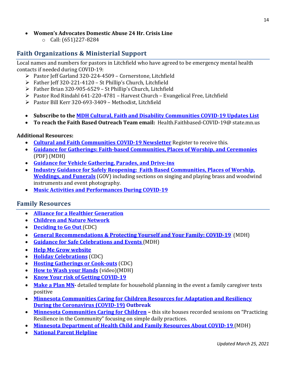- **Women's Advocates Domestic Abuse 24 Hr. Crisis Line** 
	- o Call: (651)227-8284

## **Faith Organizations & Ministerial Support**

Local names and numbers for pastors in Litchfield who have agreed to be emergency mental health contacts if needed during COVID-19:

- Pastor Jeff Garland 320-224-4509 Cornerstone, Litchfield
- Father Jeff 320-221-4120 St Phillip's Church, Litchfield
- Father Brian 320-905-6529 St Phillip's Church, Litchfield
- $\triangleright$  Pastor Rod Rindahl 641-220-4781 Harvest Church Evangelical Free, Litchfield
- ▶ Pastor Bill Kerr 320-693-3409 Methodist, Litchfield
- **Subscribe to the [MDH Cultural, Faith and Disability Communities COVID-19 Updates List](https://public.govdelivery.com/accounts/MNMDH/subscriber/new?topic_id=MNMDH_491serv)**
- **To reach the Faith Based Outreach Team email:** Health.Faithbased-COVID-19@ state.mn.us

#### **Additional Resources:**

- **Cultural [and Faith Communities COVID-19 Newsletter](https://public.govdelivery.com/accounts/MNMDH/subscriber/new?topic_id=MNMDH_491serv)** Register to receive this.
- **[Guidance for Gatherings: Faith-based Communities, Places of Worship, and Ceremonies](https://www.health.state.mn.us/diseases/coronavirus/guidefaith.pdf)**  [\(PDF\) \(MDH\)](https://www.health.state.mn.us/diseases/coronavirus/guidefaith.pdf)
- **[Guidance for Vehicle Gathering, Parades, and Drive-ins](https://www.health.state.mn.us/diseases/coronavirus/vehiclegather.pdf)**
- **Industry Guidance [for Safely Reopening: Faith Based Communities, Places of Worship,](https://www.health.state.mn.us/diseases/coronavirus/safefaith.pdf)  [Weddings, and Funerals](https://www.health.state.mn.us/diseases/coronavirus/safefaith.pdf)** (GOV) including sections on singing and playing brass and woodwind instruments and event photography.
- **[Music Activities and Performances During COVID-19](https://www.health.state.mn.us/diseases/coronavirus/musicguide.pdf)**

#### **Family Resources**

- **[Alliance for a Healthier Generation](https://www.healthiergeneration.org/campaigns/covid-19)**
- **[Children and Nature Network](https://www.childrenandnature.org/research/greenspace-exposure-is-associated-with-wide-ranging-health-benefits-across-143-studies/)**
- **[Deciding to Go Out](https://www.cdc.gov/coronavirus/2019-ncov/daily-life-coping/deciding-to-go-out.html)** (CDC)
- **[General Recommendations & Protecting Yourself and Your Family: COVID-19](https://www.health.state.mn.us/diseases/coronavirus/prevention.html)** (MDH)
- **[Guidance for Safe Celebrations and Events](https://www.health.state.mn.us/diseases/coronavirus/safeevents.pdf)** (MDH)
- **[Help Me Grow website](http://helpmegrowmn.org/HMG/index.htm)**
- **[Holiday Celebrations](https://www.cdc.gov/coronavirus/2019-ncov/daily-life-coping/holidays.html)** (CDC)
- **[Hosting Gatherings or Cook-outs](https://www.cdc.gov/coronavirus/2019-ncov/daily-life-coping/personal-social-activities.html#gatherings)** (CDC)
- **[How to Wash your Hands](https://www.health.state.mn.us/diseases/coronavirus/materials/videos.html)** (video)(MDH)
- **[Know Your risk of Getting COVID-19](https://www.youtube.com/watch?time_continue=6&v=4-aloGTYmIc&feature=emb_title)**
- [Make a Plan MN-](https://mn.gov/covid19/for-minnesotans/get-help/make-a-plan.jsp) detailed template for household planning in the event a family caregiver tests positive
- **[Minnesota Communities Caring for Children Resources for Adaptation and Resiliency](https://www.pcamn.org/prevention-resources/)  [During the Coronavirus \(COVID-19\)](https://www.pcamn.org/prevention-resources/) Outbreak**
- **[Minnesota Communities Caring for Children](https://www.pcamn.org/practicing-resilience-in-community/) –** this site houses recorded sessions on "Practicing Resilience in the Community" focusing on simple daily practices.
- **[Minnesota Department of Health Child and Family Resources About COVID-19](https://www.health.state.mn.us/communities/ep/behavioral/covid19.html#family)** (MDH)
- **[National Parent Helpline](http://www.nationalparenthelpline.org/)**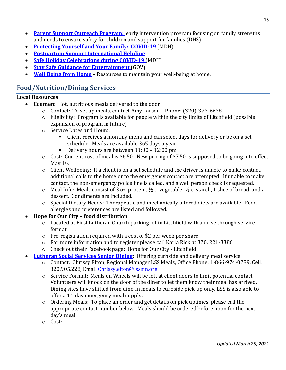- **[Parent Support Outreach Program:](https://mn.gov/dhs/people-we-serve/children-and-families/services/child-protection/programs-services/parent-support-outreach.jsp)** early intervention program focusing on family strengths and needs to ensure safety for children and support for families (DHS)
- **Protecting [Yourself and Your Family: COVID-19](https://www.health.state.mn.us/diseases/coronavirus/prevention.html)** (MDH)
- **[Postpartum Support International Helpline](https://www.postpartum.net/)**
- **[Safe Holiday Celebrations during COVID-19](https://www.health.state.mn.us/diseases/coronavirus/holidays.html)** (MDH)
- **[Stay Safe Guidance for Entertainment](https://staysafe.mn.gov/industry-guidance/entertainment.jsp)** (GOV)
- **[Well Being from Home](https://healthylife.com/wfh) –** Resources to maintain your well-being at home.

# **Food/Nutrition/Dining Services**

#### **Local Resources**

- **Ecumen:** Hot, nutritious meals delivered to the door
	- o Contact: To set up meals, contact Amy Larson Phone: (320)-373-6638
	- o Eligibility: Program is available for people within the city limits of Litchfield (possible expansion of program in future)
	- o Service Dates and Hours:
		- Client receives a monthly menu and can select days for delivery or be on a set schedule. Meals are available 365 days a year.
		- Delivery hours are between 11:00 12:00 pm
	- o Cost: Current cost of meal is \$6.50. New pricing of \$7.50 is supposed to be going into effect May 1st.
	- o Client Wellbeing: If a client is on a set schedule and the driver is unable to make contact, additional calls to the home or to the emergency contact are attempted. If unable to make contact, the non-emergency police line is called, and a well person check is requested.
	- $\circ$  Meal Info: Meals consist of 3 oz. protein, ½ c. vegetable, ½ c. starch, 1 slice of bread, and a dessert. Condiments are included.
	- o Special Dietary Needs: Therapeutic and mechanically altered diets are available. Food allergies and preferences are listed and followed.

## • **Hope for Our City – food distribution**

- $\circ$  Located at First Lutheran Church parking lot in Litchfield with a drive through service format
- o Pre-registration required with a cost of \$2 per week per share
- o For more information and to register please call Karla Rick at 320. 221-3386
- o Check out their Facebook page: Hope for Our City Litchfield
- **[Lutheran Social Services Senior Dining:](http://www.lssmn.org/meals)** Offering curbside and delivery meal service
	- o Contact: Chrissy Elton, Regional Manager LSS Meals, Office Phone: 1-866-974-0289, Cell: 320.905.228, Email [Chrissy.elton@lssmn.org](mailto:Chrissy.elton@lssmn.org)
	- o Service Format: Meals on Wheels will be left at client doors to limit potential contact. Volunteers will knock on the door of the diner to let them know their meal has arrived. Dining sites have shifted from dine-in meals to curbside pick-up only. LSS is also able to offer a 14-day emergency meal supply.
	- o Ordering Meals: To place an order and get details on pick uptimes, please call the appropriate contact number below. Meals should be ordered before noon for the next day's meal.
	- o Cost: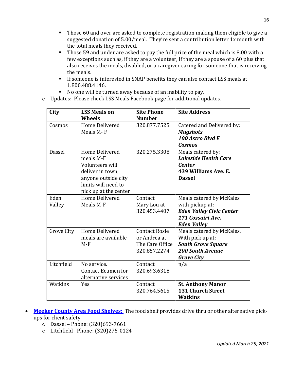- **Those 60 and over are asked to complete registration making them eligible to give a** suggested donation of 5.00/meal. They're sent a contribution letter 1x month with the total meals they received.
- Those 59 and under are asked to pay the full price of the meal which is 8.00 with a few exceptions such as, if they are a volunteer, if they are a spouse of a 60 plus that also receives the meals, disabled, or a caregiver caring for someone that is receiving the meals.
- **If someone is interested in SNAP benefits they can also contact LSS meals at** 1.800.488.4146.
- No one will be turned away because of an inability to pay.
- o Updates: Please check LSS Meals Facebook page for additional updates.

| City           | <b>LSS Meals on</b><br><b>Wheels</b>                                                                                                             | <b>Site Phone</b><br><b>Number</b>                                      | <b>Site Address</b>                                                                                                        |
|----------------|--------------------------------------------------------------------------------------------------------------------------------------------------|-------------------------------------------------------------------------|----------------------------------------------------------------------------------------------------------------------------|
| Cosmos         | Home Delivered<br>Meals M-F                                                                                                                      | 320.877.7525                                                            | Catered and Delivered by:<br><b>Mugshots</b><br>100 Astro Blvd E<br><b>Cosmos</b>                                          |
| Dassel         | <b>Home Delivered</b><br>meals M-F<br>Volunteers will<br>deliver in town;<br>anyone outside city<br>limits will need to<br>pick up at the center | 320.275.3308                                                            | Meals catered by:<br><b>Lakeside Health Care</b><br><b>Center</b><br>439 Williams Ave. E.<br><b>Dassel</b>                 |
| Eden<br>Valley | <b>Home Delivered</b><br>Meals M-F                                                                                                               | Contact<br>Mary Lou at<br>320.453.4407                                  | Meals catered by McKales<br>with pickup at:<br><b>Eden Valley Civic Center</b><br>171 Cossairt Ave.<br><b>Eden Valley</b>  |
| Grove City     | Home Delivered<br>meals are available<br>$M-F$                                                                                                   | <b>Contact Rosie</b><br>or Andrea at<br>The Care Office<br>320.857.2274 | Meals catered by McKales.<br>With pick up at:<br><b>South Grove Square</b><br><b>200 South Avenue</b><br><b>Grove City</b> |
| Litchfield     | No service.<br><b>Contact Ecumen for</b><br>alternative services                                                                                 | Contact<br>320.693.6318                                                 | n/a                                                                                                                        |
| Watkins        | Yes                                                                                                                                              | Contact<br>320.764.5615                                                 | <b>St. Anthony Manor</b><br><b>131 Church Street</b><br><b>Watkins</b>                                                     |

- **[Meeker County Area Food Shelves:](http://meekercountyfood.org/)** The food shelf provides drive thru or other alternative pickups for client safety.
	- o Dassel Phone: (320)693-7661
	- o Litchfield– Phone: (320)275-0124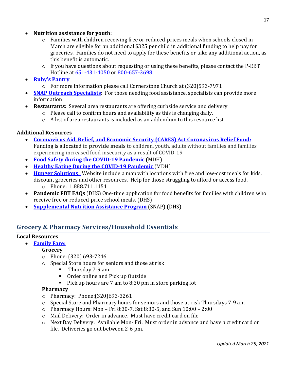- **Nutrition assistance for youth:**
	- o Families with children receiving free or reduced-prices meals when schools closed in March are eligible for an additional \$325 per child in additional funding to help pay for groceries. Families do not need to apply for these benefits or take any additional action, as this benefit is automatic.
	- $\circ$  If you have questions about requesting or using these benefits, please contact the P-EBT Hotline at [651-431-4050](tel:6514314050) or [800-657-3698.](tel:8006573698)
- **[Ruby's Pantry](https://www.rubyspantry.org/)**
	- o For more information please call Cornerstone Church at (320)593-7971
- **[SNAP Outreach Specialists:](https://applymn.dhs.mn.gov/online-app-web/spring/public/process-login?execution=e2s1)** For those needing food assistance, specialists can provide more information
- **Restaurants:** Several area restaurants are offering curbside service and delivery
	- o Please call to confirm hours and availability as this is changing daily.
	- $\circ$  A list of area restaurants is included as an addendum to this resource list

#### **Additional Resources**

- **[Coronavirus Aid, Relief, and Economic Security \(CARES\) Act Coronavirus Relief Fund:](https://home.treasury.gov/policy-issues/cares/state-and-local-governments)**  Funding is allocated to **provide meals** to children, youth, adults without families and families experiencing increased food insecurity as a result of COVID-19
- **[Food Safety during the COVID-19 Pandemic](https://www.health.state.mn.us/people/foodsafety/emergency/covid.html)** (MDH)
- **[Healthy Eating During the COVID-19 Pandemic](https://www.health.state.mn.us/communities/healthyeating/covid19.html#:%7E:text=Do%20your%20best%20to%20eat,sugar%2C%20caffeine%2C%20and%20alcohol.)** (MDH)
- **[Hunger Solutions](http://www.hungersolutions.org/find-help/)**: Website include a map with locations with free and low-cost meals for kids, discount groceries and other resources. Help for those struggling to afford or access food. o Phone: 1.888.711.1151
- **[Pandemic EBT FAQs](https://mn.gov/dhs/people-we-serve/children-and-families/economic-assistance/food-nutrition/resources/online-ebt-faqs.jsp)** (DHS) One-time application for food benefits for families with children who receive free or reduced-price school meals. (DHS)
- **[Supplemental Nutrition Assistance Program](https://mn.gov/dhs/food-emergency/)** (SNAP) (DHS)

## **Grocery & Pharmacy Services/Household Essentials**

#### **Local Resources**

• **[Family Fare:](https://www.shopfamilyfare.com/locations/litchfield/3335)**

#### **Grocery**

- o Phone: (320) 693-7246
- o Special Store hours for seniors and those at risk
	- Thursday 7-9 am
	- Order online and Pick up Outside
	- Pick up hours are 7 am to 8:30 pm in store parking lot

#### **Pharmacy**

- o Pharmacy: Phone:(320)693-3261
- o Special Store and Pharmacy hours for seniors and those at-risk Thursdays 7-9 am
- o Pharmacy Hours: Mon Fri 8:30-7, Sat 8:30-5, and Sun 10:00 2:00
- o Mail Delivery: Order in advance. Must have credit card on file
- o Next Day Delivery: Available Mon- Fri. Must order in advance and have a credit card on file. Deliveries go out between 2-6 pm.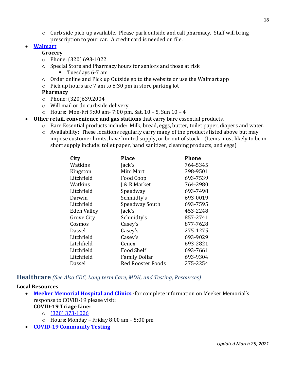$\circ$  Curb side pick-up available. Please park outside and call pharmacy. Staff will bring prescription to your car. A credit card is needed on file.

## • **[Walmart](https://grocery.walmart.com/)**

#### **Grocery**

- o Phone: (320) 693-1022
- o Special Store and Pharmacy hours for seniors and those at risk
	- Tuesdays 6-7 am
- o Order online and Pick up Outside go to the website or use the Walmart app
- o Pick up hours are 7 am to 8:30 pm in store parking lot

#### **Pharmacy**

- o Phone: (320)639.2004
- o Will mail or do curbside delivery
- o Hours: Mon-Fri 9:00 am- 7:00 pm, Sat. 10 5, Sun 10 4
- **Other retail, convenience and gas stations** that carry bare essential products.
	- o Bare Essential products include: Milk, bread, eggs, butter, toilet paper, diapers and water.
	- o Availability: These locations regularly carry many of the products listed above but may impose customer limits, have limited supply, or be out of stock. (Items most likely to be in short supply include: toilet paper, hand sanitizer, cleaning products, and eggs)

| City        | <b>Place</b>             | <b>Phone</b> |
|-------------|--------------------------|--------------|
| Watkins     | Jack's                   | 764-5345     |
| Kingston    | Mini Mart                | 398-9501     |
| Litchfield  | Food Coop                | 693-7539     |
| Watkins     | J & R Market             | 764-2980     |
| Litchfield  | Speedway                 | 693-7498     |
| Darwin      | Schmidty's               | 693-0019     |
| Litchfield  | Speedway South           | 693-7595     |
| Eden Valley | Jack's                   | 453-2248     |
| Grove City  | Schmidty's               | 857-2741     |
| Cosmos      | Casey's                  | 877-7628     |
| Dassel      | Casey's                  | 275-1275     |
| Litchfield  | Casey's                  | 693-9029     |
| Litchfield  | Cenex                    | 693-2821     |
| Litchfield  | <b>Food Shelf</b>        | 693-7661     |
| Litchfield  | <b>Family Dollar</b>     | 693-9304     |
| Dassel      | <b>Red Rooster Foods</b> | 275-2254     |
|             |                          |              |

#### **Healthcare** *(See Also CDC, Long term Care, MDH, and Testing, Resources)*

#### **Local Resources**

- **[Meeker Memorial Hospital and Clinics](https://meekermemorial.org/MMH_covid19/) -**for complete information on Meeker Memorial's response to COVID-19 please visit: **COVID-19 Triage Line:**
	- o [\(320\) 373-1026](tel:3203731026)
	- o Hours: Monday Friday 8:00 am 5:00 pm
- **[COVID-19 Community Testing](https://www.health.state.mn.us/diseases/coronavirus/testsites/index.html)**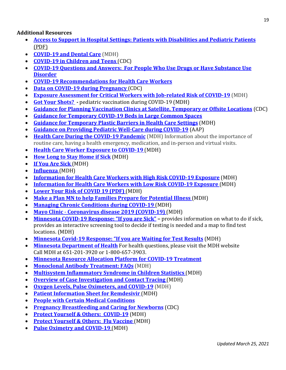**Additional Resources**

- **[Access to Support in Hospital Settings: Patients with Disabilities and Pediatric Patients](https://lnks.gd/l/eyJhbGciOiJIUzI1NiJ9.eyJidWxsZXRpbl9saW5rX2lkIjoxNDksInVyaSI6ImJwMjpjbGljayIsImJ1bGxldGluX2lkIjoiMjAyMTAzMDMuMzYzMDE1NDEiLCJ1cmwiOiJodHRwczovL3d3dy5oZWFsdGguc3RhdGUubW4udXMvZGlzZWFzZXMvY29yb25hdmlydXMvaGNwL3BhdGllbnRzdXBwb3J0LnBkZiJ9.zYLGmZiAm78QvjsbU_Y92FKzXfFx_ea4AhTyb0cmRTI/s/862318511/br/99384025154-l)** [\(PDF\)](https://lnks.gd/l/eyJhbGciOiJIUzI1NiJ9.eyJidWxsZXRpbl9saW5rX2lkIjoxNDksInVyaSI6ImJwMjpjbGljayIsImJ1bGxldGluX2lkIjoiMjAyMTAzMDMuMzYzMDE1NDEiLCJ1cmwiOiJodHRwczovL3d3dy5oZWFsdGguc3RhdGUubW4udXMvZGlzZWFzZXMvY29yb25hdmlydXMvaGNwL3BhdGllbnRzdXBwb3J0LnBkZiJ9.zYLGmZiAm78QvjsbU_Y92FKzXfFx_ea4AhTyb0cmRTI/s/862318511/br/99384025154-l)
- **[COVID-19 and Dental Care](https://www.health.state.mn.us/people/oralhealth/resources/covid19.html)** (MDH)
- **[COVID-19 in Children and Teens](https://www.cdc.gov/coronavirus/2019-ncov/daily-life-coping/children/symptoms.html)** (CDC)
- **[COVID-19 Questions and Answers: For People Who Use Drugs or Have Substance Use](https://www.cdc.gov/coronavirus/2019-ncov/need-extra-precautions/other-at-risk-populations/people-who-use-drugs/QA.html)  [Disorder](https://www.cdc.gov/coronavirus/2019-ncov/need-extra-precautions/other-at-risk-populations/people-who-use-drugs/QA.html)**
- **[COVID-19 Recommendations for Health Care Workers](https://www.health.state.mn.us/diseases/coronavirus/hcp/hcwrecs.pdf)**
- **[Data on COVID-19 during Pregnancy](https://www.cdc.gov/coronavirus/2019-ncov/cases-updates/special-populations/pregnancy-data-on-covid-19.html)** (CDC)
- **[Exposure Assessment for Critical Workers with Job-related Risk of COVID-19](https://www.health.state.mn.us/diseases/coronavirus/hcp/mabassess.pdf)** (MDH)
- **[Got Your Shots?](https://www.health.state.mn.us/people/immunize/hcp/covidpediz.pdf) -** pediatric vaccination during COVID-19 (MDH)
- **[Guidance for Planning Vaccination Clinics at Satellite, Temporary or Offsite Locations](https://www.cdc.gov/vaccines/hcp/admin/mass-clinic-activities/index.html?deliveryName=USCDC_1377-DM33808)** (CDC)
- **[Guidance for Temporary COVID-19 Beds in Large Common Spaces](https://www.health.state.mn.us/diseases/coronavirus/hcp/tempbed.html)**
- **Guidance for Temporary Plastic Barriers in Health Care Settings** (MDH)
- **[Guidance on Providing Pediatric Well-Care during COVID-19](https://services.aap.org/en/pages/2019-novel-coronavirus-covid-19-infections/clinical-guidance/guidance-on-providing-pediatric-well-care-during-covid-19/)** (AAP)
- **[Health Care During the COVID-19 Pandemic](https://www.health.state.mn.us/people/conditions/getcare.html)** (MDH) Information about the importance of routine care, having a health emergency, medication, and in-person and virtual visits.
- **[Health Care Worker Exposure to COVID-19](https://www.health.state.mn.us/diseases/coronavirus/hcp/exposure.html)** (MDH)
- **[How Long to Stay Home if Sick](https://www.health.state.mn.us/diseases/coronavirus/sick.html#stayhome)** (MDH)
- **[If You Are Sick](https://www.health.state.mn.us/diseases/coronavirus/sick.html)** (MDH)
- **[Influenza](https://www.health.state.mn.us/diseases/flu/index.html)** (MDH)
- **[Information for Health Care Workers with High Risk COVID-19 Exposure](https://www.health.state.mn.us/diseases/coronavirus/hcp/highrisk.pdf)** (MDH)
- **[Information for Health Care Workers with Low Risk COVID-19 Exposure](https://www.health.state.mn.us/diseases/coronavirus/hcp/lowrisk.pdf)** (MDH)
- **[Lower Your Risk of COVID 19 \(PDF\)](https://www.health.state.mn.us/diseases/coronavirus/materials/risk.pdf)** (MDH)
- **Make a Plan [MN to help Families Prepare for Potential Illness](https://mn.gov/covid19/for-minnesotans/get-help/make-a-plan.jsp)** (MDH)
- **[Managing Chronic Conditions during COVID-19](https://www.health.state.mn.us/people/conditions/index.html)** (MDH)
- **Mayo Clinic [Coronavirus disease 2019 \(COVID-19\)](https://www.mayoclinic.org/diseases-conditions/coronavirus/symptoms-causes/syc-20479963)** (MDH)
- **[Minnesota COVID-19 Response: "If you are Sick"](https://mn.gov/covid19/for-minnesotans/if-sick/) –** provides information on what to do if sick, provides an interactive screening tool to decide if testing is needed and a map to find test locations. (MDH)
- **[Minnesota Covid-19 Response: "If you are Waiting for Test Results](https://www.health.state.mn.us/diseases/coronavirus/waiting.pdf)** (MDH)
- **[Minnesota Department of Health](http://www.health.state.mn.us/diseases/coronavirus)** For health questions, please visit the MDH website Call MDH at 651-201-3920 or 1-800-657-3903.
- **[Minnesota Resource Allocation Platform for COVID-19 Treatment](https://lnks.gd/l/eyJhbGciOiJIUzI1NiJ9.eyJidWxsZXRpbl9saW5rX2lkIjoxMzksInVyaSI6ImJwMjpjbGljayIsImJ1bGxldGluX2lkIjoiMjAyMTAzMDMuMzYzMDE1NDEiLCJ1cmwiOiJodHRwczovL3d3dy5oZWFsdGguc3RhdGUubW4udXMvZGlzZWFzZXMvY29yb25hdmlydXMvbW5yYXAuaHRtbCJ9.qUWxdPGdC5vClONYKnxNYQpzT1lloDP8ZBXehEvtbBc/s/862318511/br/99384025154-l)**
- **[Monoclonal Antibody Treatment: FAQs](https://www.health.state.mn.us/diseases/coronavirus/hcp/bamfaq.html)** (MDH)
- **[Multisystem Inflammatory Syndrome in Children Statistics](https://www.health.state.mn.us/diseases/misc/stats.html)** (MDH)
- **[Overview of Case Investigation and Contact Tracing](https://www.health.state.mn.us/diseases/coronavirus/hcp/cictoverview.pdf)** (MDH)
- **[Oxygen Levels, Pulse Oximeters, and COVID-19](https://www.health.state.mn.us/diseases/coronavirus/pulseoximeter.html)** (MDH)
- **[Patient Information Sheet for Remdesivir](https://www.health.state.mn.us/diseases/coronavirus/hcp/remdesivirpat.pdf)** (MDH)
- **[People with Certain Medical Conditions](https://www.cdc.gov/coronavirus/2019-ncov/need-extra-precautions/people-with-medical-conditions.html)**
- **[Pregnancy Breastfeeding and Caring for Newborns](https://www.cdc.gov/coronavirus/2019-ncov/need-extra-precautions/pregnancy-breastfeeding.html)** (CDC)
- **[Protect Yourself & Others: COVID-19](https://www.health.state.mn.us/diseases/coronavirus/prevention.html)** (MDH)
- **[Protect Yourself & Others: Flu Vaccine](https://www.health.state.mn.us/diseases/coronavirus/prevention.html#flu)** (MDH)
- **[Pulse Oximetry and COVID-19](https://www.health.state.mn.us/diseases/coronavirus/hcp/pulseoximetry.pdf)** (MDH)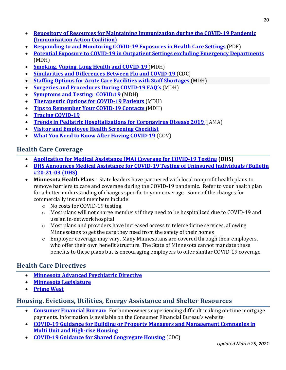- **[Repository of Resources for Maintaining Immunization during the COVID-19 Pandemic](https://www.immunizationcoalitions.org/resource-repository/) (Immunization Action Coalition)**
- **[Responding to and Monitoring COVID-19 Exposures in Health Care Settings](https://lnks.gd/l/eyJhbGciOiJIUzI1NiJ9.eyJidWxsZXRpbl9saW5rX2lkIjoxMzksInVyaSI6ImJwMjpjbGljayIsImJ1bGxldGluX2lkIjoiMjAyMTAyMjQuMzU4ODQ2ODEiLCJ1cmwiOiJodHRwczovL3d3dy5oZWFsdGguc3RhdGUubW4udXMvZGlzZWFzZXMvY29yb25hdmlydXMvaGNwL3Jlc3BvbnNlLnBkZiJ9.loGm-zKMMqFLVBhyjMu4f9bSbde58Q3GlP7pR564PzQ/s/862318511/br/98303970767-l)** (PDF)
- **[Potential Exposure to COVID-19 in Outpatient Settings excluding Emergency Departments](https://www.health.state.mn.us/diseases/coronavirus/hcp/outpatient.pdf)** (MDH)
- **[Smoking, Vaping, Lung Health and COVID-19](https://www.health.state.mn.us/communities/tobacco/quitting/index.html#covid19)** (MDH)
- **[Similarities and Differences Between Flu and COVID-19](https://www.cdc.gov/flu/symptoms/flu-vs-covid19.htm)** (CDC)
- **Staffing Options for Acute Care Facilities with Staff Shortages** (MDH)
- **[Surgeries and Procedures](https://www.health.state.mn.us/diseases/coronavirus/hcp/surgery.html) During COVID-19 FAQ's** (MDH)
- **[Symptoms and Testing: COVID:19](https://www.health.state.mn.us/diseases/coronavirus/symptoms.html)** (MDH)
- **[Therapeutic Options for COVID-19 Patients](https://www.health.state.mn.us/diseases/coronavirus/hcp/therapeutic.html)** (MDH)
- **[Tips to Remember Your COVID-19 Contacts](https://www.health.state.mn.us/diseases/coronavirus/tipscontact.pdf)** (MDH)
- **[Tracing COVID-19](https://www.health.state.mn.us/diseases/coronavirus/tracing.html)**
- **[Trends in Pediatric Hospitalizations for Coronavirus Disease 2019](https://jamanetwork.com/journals/jamapediatrics/fullarticle/2775008)** (JAMA)
- **[Visitor and Employee Health Screening Checklist](https://www.health.state.mn.us/diseases/coronavirus/facilityhlthscreen.pdf)**
- **[What You Need to Know After Having COVID-19](https://mn.gov/covid19/about-covid/after-covid.jsp)** (GOV)

## **Health Care Coverage**

- **[Application for Medical Assistance \(MA\) Coverage for COVID-19 Testing](https://edocs.dhs.state.mn.us/lfserver/Public/DHS-7310-ENG) (DHS)**
- **[DHS Announces Medical Assistance for COVID-19 Testing of Uninsured Individuals \(Bulletin](https://www.dhs.state.mn.us/main/idcplg?IdcService=GET_FILE&RevisionSelectionMethod=LatestReleased&allowInterrupt=1&dDocName=DHS-321268)  [#20-21-03 \(DHS\)](https://www.dhs.state.mn.us/main/idcplg?IdcService=GET_FILE&RevisionSelectionMethod=LatestReleased&allowInterrupt=1&dDocName=DHS-321268)**
- **Minnesota Health Plans**: State leaders have partnered with local nonprofit health plans to remove barriers to care and coverage during the COVID-19 pandemic. Refer to your health plan for a better understanding of changes specific to your coverage. Some of the changes for commercially insured members include:
	- o No costs for COVID-19 testing.
	- o Most plans will not charge members if they need to be hospitalized due to COVID-19 and use an in-network hospital
	- $\circ$  Most plans and providers have increased access to telemedicine services, allowing Minnesotans to get the care they need from the safety of their homes
	- o Employer coverage may vary. Many Minnesotans are covered through their employers, who offer their own benefit structure. The State of Minnesota cannot mandate these benefits to these plans but is encouraging employers to offer similar COVID-19 coverage.

## **Health Care Directives**

- **[Minnesota Advanced Psychiatric Directive](https://mn.gov/omhdd/assets/MN%20Advanced%20Psychiatric%20Directive_tcm23-27626.pdf)**
- **[Minnesota Legislature](https://www.revisor.mn.gov/statutes/cite/145C.16)**
- **[Prime West](https://www.primewest.org/delegate/resource/document/3cc0e0b2-a34e-4b57-bf6c-3ad7f20d6fe7/PW_2007_035.pdf)**

## **Housing, Evictions, Utilities, Energy Assistance and Shelter Resources**

- **[Consumer Financial Bureau:](https://www.consumerfinance.gov/about-us/blog/guide-coronavirus-mortgage-relief-options/)** For homeowners experiencing difficult making on-time mortgage payments. Information is available on the Consumer Financial Bureau's website
- **[COVID-19 Guidance for Building or Property Managers and Management Companies in](https://www.health.state.mn.us/diseases/coronavirus/schools/cleanihe.html)  [Multi Unit and High-rise Housing](https://www.health.state.mn.us/diseases/coronavirus/schools/cleanihe.html)**
- **[COVID-19 Guidance for Shared Congregate Housing](https://www.cdc.gov/coronavirus/2019-ncov/community/shared-congregate-house/guidance-shared-congregate-housing.html)** (CDC)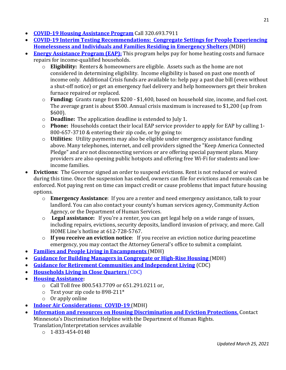- **[COVID-19 Housing Assistance Program](http://www.housinghelpmn.org/)** Call 320.693.7911
- **[COVID-19 Interim Testing Recommendations: Congregate Settings for People Experiencing](https://www.health.state.mn.us/diseases/coronavirus/guidetestshelter.pdf)  [Homelessness and Individuals and Families Residing in Emergency Shelters](https://www.health.state.mn.us/diseases/coronavirus/guidetestshelter.pdf)** (MDH)
- **[Energy Assistance Program \(EAP\):](https://mn.gov/commerce/consumers/consumer-assistance/energy-assistance/eap-provider.jsp)** This program helps pay for home heating costs and furnace repairs for income-qualified households.
	- o **Eligibility:** Renters & homeowners are eligible. Assets such as the home are not considered in determining eligibility. Income eligibility is based on past one month of income only. Additional Crisis funds are available to: help pay a past due bill (even without a shut-off notice) or get an emergency fuel delivery and help homeowners get their broken furnace repaired or replaced.
	- o **Funding:** Grants range from \$200 \$1,400, based on household size, income, and fuel cost. The average grant is about \$500. Annual crisis maximum is increased to \$1,200 (up from \$600).
	- o **Deadline:** The application deadline is extended to July 1.
	- o **Phone:** Households contact their local EAP service provider to apply for EAP by calling 1- 800-657-3710 & entering their zip code, or by going to:
	- o **Utilities:** Utility payments may also be eligible under emergency assistance funding above. Many telephones, internet, and cell providers signed the "Keep America Connected Pledge" and are not disconnecting services or are offering special payment plans. Many providers are also opening public hotspots and offering free Wi-Fi for students and lowincome families.
- **Evictions**: The Governor signed an order to suspend evictions. Rent is not reduced or waived during this time. Once the suspension has ended, owners can file for evictions and removals can be enforced. Not paying rent on time can impact credit or cause problems that impact future housing options.
	- o **Emergency Assistance**: If you are a renter and need emergency assistance, talk to your landlord. You can also contact your county's human services agency, Community Action Agency, or the Department of Human Services.
	- o **Legal assistance:** If you're a renter, you can get legal help on a wide range of issues, including repairs, evictions, security deposits, landlord invasion of privacy, and more. Call HOME Line's hotline at 612-728-5767.
	- o **If you receive an eviction notice**: If you receive an eviction notice during peacetime emergency, you may contact the Attorney General's office to submit a complaint.
- **[Families and People Living in Encampments](https://www.health.state.mn.us/diseases/coronavirus/encampment.pdf)** (MDH)
- **[Guidance for Building Managers in Congregate or High-Rise Housing](https://www.health.state.mn.us/diseases/coronavirus/guidehousing.pdf)** (MDH)
- **[Guidance for Retirement Communities and Independent Living](https://www.cdc.gov/coronavirus/2019-ncov/community/retirement/index.html)** (CDC)
- **[Households Living in Close Quarters](https://www.cdc.gov/coronavirus/2019-ncov/daily-life-coping/living-in-close-quarters.html?deliveryName=USCDC_2067-DM26308)** (CDC)
- **[Housing Assistance:](https://www.211unitedway.org/)** 
	- o Call Toll free 800.543.7709 or 651.291.0211 or,
	- o Text your zip code to 898-211\*
	- o Or apply online
- **[Indoor Air Considerations: COVID-19](https://www.health.state.mn.us/diseases/coronavirus/indoorair.html)** (MDH)
- **Information and resources on Housing Discrimination and Eviction Protections.** Contact Minnesota's Discrimination Helpline with the Department of Human Rights. Translation/Interpretation services available
	- $\circ$  1-833-454-0148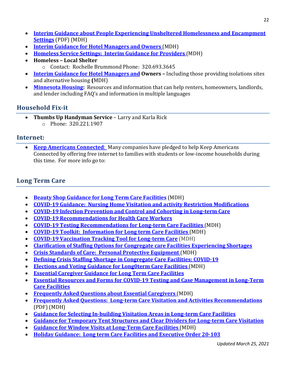- **[Interim Guidance about People Experiencing Unsheltered](https://www.health.state.mn.us/diseases/coronavirus/unsheltered.pdf) Homelessness and Encampment Settings** [\(PDF\) \(MDH\)](https://www.health.state.mn.us/diseases/coronavirus/unsheltered.pdf)
- **[Interim Guidance for Hotel Managers and Owners](https://www.health.state.mn.us/diseases/coronavirus/lodgingcleaning.pdf)** (MDH)
- **[Homeless Service Settings: Interim Guidance for Providers](https://www.health.state.mn.us/diseases/coronavirus/guideshelter.pdf)** (MDH)
- **Homeless – Local Shelter**
	- o Contact: Rochelle Brummond Phone: 320.693.3645
- **[Interim Guidance for Hotel Managers and](https://www.health.state.mn.us/diseases/coronavirus/lodgingcleaning.pdf) Owners –** Including those providing isolations sites and alternative housing **(**MDH)
- **[Minnesota Housing:](http://www.mnhousing.gov/sites/Satellite?c=Page&cid=1520221592207&pagename=External%2FPage%2FEXTStandardLayout)** Resources and information that can help renters, homeowners, landlords, and lender including FAQ's and information in multiple languages

# **Household Fix-it**

• **Thumbs Up Handyman Service** – Larry and Karla Rick o Phone: 320.221.1907

## **Internet:**

• **[Keep Americans Connected](https://www.fcc.gov/keep-americans-connected)**: Many companies have pledged to help [Keep Americans](https://lnks.gd/l/eyJhbGciOiJIUzI1NiJ9.eyJidWxsZXRpbl9saW5rX2lkIjoxMTEsInVyaSI6ImJwMjpjbGljayIsImJ1bGxldGluX2lkIjoiMjAyMDAzMTkuMTg5OTIwMDEiLCJ1cmwiOiJodHRwczovL3d3dy5mY2MuZ292L2tlZXAtYW1lcmljYW5zLWNvbm5lY3RlZCJ9.H_IezvDe_Q7PnMYAwGMzayte9W4qtb0hAw13iYDU1ls/br/76348180438-l) [Connected](https://lnks.gd/l/eyJhbGciOiJIUzI1NiJ9.eyJidWxsZXRpbl9saW5rX2lkIjoxMTEsInVyaSI6ImJwMjpjbGljayIsImJ1bGxldGluX2lkIjoiMjAyMDAzMTkuMTg5OTIwMDEiLCJ1cmwiOiJodHRwczovL3d3dy5mY2MuZ292L2tlZXAtYW1lcmljYW5zLWNvbm5lY3RlZCJ9.H_IezvDe_Q7PnMYAwGMzayte9W4qtb0hAw13iYDU1ls/br/76348180438-l) by offering free internet to families with students or low-income households during this time. For more info go to:

# **Long Term Care**

- **[Beauty Shop Guidance for Long Term Care Facilities](https://www.health.state.mn.us/diseases/coronavirus/hcp/ltcbeauty.pdf)** (MDH)
- **[COVID-19 Guidance: Nursing Home Visitation and activity Restriction Modifications](https://www.health.state.mn.us/diseases/coronavirus/tracing.html)**
- **[COVID-19 Infection Prevention and Control and Cohorting in Long-term Care](https://www.health.state.mn.us/diseases/coronavirus/hcp/ltcipchohort.pdf)**
- **[COVID-19 Recommendations for Health Care Workers](https://www.health.state.mn.us/diseases/coronavirus/hcp/hcwrecs.pdf)**
- **[COVID-19 Testing Recommendations for Long-term Care Facilities](https://www.health.state.mn.us/diseases/coronavirus/hcp/ltctestrec.pdf)** (MDH)
- **[COVID-19 Toolkit: Information for Long term Care Facilities](https://www.health.state.mn.us/diseases/coronavirus/hcp/ltctoolkit.pdf)** (MDH)
- **[COVID-19 Vaccination Tracking Tool for Long-term Care](https://www.health.state.mn.us/diseases/coronavirus/hcp/ltcvaxtracker.xlsx)** (MDH)
- **[Clarification of Staffing Options for Congregate care Facilities Experiencing Shortages](https://www.health.state.mn.us/diseases/coronavirus/hcp/staffoptions.html)**
- **[Crisis Standards of Care: Personal Protective Equipment](https://www.health.state.mn.us/communities/ep/surge/crisis/index.html#ppe)** (MDH)
- **[Defining Crisis Staffing Shortage in Congregate Care Facilities: COVID-19](https://www.health.state.mn.us/diseases/coronavirus/hcp/crisis.html)**
- **[Elections and Voting Guidance for Long0term Care Facilities](https://www.sos.state.mn.us/election-administration-campaigns/elections-calendar/2020-elections-and-covid-19/)** (MDH)
- **[Essential Caregiver Guidance for Long Term Care Facilities](https://www.health.state.mn.us/diseases/coronavirus/hcp/ltccaregiver.htm)**
- **[Essential Resources and Forms for COVID-19 Testing and Case Management in Long-Term](https://www.health.state.mn.us/diseases/coronavirus/hcp/ltcformsguide.pdf)  [Care Facilities](https://www.health.state.mn.us/diseases/coronavirus/hcp/ltcformsguide.pdf)**
- **[Frequently Asked Questions about Essential Caregivers](https://www.health.state.mn.us/diseases/coronavirus/hcp/ltccaregiverfaq.html)** (MDH)
- **[Frequently Asked Questions: Long-term Care Visitation and Activities Recommendations](https://www.health.state.mn.us/diseases/coronavirus/hcp/ltcvisitfaq.pdf)**  [\(PDF\) \(MDH\)](https://www.health.state.mn.us/diseases/coronavirus/hcp/ltcvisitfaq.pdf)
- **[Guidance for Selecting In-building Visitation Areas in Long-term Care Facilities](https://www.health.state.mn.us/diseases/coronavirus/hcp/inbuildingvisit.pdf)**
- **[Guidance for Temporary Tent Structures and Clear Dividers for Long-term Care Visitation](https://www.health.state.mn.us/diseases/coronavirus/hcp/ltcvisittent.pdf)**
- **[Guidance for Window Visits at Long-Term Care Facilities](https://www.health.state.mn.us/diseases/coronavirus/hcp/ltcwindows.pdf)** (MDH)
- **[Holiday Guidance: Long term Care Facilities](https://www.health.state.mn.us/diseases/coronavirus/hcp/ltcholiday.pdf) and Executive Order 20-103**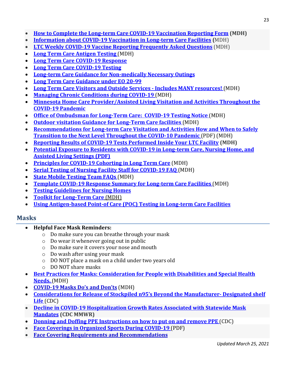- **[How to Complete the Long-term Care COVID-19 Vaccination Reporting Form](https://www.health.state.mn.us/diseases/coronavirus/hcp/ltcvaxreport.pdf) (MDH)**
- **[Information about COVID-19 Vaccination in Long-term Care Facilities](https://www.health.state.mn.us/diseases/coronavirus/hcp/ltcvaccine.pdf) (**MDH)
- **[LTC Weekly COVID-19 Vaccine Reporting Frequently Asked Questions](https://www.health.state.mn.us/diseases/coronavirus/hcp/ltcvaxreportfaq.pdf)** (MDH)
- **[Long Term Care Antigen Testing](https://www.health.state.mn.us/diseases/coronavirus/hcp/ltctesting.html#antigen)** (MDH)
- **[Long Term Care COVID-19 Response](https://www.health.state.mn.us/diseases/coronavirus/hcp/ltcplanupdatenov.pdf)**
- **[Long Term Care COVID-19 Testing](https://www.health.state.mn.us/diseases/coronavirus/hcp/ltctesting.html)**
- **[Long-term Care Guidance for Non-medically Necessary Outings](https://lnks.gd/l/eyJhbGciOiJIUzI1NiJ9.eyJidWxsZXRpbl9saW5rX2lkIjoxMjAsInVyaSI6ImJwMjpjbGljayIsImJ1bGxldGluX2lkIjoiMjAyMTAxMjcuMzQwODAzNzEiLCJ1cmwiOiJodHRwczovL3d3dy5oZWFsdGguc3RhdGUubW4udXMvZGlzZWFzZXMvY29yb25hdmlydXMvaGNwL2x0Y2VvZ3VpZGUuaHRtbCJ9.1m6NlPhY0nAkOWPx9gcnrTd7SA9jy_vFYDx8i5FoFis/s/862318511/br/93790331118-l)**
- **[Long Term Care Guidance under EO 20-99](https://lnks.gd/l/eyJhbGciOiJIUzI1NiJ9.eyJidWxsZXRpbl9saW5rX2lkIjoxMjAsInVyaSI6ImJwMjpjbGljayIsImJ1bGxldGluX2lkIjoiMjAyMTAxMjcuMzQwODAzNzEiLCJ1cmwiOiJodHRwczovL3d3dy5oZWFsdGguc3RhdGUubW4udXMvZGlzZWFzZXMvY29yb25hdmlydXMvaGNwL2x0Y2VvZ3VpZGUuaHRtbCJ9.1m6NlPhY0nAkOWPx9gcnrTd7SA9jy_vFYDx8i5FoFis/s/862318511/br/93790331118-l)**
- **[Long Term Care Visitors and Outside Services -](https://www.health.state.mn.us/diseases/coronavirus/hcp/ltc.html#visit) Includes MANY resources!** (MDH)
- **[Managing Chronic Conditions during COVID-19](https://www.health.state.mn.us/people/conditions/index.html)** (MDH)
- **[Minnesota Home Care Provider/Assisted Living Visitation and Activities Throughout the](https://www.health.state.mn.us/diseases/coronavirus/hcp/ltcvisit.pdf)  [COVID-19 Pandemic](https://www.health.state.mn.us/diseases/coronavirus/hcp/ltcvisit.pdf)**
- **[Office of Ombudsman for Long-Term Care: COVID-19 Testing Notice](https://www.health.state.mn.us/diseases/coronavirus/hcp/ltctestombud.pdf)** (MDH)
- **[Outdoor visitation Guidance for Long-Term Care facilities](https://www.health.state.mn.us/diseases/coronavirus/hcp/ltcoutdoor.pdf)** (MDH)
- **[Recommendations for Long-term Care Visitation and Activities How and When to Safely](https://www.health.state.mn.us/diseases/coronavirus/materials/risk.pdf)  [Transition to the Next Level Throughout the COVID-10 Pandemic](https://www.health.state.mn.us/diseases/coronavirus/materials/risk.pdf)** (PDF) (MDH)
- **[Reporting Results of COVID-19 Tests Performed Inside Your LTC Facility](https://www.health.state.mn.us/diseases/coronavirus/hcp/ltcantigenreport.pdf) (MDH)**
- **[Potential Exposure to Residents with COVID-19 in Long-term Care, Nursing Home, and](https://lnks.gd/l/eyJhbGciOiJIUzI1NiJ9.eyJidWxsZXRpbl9saW5rX2lkIjoxMzgsInVyaSI6ImJwMjpjbGljayIsImJ1bGxldGluX2lkIjoiMjAyMTAyMDMuMzQ1NDc5MTEiLCJ1cmwiOiJodHRwczovL3d3dy5oZWFsdGguc3RhdGUubW4udXMvZGlzZWFzZXMvY29yb25hdmlydXMvaGNwL2x0Y2Fzc2Vzcy5wZGYifQ.8o-yKP0h5JT92Cma4t__AqDHe5OiI-p9uMKp5PgPAsI/s/862318511/br/97014989944-l)  [Assisted Living Settings \(PDF\)](https://lnks.gd/l/eyJhbGciOiJIUzI1NiJ9.eyJidWxsZXRpbl9saW5rX2lkIjoxMzgsInVyaSI6ImJwMjpjbGljayIsImJ1bGxldGluX2lkIjoiMjAyMTAyMDMuMzQ1NDc5MTEiLCJ1cmwiOiJodHRwczovL3d3dy5oZWFsdGguc3RhdGUubW4udXMvZGlzZWFzZXMvY29yb25hdmlydXMvaGNwL2x0Y2Fzc2Vzcy5wZGYifQ.8o-yKP0h5JT92Cma4t__AqDHe5OiI-p9uMKp5PgPAsI/s/862318511/br/97014989944-l)**
- **[Principles for COVID-19 Cohorting in Long Term Care](https://www.health.state.mn.us/diseases/coronavirus/hcp/ltcipchohort.pdf)** (MDH)
- **[Serial Testing of Nursing Facility Staff for COVID-19 FAQ](https://www.health.state.mn.us/diseases/coronavirus/hcp/serialtestfaq.pdf)** (MDH)
- **[State Mobile Testing Team FAQs](https://www.health.state.mn.us/diseases/coronavirus/hcp/ltctestfaq.pdf)** (MDH)
- **[Template COVID-19 Response Summary for Long-term Care Facilities](https://www.health.state.mn.us/diseases/coronavirus/hcp/ltcresponse.docx)** (MDH)
- **[Testing Guidelines for Nursing Homes](https://www.cdc.gov/coronavirus/2019-ncov/hcp/nursing-homes-testing.html)**
- **[Toolkit for Long-Term Care](https://www.health.state.mn.us/diseases/coronavirus/hcp/ltctoolkit.pdf)** (MDH)
- **[Using Antigen-based Point-of Care \(POC\) Testing in Long-term Care Facilities](https://www.health.state.mn.us/diseases/coronavirus/schools/cleanihe.html)**

# **Masks**

- **Helpful Face Mask Reminders:**
	- o Do make sure you can breathe through your mask
	- o Do wear it whenever going out in public
	- o Do make sure it covers your nose and mouth
	- o Do wash after using your mask
	- o DO NOT place a mask on a child under two years old
	- o DO NOT share masks
- **[Best Practices for Masks: Consideration for People with Disabilities and Special Health](https://www.health.state.mn.us/diseases/coronavirus/guidemasks.pdf)  [Needs.](https://www.health.state.mn.us/diseases/coronavirus/guidemasks.pdf)** (MDH)
- **COVID-19 Masks Do's and Don'ts** (MDH)
- **[Considerations for Release of Stockpiled n95's Beyond the Manufacturer-](https://www.cdc.gov/coronavirus/2019-ncov/hcp/release-stockpiled-N95.html) Designated shelf Life** [\(CDC\)](https://www.cdc.gov/coronavirus/2019-ncov/hcp/release-stockpiled-N95.html)
- **[Decline in COVID-19 Hospitalization Growth Rates Associated with Statewide Mask](https://www.cdc.gov/mmwr/volumes/70/wr/mm7006e2.htm?s_cid=mm7006e2_w)  [Mandates](https://www.cdc.gov/mmwr/volumes/70/wr/mm7006e2.htm?s_cid=mm7006e2_w) (CDC MMWR)**
- **[Donning and Doffing PPE Instructions on how to put on and remove PPE](https://www.cdc.gov/coronavirus/2019-ncov/hcp/using-ppe.html)** (CDC)
- **[Face Coverings in Organized Sports During COVID-19](https://lnks.gd/l/eyJhbGciOiJIUzI1NiJ9.eyJidWxsZXRpbl9saW5rX2lkIjoxMjAsInVyaSI6ImJwMjpjbGljayIsImJ1bGxldGluX2lkIjoiMjAyMTAzMDMuMzYzMDE1NDEiLCJ1cmwiOiJodHRwczovL3d3dy5oZWFsdGguc3RhdGUubW4udXMvZGlzZWFzZXMvY29yb25hdmlydXMvc3BvcnRzbWFzay5wZGYifQ.tmQMx-TIPp7xoHm_lVu6epr6C_7-n_OadCgsy4iRMSo/s/862318511/br/99384025154-l)** (PDF)
- **[Face Covering Requirements and Recommendations](https://lnks.gd/l/eyJhbGciOiJIUzI1NiJ9.eyJidWxsZXRpbl9saW5rX2lkIjoxNDIsInVyaSI6ImJwMjpjbGljayIsImJ1bGxldGluX2lkIjoiMjAyMTAyMTguMzU0OTA5ODEiLCJ1cmwiOiJodHRwczovL3d3dy5oZWFsdGguc3RhdGUubW4udXMvZGlzZWFzZXMvY29yb25hdmlydXMvZmFjZWNvdmVyLmh0bWwifQ.lZdkjjmJ8Use_1hporoEbJ_WwrBICr_X9QrKJl_V49Q/s/862318511/br/97838333105-l)**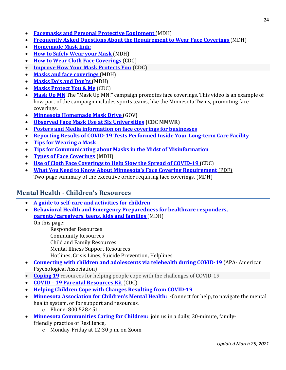- **[Facemasks and Personal Protective Equipment](https://www.health.state.mn.us/diseases/coronavirus/guidance.html#ppe)** (MDH)
- **[Frequently Asked Questions About the Requirement to Wear Face Coverings](https://www.health.state.mn.us/diseases/coronavirus/facecoverfaq.html)** (MDH)
- **[Homemade Mask](https://www.centracare.com/blog/2020/april/making-your-own-face-mask/) link:**
- **[How to Safely Wear your Mask](https://www.health.state.mn.us/diseases/coronavirus/materials/masksafely.pdf)** (MDH)
- **[How to Wear Cloth Face Coverings](https://www.cdc.gov/coronavirus/2019-ncov/prevent-getting-sick/how-to-wear-cloth-face-coverings.html)** (CDC)
- **Improve How [Your Mask Protects You](https://www.cdc.gov/coronavirus/2019-ncov/your-health/effective-masks.html) (CDC)**
- **[Masks and face coverings](https://www.health.state.mn.us/diseases/coronavirus/prevention.html#masks)** (MDH)
- **[Masks Do's and Don'ts](https://www.youtube.com/watch?v=_w2-p4MsAqU&feature=youtu.be)** (MDH)
- **[Masks Protect You & Me](https://www.cdc.gov/coronavirus/2019-ncov/prevent-getting-sick/masks-protect-you-and-me.html)** (CDC)
- [Mask Up MN](https://www.facebook.com/watch/?v=298242044858094) The "Mask Up MN!" campaign promotes face coverings. This video is an example of how part of the campaign includes sports teams, like the Minnesota Twins, promoting face coverings.
- **[Minnesota Homemade Mask Drive](https://mn.gov/covid19/for-minnesotans/volunteer/masks.jsp)** (GOV)
- **[Observed Face Mask Use at Six Universities](https://www.cdc.gov/mmwr/volumes/70/wr/mm7006e1.htm?s_cid=mm7006e1_w) (CDC MMWR)**
- **[Posters and Media information on face coverings for businesses](https://mn.gov/covid19/media/share-message/for-businesses/index.jsp%20.)**
- **[Reporting Results of COVID-19 Tests Performed Inside Your Long-term Care Facility](https://www.health.state.mn.us/diseases/coronavirus/hcp/ltcantigenreport.pdf)**
- **[Tips for Wearing a Mask](https://www.health.state.mn.us/diseases/coronavirus/materials/masktips.pdf)**
- **[Tips for Communicating about Masks in the Midst of Misinformation](https://www.phi.org/thought-leadership/tips-for-communicating-about-masks-in-the-midst-of-misinformation/?mc_cid=6087ba583a&mc_eid=b4bdd9074b)**
- **[Types of Face Coverings](https://www.health.state.mn.us/diseases/coronavirus/facecover.html) (MDH)**
- **[Use of Cloth Face Coverings to Help Slow the Spread of COVID-19](https://www.cdc.gov/coronavirus/2019-ncov/prevent-getting-sick/diy-cloth-face-coverings.html)** (CDC)
- **[What You Need to Know About Minnesota's Face Covering Requirement](https://www.health.state.mn.us/diseases/coronavirus/facecoversummary.pdf)** (PDF) Two-page summary of the executive order requiring face coverings. (MDH)

## **Mental Health - Children's Resources**

- **A guide to self-care and activities for children**
- **[Behavioral Health and Emergency Preparedness](https://www.health.state.mn.us/communities/ep/behavioral/index.html#aid) for healthcare responders, [parents/caregivers, teens, kids and families](https://www.health.state.mn.us/communities/ep/behavioral/index.html#aid)** (MDH)

On this page:

Responder Resources

Community Resources

Child and Family Resources

- Mental Illness Support Resources
- Hotlines, Crisis Lines, Suicide Prevention, Helplines
- **[Connecting with children and adolescents via telehealth during COVID-19](https://www.apa.org/topics/covid-19/telehealth-children)** (APA- American [Psychological Association\)](https://www.apa.org/topics/covid-19/telehealth-children)
- **[Coping 19](https://coping-19.org/resources)** resources for helping people cope with the challenges of COVID-19
- **COVID – [19 Parental Resources Kit](https://www.cdc.gov/coronavirus/2019-ncov/daily-life-coping/parental-resource-kit/)** (CDC)
- **Helping [Children Cope with Changes Resulting from COVID-19](https://www.nasponline.org/resources-and-publications/resources-and-podcasts/school-climate-safety-and-crisis/health-crisis-resources/helping-children-cope-with-changes-resulting-from-covid-19)**
- **Minnesota Association for Children's Mental Health:** Connect for help, to navigate the mental health system, or for support and resources.
	- o Phone: 800.528.4511
- **[Minnesota Communities Caring for Children:](https://zoom.us/j/145915007)** join us in a daily, 30-minute, family
	- friendly practice of Resilience,
		- o Monday-Friday at 12:30 p.m. on Zoom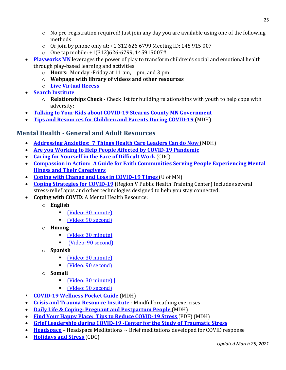- $\circ$  No pre-registration required! Just join any day you are available using one of the following methods
- $\circ$  Or join by phone only at: +1 312 626 6799 Meeting ID: 145 915 007
- o One tap mobile: +1(312)626-6799, 145915007#
- **[Playworks MN](https://www.playworks.org/get-involved/play-at-home/)** leverages the power of play to transform children's social and emotional health through play-based learning and activities
	- o **Hours:** Monday -Friday at 11 am, 1 pm, and 3 pm
	- o **Webpage with library of videos and other resources**
	- o **[Live Virtual Recess](https://www.facebook.com/makerecesscount)**
- **[Search Institute](https://www.search-institute.org/relationships-check)**
	- o **Relationships Check** Check list for building relationships with youth to help cope with adversity:
- **[Talking to Your Kids about COVID-19 Stearns County MN Government](https://www.facebook.com/StearnsCounty/videos/677327803055890)**
- **[Tips and Resources for Children and Parents During COVID-19](https://www.health.state.mn.us/communities/mentalhealth/children?fbclid=IwAR14fYel8szuAUJyu2Z6uU6upR-xfyG1UuPju0l1Q0qfVF-KTtJaGj30A3Q)** (MDH)

# **Mental Health - General and Adult Resources**

- **[Addressing Anxieties: 7 Things Health Care Leaders Can do Now](https://www.health.state.mn.us/diseases/coronavirus/hcp/mh7things.pdf)** (MDH)
- **[Are you Working to Help People Affected by COVID-19 Pandemic](https://store.samhsa.gov/product/Are-You-Working-to-Help-People-Affected-by-the-COVID-19-Pandemic/PEP20-01-01-014)**
- **[Caring for Yourself in the Face of Difficult Work](https://www.cdc.gov/coronavirus/2019-ncov/hcp/nursing-homes-testing.html)** (CDC)
- **[Compassion in Action: A Guide for Faith Communities Serving People Experiencing Mental](https://www.hhs.gov/sites/default/files/compassion-in-action.pdf)  [Illness and Their Caregivers](https://www.hhs.gov/sites/default/files/compassion-in-action.pdf)**
- **[Coping with Change and Loss in COVID-19 Times](https://www.takingcharge.csh.umn.edu/coping-change-and-loss-covid-19-times)** (U of MN)
- **[Coping Strategies for COVID-19](https://www.rvphtc.org/wp-content/uploads/2020/05/Coping-Strategies-for-COVID-19-Stress.pdf)** (Region V Public Health Training Center) Includes several stress-relief apps and other technologies designed to help you stay connected.
- **Coping with COVID**: A Mental Health Resource:
	- o **English** 
		- [\(Video: 30 minute\)](https://www.youtube.com/watch?v=oBUHJZvQrnE&t=159s%3e%20|)
		- [\(Video: 90 second\)](https://www.youtube.com/watch?v=hdPjaci9HpE&list=PLnAyy-wd-GlD0JvisNImTnLt6kYFhS2r6&index=13%3e)
	- o **Hmong**
		- [\(Video: 30 minute\)](https://www.youtube.com/watch?v=_eltb7rGX5g%3e%20|)
		- [\(Video: 90 second\)](https://www.youtube.com/watch?v=q8Azdh4qtgg%3e)
	- o **Spanish**
		- [\(Video: 30 minute\)](https://www.youtube.com/watch?v=Rfsf8OgHUKU%3e%20|)
		- [\(Video: 90 second\)](https://www.youtube.com/watch?v=r8M_WGzRqHs%3e)
	- o **Somali**
		- [\(Video: 30 minute\) |](https://www.youtube.com/watch?v=890gCsL0T3c%3e)
		- [\(Video: 90 second\)](https://www.youtube.com/watch?v=le7vdfXv2KI)
- **[COVID-19 Wellness Pocket Guide](https://www.health.state.mn.us/diseases/coronavirus/hcp/mhpocket.pdf)** (MDH)
- **[Crisis and Trauma Resource Institute](https://us.ctrinstitute.com/wp-content/uploads/2020/04/Mindful-Breathing-Tips.pdf) -** Mindful breathing exercises
- **[Daily Life & Coping: Pregnant and Postpartum People](https://www.health.state.mn.us/diseases/coronavirus/cope.html#pregnant)** (MDH)
- **[Find Your Happy Place: Tips to Reduce COVID-19 Stress](https://www.health.state.mn.us/communities/ep/behavioral/anxiety.pdf)** (PDF) (MDH)
- **[Grief Leadership during COVID-19 -Center for the Study of Traumatic Stress](https://www.cstsonline.org/assets/media/documents/CSTS_FS_Grief_Leadership_During_COVID19.pdf)**
- **[Headspace](https://www.headspace.com/covid-19) –** Headspace Meditations ~ Brief meditations developed for COVID response
- **[Holidays and Stress](https://www.cdc.gov/coronavirus/2019-ncov/your-health/coping-holiday-stress.html)** (CDC)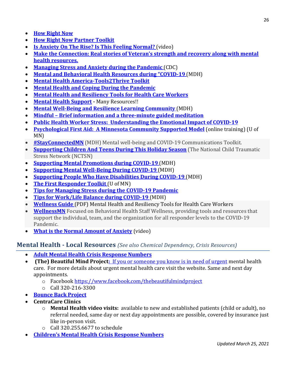- **[How Right Now](https://howrightnow.org/)**
- **[How Right Now Partner Toolkit](https://howrightnow.org/assets/resources/toolkits/hrn_partnertoolkit.pdf)**
- **[Is Anxiety On The Rise? Is This Feeling Normal?](https://www.youtube.com/watch?v=LWwtlTQkCd0&)** (video)
- **[Make the Connection: Real stories of Veteran's strength and recovery along with mental](https://maketheconnection.net/)  [health resources.](https://maketheconnection.net/)**
- **[Managing Stress and Anxiety](https://www.cdc.gov/coronavirus/2019-ncov/prepare/managing-stress-anxiety.html) during the Pandemic** (CDC)
- **[Mental and Behavioral Health Resources during "COVID-19](https://www.health.state.mn.us/communities/ep/behavioral/covid19.html)** (MDH)
- **[Mental Health America-Tools2Thrive Toolkit](https://www.mhanational.org/mental-health-month)**
- **[Mental Health and Coping](https://www.cdc.gov/coronavirus/2019-ncov/daily-life-coping/managing-stress-anxiety.html) During the Pandemic**
- **Mental Health and Resiliency [Tools for Health Care Workers](https://www.health.state.mn.us/diseases/coronavirus/hcp/mh.html)**
- **[Mental Health Support](https://mn.gov/covid19/for-minnesotans/get-help/mental-health.jsp) -** Many Resources!!
- **[Mental Well-Being and Resilience Learning Community](https://content.govdelivery.com/accounts/MNMDH/bulletins/293c77e)** (MDH)
- **Mindful – [Brief information and a three-minute](https://www.mindful.org/the-three-minute-breathing-space-practice/) guided meditation**
- **[Public Health Worker Stress: Understanding the Emotional Impact of COVID-19](https://www.youtube.com/watch?v=rFiVgJGNcjw&feature=youtu.be)**
- **[Psychological First Aid: A Minnesota Community Supported Model](https://learning.umn.edu/search/publicCourseSearchDetails.do?method=load&courseId=1735854#courseSectionDetails_23718916)** (online training) (U of MN)
- **[#StayConnectedMN](https://www.health.state.mn.us/communities/suicide/documents/stayconnectedmntoolkit.pdf)** (MDH) Mental well-being and COVID-19 Communications Toolkit.
- **[Supporting Children And Teens During This Holiday Season](https://www.nctsn.org/sites/default/files/resources/fact-sheet/supporting_children_and_teens_during_this_holiday_season.pdf)** (The National Child Traumatic Stress Network (NCTSN)
- **[Supporting Mental Promotions during COVID-19](https://www.health.state.mn.us/communities/mentalhealth/index.html)** (MDH)
- **[Supporting Mental Well-Being During COVID-19](https://www.health.state.mn.us/communities/mentalhealth/support.html)** (MDH)
- **[Supporting People Who Have Disabilities During COVID-19](https://disabilityhubmn.org/health/coronavirus-disease-2019-covid-19)** (MDH)
- **[The First Responder Toolkit](https://firstrespondertoolkit.com/)** (U of MN)
- **[Tips for Managing Stress during the COVID-19 Pandemic](https://store.samhsa.gov/product/Tips-for-Managing-Stress-During-the-COVID-19-Pandemic-Wallet-Card/PEP20-01-01-013)**
- **[Tips for Work/Life Balance during COVID-19](https://www.health.state.mn.us/communities/ep/behavioral/work_life.pdf)** (MDH)
- **[Wellness Guide](https://lnks.gd/l/eyJhbGciOiJIUzI1NiJ9.eyJidWxsZXRpbl9saW5rX2lkIjoxMjAsInVyaSI6ImJwMjpjbGljayIsImJ1bGxldGluX2lkIjoiMjAyMTAxMTQuMzMyNjczMDEiLCJ1cmwiOiJodHRwczovL3d3dy5oZWFsdGguc3RhdGUubW4udXMvZGlzZWFzZXMvY29yb25hdmlydXMvaGNwL21od2VsbG5lc3MucGRmIn0.l75AqFlDt3SeaBjIhIKcxrCCMOn-VkQeyHQWPJKfrYU/s/862318511/br/93079451911-l)** (PDF) Mental Health and Resiliency Tools for Health Care Workers
- **[WellnessMN](https://wellnessmn.org/)** Focused on Behavioral Health Staff Wellness, providing tools and resources that support the individual, team, and the organization for all responder levels to the COVID-19 Pandemic.
- **[What is the Normal Amount of Anxiety](https://www.youtube.com/watch?v=XZlVp67mJNs)** (video)

#### **Mental Health - Local Resources** *(See also Chemical Dependency, Crisis Resources)*

- **[Adult Mental Health Crisis Response Numbers](https://mn.gov/dhs/people-we-serve/adults/health-care/mental-health/resources/crisis-contacts.jsp)**
- **(The) Beautiful Mind Project:** [If you or someone you know is in need of urgent](http://www.thebeautifulmindproject.org/) mental health care. For more details about urgent mental health care visit the website. Same and next day appointments.
	- o Faceboo[k https://www.facebook.com/thebeautifulmindproject](https://www.facebook.com/thebeautifulmindproject)
	- o Call 320-216-3300
- **[Bounce Back Project](https://www.bouncebackproject.org/)**
- **CentraCare Clinics**
	- o **Mental Health video visits:** available to new and established patients (child or adult), no referral needed, same day or next day appointments are possible, covered by insurance just like in-person visit.
	- $\circ$  Call 320.255.6677 to schedule
- **[Children's Mental Health Crisis Response Numbers](https://mn.gov/dhs/people-we-serve/children-and-families/health-care/mental-health/resources/crisis-contacts.jsp)**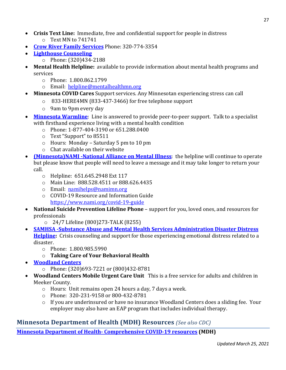- **Crisis Text Line:** Immediate, free and confidential support for people in distress o Text MN to 741741
- **[Crow River Family Services](http://crowriverfamilyservices.com/)** Phone: 320-774-3354
- **[Lighthouse Counseling](https://www.lighthousecounseling.com/)**
	- o Phone: (320)434-2188
- **Mental Health Helpline:** available to provide information about mental health programs and services
	- o Phone: 1.800.862.1799
	- o Email: [helpline@mentalhealthmn.org](mailto:helpline@mentalhealthmn.org)
- **Minnesota COVID Cares** Support services. Any Minnesotan experiencing stress can call
	- o 833-HERE4MN (833-437-3466) for free telephone support
	- o 9am to 9pm every day
- **[Minnesota Warmline](https://mentalhealthmn.org/support/minnesota-warmline/)**: Line is answered to provide peer-to-peer support. Talk to a specialist with firsthand experience living with a mental health condition
	- o Phone: 1-877-404-3190 or 651.288.0400
	- o Text "Support" to 85511
	- o Hours: Monday Saturday 5 pm to 10 pm
	- o Chat available on their website
- **[\(Minnesota\)NAMI -National Alliance on Mental Illness](https://namimn.org/nami-minnesota-covid-19-resources)**: the helpline will continue to operate but please know that people will need to leave a message and it may take longer to return your call.
	- o Helpline: 651.645.2948 Ext 117
	- o Main Line: 888.528.4511 or 888.626.4435
	- o Email: [namihelps@namimn.org](mailto:namihelps@namimn.org)
	- o COVID-19 Resource and Information Guide <https://www.nami.org/covid-19-guide>
- **National Suicide Prevention Lifeline Phone** support for you, loved ones, and resources for professionals
	- o 24/7 Lifeline (800)273-TALK (8255)
- **[SAMHSA -Substance Abuse and Mental Health Services Administration Disaster Distress](https://www.samhsa.gov/sites/default/files/tips-social-distancing-quarantine-isolation-031620.pdf)  [Helpline:](https://www.samhsa.gov/sites/default/files/tips-social-distancing-quarantine-isolation-031620.pdf)** Crisis counseling and support for those experiencing emotional distress related to a disaster.
	- o Phone: 1.800.985.5990
	- o **Taking Care of Your Behavioral Health**
- **[Woodland Centers](http://www.woodlandcenters.com/)**
	- o Phone: (320)693-7221 or (800)432-8781
- **Woodland Centers Mobile Urgent Care Unit** This is a free service for adults and children in Meeker County.
	- o Hours: Unit remains open 24 hours a day, 7 days a week.
	- o Phone: 320-231-9158 or 800-432-8781
	- o If you are underinsured or have no insurance Woodland Centers does a sliding fee. Your employer may also have an EAP program that includes individual therapy.

## **Minnesota Department of Health (MDH) Resources** *(See also CDC)*

**Minnesota Department of Health- [Comprehensive COVID-19 resources](https://www.health.state.mn.us/diseases/coronavirus/index.html) (MDH)**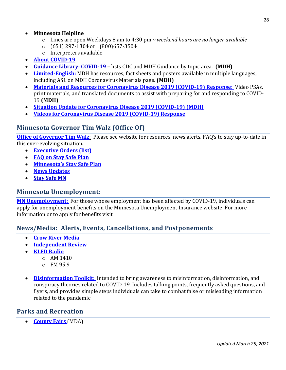#### • **Minnesota Helpline**

- o Lines are open Weekdays 8 am to 4:30 pm *~ weekend hours are no longer available*
- o (651) 297-1304 or 1(800)657-3504
- o Interpreters available
- **[About COVID-19](https://www.health.state.mn.us/diseases/coronavirus/basics.html)**
- **[Guidance Library: COVID-19](https://www.health.state.mn.us/diseases/coronavirus/guidance.html) –** lists CDC and MDH Guidance by topic area. **(MDH)**
- **[Limited-English:](http://www.health.state.mn.us/diseases/coronavirus/materials/index.html)** MDH has resources, fact sheets and posters available in multiple languages, including ASL o[n MDH Coronavirus Materials page.](https://lnks.gd/l/eyJhbGciOiJIUzI1NiJ9.eyJidWxsZXRpbl9saW5rX2lkIjoxMTAsInVyaSI6ImJwMjpjbGljayIsImJ1bGxldGluX2lkIjoiMjAyMDAzMTkuMTg5OTIwMDEiLCJ1cmwiOiJodHRwczovL3d3dy5oZWFsdGguc3RhdGUubW4udXMvZGlzZWFzZXMvY29yb25hdmlydXMvbWF0ZXJpYWxzL2luZGV4Lmh0bWwifQ.ofOMwGK3-okdRPBr3S6AbFD5TP7l6br3wVqDkrdW43k/br/76348180438-l) **(MDH)**
- **[Materials and Resources for Coronavirus Disease 2019 \(COVID-19\) Response:](https://www.health.state.mn.us/diseases/coronavirus/materials/index.html)** Video PSAs, print materials, and translated documents to assist with preparing for and responding to COVID-19 **(MDH)**
- **[Situation Update for Coronavirus Disease 2019 \(COVID-19\)](https://www.health.state.mn.us/diseases/coronavirus/situation.html) (MDH)**
- **[Videos for Coronavirus Disease 2019 \(COVID-19\) Response](https://www.health.state.mn.us/diseases/coronavirus/materials/videos.html)**

## **Minnesota Governor Tim Walz (Office Of)**

**[Office of Governor Tim Walz](https://mn.gov/governor/covid-19/)**: Please see website for resources, news alerts, FAQ's to stay up-to-date in this ever-evolving situation.

- **[Executive Orders](https://mn.gov/governor/news/executiveorders.jsp) (list)**
- **[FAQ on Stay Safe Plan](https://mn.gov/covid19/for-minnesotans/stay-safe-mn/faq.jsp)**
- **[Minnesota's Stay Safe Plan](https://mn.gov/covid19/for-minnesotans/stay-safe-mn/stay-safe-plan.jsp)**
- **[News Updates](https://mn.gov/governor/covid-19/news/)**
- **[Stay Safe MN](https://lnks.gd/l/eyJhbGciOiJIUzI1NiJ9.eyJidWxsZXRpbl9saW5rX2lkIjoxMDksInVyaSI6ImJwMjpjbGljayIsImJ1bGxldGluX2lkIjoiMjAyMTAyMTguMzU0OTA5ODEiLCJ1cmwiOiJodHRwczovL3N0YXlzYWZlLm1uLmdvdi8ifQ.vgGat1wpBpYd7wnUZeAxSmXg9X7hhqIUfi5HKWcRnNI/s/862318511/br/97838333105-l)**

#### **Minnesota Unemployment:**

**[MN Unemployment:](http://www.uimn.org/)** For those whose employment has been affected by COVID-19, individuals can apply for unemployment benefits on the [Minnesota Unemployment Insurance](https://lnks.gd/l/eyJhbGciOiJIUzI1NiJ9.eyJidWxsZXRpbl9saW5rX2lkIjoxMTcsInVyaSI6ImJwMjpjbGljayIsImJ1bGxldGluX2lkIjoiMjAyMDAzMTkuMTg5OTIwMDEiLCJ1cmwiOiJodHRwczovL3d3dy51aW1uLm9yZy9hcHBsaWNhbnRzL25lZWR0b2tub3cvbmV3cy11cGRhdGVzL2NvdmlkLTE5LmpzcCJ9.dqLv00jrLaFY5bAVLW21F3nVDtjPO4XqOKcHi4kg7BY/br/76348180438-l) website. For more information or to apply for benefits visit

## **News/Media: Alerts, Events, Cancellations, and Postponements**

- **[Crow River Media](https://www.crowrivermedia.com/)**
- **[Independent Review](https://www.crowrivermedia.com/independentreview/)**
- **[KLFD Radio](https://klfdradio.com/)**
	- $O$  AM 1410
	- o FM 95.9
- **[Disinformation Toolkit:](https://www.cisa.gov/covid-19-disinformation-toolki)** intended to bring awareness to misinformation, disinformation, and conspiracy theories related to COVID-19. Includes talking points, frequently asked questions, and flyers, and provides simple steps individuals can take to combat false or misleading information related to the pandemic

## **Parks and Recreation**

• **[County Fairs](https://www.bah.state.mn.us/media/COVID19_CountyFairGuidance.pdf)** (MDA)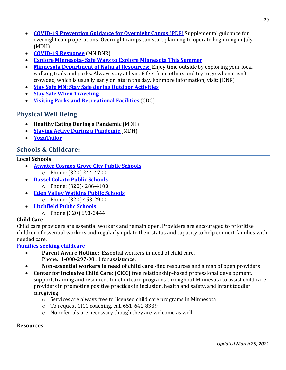- **[COVID-19 Prevention Guidance for Overnight Camps](https://www.health.state.mn.us/diseases/coronavirus/schools/overnightcamp.pdf)** (PDF) Supplemental guidance for overnight camp operations. Overnight camps can start planning to operate beginning in July. (MDH)
- **[COVID-19 Response](https://www.dnr.state.mn.us/covid-19.html)** (MN DNR)
- **Explore Minnesota- [Safe Ways to Explore Minnesota This Summer](https://www.exploreminnesota.com/list/safe-ways-to-explore-minnesota-this-summer?utm_medium=email&utm_source=govdelivery%20%5C)**
- **[Minnesota Department of Natural Resources:](https://www.dnr.state.mn.us/aboutdnr/covid-19-outdoor-recreation-guidelines.html)** Enjoy time outside by exploring your local walking trails and parks. Always stay at least 6 feet from others and try to go when it isn't crowded, which is usually early or late in the day. For more information, visit: (DNR)
- **[Stay Safe MN: Stay Safe during Outdoor Activities](https://staysafe.mn.gov/individuals-families/outdoor-activity.jsp)**
- **[Stay Safe When Traveling](https://staysafe.mn.gov/individuals-families/travel.jsp)**
- **[Visiting Parks and Recreational Facilities](https://www.cdc.gov/coronavirus/2019-ncov/daily-life-coping/visitors.html)** (CDC)

## **Physical Well Being**

- **Healthy Eating During a Pandemic** (MDH)
- **[Staying Active During a Pandemic](https://www.health.state.mn.us/communities/physicalactivity/covid19.html)** (MDH)
- **[YogaTailor](http://www.yogatailor.com/)**

## **Schools & Childcare:**

#### **Local Schools**

- **[Atwater Cosmos Grove City Public Schools](http://www.acgcfalcons.org/)**
	- o Phone: (320) 244-4700
- **[Dassel Cokato Public Schools](https://www.isd466.org/)**
	- o Phone: (320)- 286-4100
- **[Eden Valley Watkins Public Schools](https://www.evw.k12.mn.us/)** o Phone: (320) 453-2900
	-
- **[Litchfield Public Schools](https://www.litchfield.k12.mn.us/)** o Phone (320) 693-2444

#### **Child Care**

Child care providers are essential workers and remain open. Providers are encouraged to prioritize children of essential workers and regularly update their status and capacity to help connect families with needed care.

#### **[Families seeking childcare](https://mn.gov/childcare/)**

- **Parent Aware Hotline**: Essential workers in need of child care. Phone: 1-888-297-9811 for assistance.
- **Non-essential workers in need of child care** -find resources and a map of open providers
- **Center for Inclusive Child Care: (CICC)** free relationship-based professional development, support, training and resources for child care programs throughout Minnesota to assist child care providers in promoting positive practices in inclusion, health and safety, and infant toddler caregiving.
	- o Services are always free to licensed child care programs in Minnesota
	- o To request CICC coaching, call 651-641-8339
	- o No referrals are necessary though they are welcome as well.

#### **Resources**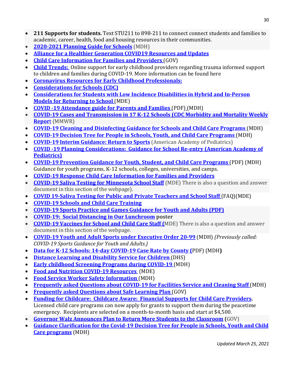- **211 Supports for students.** Text STU211 to 898-211 to connect connect students and families to academic, career, health, food and housing resources in their communities.
- **[2020-2021 Planning Guide for Schools](https://www.health.state.mn.us/diseases/coronavirus/schools/k12planguide.pdf)** (MDH)
- **[Alliance for a Healthier Generation COVID19 Resources and Updates](https://www.healthiergeneration.org/campaigns/covid-19)**
- **[Child Care Information for Families and Providers](https://mn.gov/childcare/)** (GOV)
- **[Child Trends:](https://www.childtrends.org/publications/resources-for-supporting-childrens-emotional-well-being-during-the-covid-19-pandemic?utm_source=hs_email&utm_medium=email&utm_content=85116678&_hsenc=p2ANqtz-_z3VmBgaNGeuoMndluFHJ1mpWlLVcUluIm05LiGGw4DyY_sPd_9LRjYb-gVN9VY4fUIwTj8TsLqCr9MJZrUUAmGsmm9cXRCoQGWVLcS5jExbzJvp0&_hsmi=85116678)** Online support for early childhood providers regarding trauma informed support to children and families during COVID-19. More information can be found here
- **[Coronavirus Resources for Early Childhood Professionals:](https://www.zerotothree.org/resources/3291-coronavirus-resources-for-early-childhood-professionals)**
- **[Considerations for Schools \(CDC\)](https://www.cdc.gov/coronavirus/2019-ncov/community/schools-childcare/schools.html)**
- **[Considerations for Students with Low Incidence Disabilities in Hybrid and In-Person](https://education.mn.gov/MDE/dse/health/covid19/spedcovid19/)  [Models for Returning to School](https://education.mn.gov/MDE/dse/health/covid19/spedcovid19/)** (MDE)
- **[COVID -19 Attendance guide for Parents and Families](https://www.health.state.mn.us/diseases/coronavirus/schools/attendance.pdf)** (PDF) (MDH)
- **[COVID-19 Cases and Transmission in 17 K-12 Schools \(CDC Morbidity and Mortality Weekly](https://www.cdc.gov/mmwr/volumes/70/wr/mm7004e3.htm?s_cid=mm7004e3_w)  [Repor](https://www.cdc.gov/mmwr/volumes/70/wr/mm7004e3.htm?s_cid=mm7004e3_w)**t (MMWR)
- **[COVID-19 Cleaning and Disinfecting Guidance for Schools and Child Care Programs](https://www.health.state.mn.us/diseases/coronavirus/schools/clean.html)** (MDH)
- **[COVID-19 Decision Tree for People in Schools, Youth, and Child Care Programs](https://www.health.state.mn.us/diseases/coronavirus/schools/exguide.pdf)** (MDH)
- **[COVID-19 Interim Guidance: Return to Sports](https://services.aap.org/en/pages/2019-novel-coronavirus-covid-19-infections/clinical-guidance/covid-19-interim-guidance-return-to-sports/)** (American Academy of Pediatrics)
- **COVID [-19 Planning Considerations: Guidance for School Re-entry \(American Academy of](https://services.aap.org/en/pages/2019-novel-coronavirus-covid-19-infections/clinical-guidance/covid-19-planning-considerations-return-to-in-person-education-in-schools/)  [Pediatrics\)](https://services.aap.org/en/pages/2019-novel-coronavirus-covid-19-infections/clinical-guidance/covid-19-planning-considerations-return-to-in-person-education-in-schools/)**
- **[COVID-19 Prevention Guidance for Youth, Student, and Child Care Programs](https://www.health.state.mn.us/diseases/coronavirus/schools/socialdistance.pdf)** (PDF) (MDH) Guidance for youth programs, K-12 schools, colleges, universities, and camps.
- **[COVID-19 Response Child Care Information for Families and Providers](https://mn.gov/childcare/)**
- **[COVID-19 Saliva Testing for Minnesota](https://education.mn.gov/MDE/dse/health/covid19/index.htm) School Staff** (MDE) There is also a question and answer document in this section of the webpage).
- **COVID [19-Saliva Testing for Public and Private Teachers](https://www.health.state.mn.us/diseases/coronavirus/schools/salivatestfaq.pdf) and School Staff** (FAQ)(MDE)
- **[COVID-19 Schools and Child Care Training](https://www.health.state.mn.us/diseases/coronavirus/schools/training.html)**
- **[COVID-19 Sports Practice and Games Guidance for Youth and Adults \(PDF\)](https://lnks.gd/l/eyJhbGciOiJIUzI1NiJ9.eyJidWxsZXRpbl9saW5rX2lkIjoxMjUsInVyaSI6ImJwMjpjbGljayIsImJ1bGxldGluX2lkIjoiMjAyMTAxMTkuMzM1OTA0MTEiLCJ1cmwiOiJodHRwczovL3d3dy5oZWFsdGguc3RhdGUubW4udXMvZGlzZWFzZXMvY29yb25hdmlydXMvc3BvcnRzZ3VpZGUucGRmIn0.Hhh_ruAb4TU8X9nRPnf78qsNVD3R7pZckSL2d2_B9aA/s/862318511/br/93337971396-l)**
- **COVID-19: [Social Distancing in Our Lunchroom](https://gounion.ca/wp-content/uploads/2020/04/RCSS-COVID_19_Social-distancing-in-the-lunch-room.pdf) poster**
- **[COVID-19 Vaccines for School and Child Care Staff \(](https://education.mn.gov/MDE/dse/health/covid19/index.htm)**MDE) There is also a question and answer document in this section of the webpage.
- **[COVID-19 Youth and Adult Sports under Executive Order 20-99](https://www.health.state.mn.us/diseases/coronavirus/sportsguide.pdf)** (MDH) *(Previously called: COVID-19 Sports Guidance for Youth and Adults.)*
- **[Data for K-12 Schools: 14-day COVID-19 Case Rate by County \(](https://www.health.state.mn.us/diseases/coronavirus/stats/wschool.pdf)**PDF) (MDH**)**
- **[Distance Learning and Disability Service for Children](https://disabilityhubmn.org/media/1830/distance-learning-and-disability-services-for-children.pdf)** (DHS)
- **[Early childhood Screening Programs during COVID-19](https://education.mn.gov/MDE/dse/health/covid19/supstucovid19/MDE032749)** (MDH)
- **Food and [Nutrition COVID-19 Resources](https://education.mn.gov/MDE/dse/health/covid19/fnscovid19/)** (MDE)
- **[Food Service Worker Safety Information](https://www.health.state.mn.us/diseases/coronavirus/schools/foodservice.pdf)** (MDH)
- **[Frequently asked Questions about COVID-19 for Facilities Service and Cleaning Staff](https://www.health.state.mn.us/diseases/coronavirus/schools/cleanfaq.html)** (MDH)
- **[Frequently asked Questions about Safe Learning Plan](https://mn.gov/covid19/for-minnesotans/safe-learning-plan/safe-learning-faq.jsp)** (GOV)
- **[Funding for Childcare: Childcare Aware: Financial Supports for Child Care Providers.](https://www.childcareawaremn.org/providers/grants-and-scholarships/)** Licensed child care programs can now apply for grants to support them during the peacetime emergency. Recipients are selected on a month-to-month basis and start at \$4,500.
- **[Governor Walz Announces Plan to Return More Students to the Classroom](https://mn.gov/governor/news/#/detail/appId/1/id/468551) (**GOV)
- **[Guidance Clarification for the Covid-19 Decision Tree for People in Schools, Youth and Child](https://mn365.sharepoint.com/sites/MDH/response/coronaex/docs/GuidanceClarification_DecisionTree_Memo%20Final%20.pdf)  [Care programs](https://mn365.sharepoint.com/sites/MDH/response/coronaex/docs/GuidanceClarification_DecisionTree_Memo%20Final%20.pdf)** (MDH)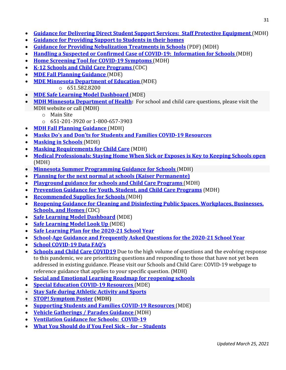- **[Guidance for Delivering Direct Student Support Services: Staff Protective Equipment](https://www.health.state.mn.us/diseases/coronavirus/schools/directsupport.pdf)** (MDH)
- **[Guidance for Providing Support to Students in their homes](https://www.health.state.mn.us/diseases/coronavirus/schools/homevisit.pdf)**
- **[Guidance for Providing Nebulization Treatments in Schools](https://www.health.state.mn.us/diseases/coronavirus/schools/nebulization.pdf)** (PDF) (MDH)
- **[Handling a Suspected or Confirmed Case of COVID-19: Information for Schools](https://www.health.state.mn.us/diseases/coronavirus/schools/casehandle.pdf)** (MDH)
- **[Home Screening Tool for COVID-19 Symptoms](https://www.health.state.mn.us/diseases/coronavirus/schools/homescreen.pdf)** (MDH)
- **K-12 Schools and [Child Care Programs](https://www.cdc.gov/coronavirus/2019-ncov/community/schools-childcare/schools-faq.html)** (CDC)
- **[MDE Fall Planning Guidance](https://education.mn.gov/mdeprod/idcplg?IdcService=GET_FILE&dDocName=MDE032934&RevisionSelectionMethod=latestReleased&Rendition=primary)** (MDE)
- **[MDE Minnesota Department of Education](https://education.mn.gov/MDE/dse/health/covid19/spedcovid19/)** (MDE)
	- o 651.582.8200
- **[MDE Safe Learning Model Dashboard](https://analytics.education.state.mn.us/t/MDEPublic/views/MN_Safe_Learning_Model/Dashboard?iframeSizedToWindow=true&:embed=y&:showAppBanner=false&:display_count=no&:showVizHome=no#29)** (MDE)
- **[MDH Minnesota Department of Health:](https://www.health.state.mn.us/)** For school and child care questions, please visit the MDH website or call (MDH)
	- o Main Site
	- o 651-201-3920 or 1-800-657-3903
- **[MDH Fall Planning Guidance](https://www.health.state.mn.us/diseases/coronavirus/schools/k12planguide.pdf)** (MDH)
- **[Masks Do's and Don'ts for Students and Families COVID-19 Resources](https://www.youtube.com/watch?v=UkBNZqKsSbs&feature=emb_title)**
- **[Masking in Schools](https://www.health.state.mn.us/diseases/coronavirus/schools/masktips.pdf)** (MDH)
- **[Masking Requirements for Child Care](https://www.health.state.mn.us/diseases/coronavirus/schools/masks.html)** (MDH)
- **[Medical Professionals: Staying Home When Sick or Exposes is Key to Keeping Schools open](https://www.health.state.mn.us/news/pressrel/2020/covid091420.html)** [\(MDH\)](https://www.health.state.mn.us/news/pressrel/2020/covid091420.html)
- **Minnesota Summer [Programming Guidance for Schools](https://education.mn.gov/MDE/dse/health/covid19/)** (MDH)
- **[Planning for the next normal at schools \(Kaiser Permanente\)](https://thrivingschools.kaiserpermanente.org/get-inspired/coronavirus-response/schools-reopening-playbook/)**
- **[Playground guidance for schools and Child Care Programs](https://www.health.state.mn.us/diseases/coronavirus/schools/playground.pdf)** (MDH)
- **Prevention [Guidance for Youth, Student, and Child Care Programs](https://www.health.state.mn.us/diseases/coronavirus/schools/socialdistance.pdf)** (MDH)
- **[Recommended Supplies for Schools](https://www.health.state.mn.us/diseases/coronavirus/schools/supplies.html)** (MDH)
- **[Reopening Guidance for Cleaning and Disinfecting Public Spaces, Workplaces, Businesses,](https://www.cdc.gov/coronavirus/2019-ncov/community/reopen-guidance.html)  [Schools, and Homes](https://www.cdc.gov/coronavirus/2019-ncov/community/reopen-guidance.html)** (CDC)
- **[Safe Learning Model Dashboard](https://analytics.education.state.mn.us/t/MDEPublic/views/MN_Safe_Learning_Model/Dashboard?iframeSizedToWindow=true&:embed=y&:showAppBanner=false&:display_count=no&:showVizHome=no#29)** (MDE)
- **[Safe Learning Model Look Up](https://education.mn.gov/Maps/covidlookup/search.html)** (MDE)
- **Safe Learning Plan for the 2020-21 School Year**
- **School-Age Guidance and Frequently Asked Questions for the 2020-21 School Year**
- **[School COVID-19 Data FAQ's](https://www.health.state.mn.us/diseases/coronavirus/schools/datafaq.html)**
- **[Schools and Child Care COVID19](https://www.health.state.mn.us/diseases/coronavirus/schools/index.html)** Due to the high volume of questions and the evolving response to this pandemic, we are prioritizing questions and responding to those that have not yet been addressed in existing guidance. Please visit our [Schools and Child Care: COVID-19](https://www.health.state.mn.us/diseases/coronavirus/schools/index.html) webpage to reference guidance that applies to your specific question. (MDH)
- **[Social and Emotional Learning Roadmap for reopening schools](https://casel.org/wp-content/uploads/2020/07/SEL-ROADMAP.pdf)**
- **[Special Education COVID-19 Resources](https://education.mn.gov/MDE/dse/health/covid19/spedcovid19/)** (MDE)
- **[Stay Safe during Athletic Activity and Sports](https://lnks.gd/l/eyJhbGciOiJIUzI1NiJ9.eyJidWxsZXRpbl9saW5rX2lkIjoxMTMsInVyaSI6ImJwMjpjbGljayIsImJ1bGxldGluX2lkIjoiMjAyMTAxMDcuMzI5NTMyMDEiLCJ1cmwiOiJodHRwczovL3N0YXlzYWZlLm1uLmdvdi9pbmRpdmlkdWFscy1mYW1pbGllcy9hdGhsZXRpYy1hY3Rpdml0eS5qc3AifQ.nld277v5B5fNvxU9BUxgnBLpzB2L7tPwjUFBCLmJjxc/s/862318511/br/92811288360-l)**
- **[STOP! Symptom Poster](https://www.health.state.mn.us/diseases/coronavirus/materials/symptoms.pdf) (MDH)**
- **[Supporting Students and Families COVID-19 Resources](https://education.mn.gov/MDE/dse/health/covid19/supstucovid19/)** (MDE)
- **[Vehicle Gatherings / Parades Guidance](https://www.health.state.mn.us/diseases/coronavirus/vehiclegather.pdf)** (MDH)
- **[Ventilation Guidance for](https://www.health.state.mn.us/diseases/coronavirus/schools/vent.html) Schools: COVID-19**
- **[What You Should do if You Feel Sick –](https://www.youtube.com/watch?v=E27dA4pNxAo&feature=youtu.be) for – Students**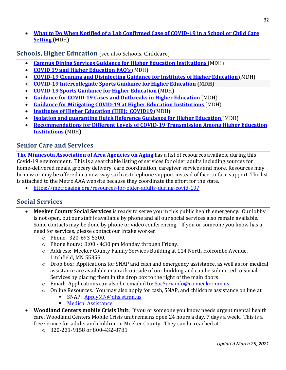• **What to [Do When Notified of a Lab Confirmed Case of COVID-19 in a School or Child Care](https://www.health.state.mn.us/diseases/coronavirus/schools/casenotify.pdf)  [Setting](https://www.health.state.mn.us/diseases/coronavirus/schools/casenotify.pdf)** (MDH)

**Schools, Higher Education** (see also Schools, Childcare)

- **[Campus Dining Services Guidance for Higher Education Institutions](https://www.health.state.mn.us/diseases/coronavirus/schools/ihedining.pdf)** (MDH)
- **[COVID 19 and Higher Education FAQ's](http://www.health.state.mn.us/diseases/coronavirus/schools/ihefaq.html)** (MDH)
- **[COVID-19 Cleaning and Disinfecting Guidance for Institutes of Higher Education](https://www.health.state.mn.us/diseases/coronavirus/schools/cleanihe.html)** (MDH)
- **[COVID-19 Intercollegiate Sports Guidance for Higher Education](https://www.health.state.mn.us/diseases/coronavirus/schools/sportsihe.pdf) (MDH)**
- **[COVID-19 Sports Guidance for Higher Education](https://www.health.state.mn.us/diseases/coronavirus/schools/sportsihe.pdf)** (MDH)
- **[Guidance for COVID-19 Cases and Outbreaks in Higher Education](https://www.health.state.mn.us/diseases/coronavirus/schools/ihecases.pdf)** (MDH)
- **Guidance [for Mitigating COVID-19 at Higher Education Institutions](https://www.health.state.mn.us/diseases/coronavirus/schools/guideihe.pdf)** (MDH)
- **[Institutes of Higher Education \(IHE\): COVID19](https://www.health.state.mn.us/diseases/coronavirus/schools/ihe.html)** (MDH)
- **<u>Isolation and quarantine Quick Reference Guidance for Higher Education</u> (MDH)**
- **[Recommendations for Different Levels of COVID-19 Transmission Among Higher Education](https://www.health.state.mn.us/diseases/coronavirus/schools/iherecs.pdf)  [Institutions](https://www.health.state.mn.us/diseases/coronavirus/schools/iherecs.pdf)** (MDH)

## **Senior Care and Services**

**[The Minnesota Association of Area Agencies on Aging](http://www.helpolderadultsmn.org/)** has a list of resources available during this Covid-19 environment. This is a searchable listing of services for older adults including sources for home-delivered meals, grocery delivery, care coordination, caregiver services and more. Resources may be new or may be offered in a new way such as telephone support instead of face-to-face support. The list is attached to the Metro AAA website because they coordinate the effort for the state.

• <https://metroaging.org/resources-for-older-adults-during-covid-19/>

## **Social Services**

- **Meeker County Social Services** is ready to serve you in this public health emergency. Our lobby is not open, but our staff is available by phone and all our social services also remain available. Some contacts may be done by phone or video conferencing. If you or someone you know has a need for services, please contact our intake worker.
	- o Phone: 320-693-5300.
	- o Phone hours: 8:00 4:30 pm Monday through Friday.
	- o Address: Meeker County Family Services Building at 114 North Holcombe Avenue, Litchfield, MN 55355
	- o Drop box: Applications for SNAP and cash and emergency assistance, as well as for medical assistance are available in a rack outside of our building and can be submitted to Social Services by placing them in the drop box to the right of the main doors
	- o Email: Applications can also be emailed to: [SocServ.info@co.meeker.mn.us](mailto:SocServ.info@co.meeker.mn.us)
	- o Online Resources: You may also apply for cash, SNAP, and childcare assistance on line at SNAP: ApplyMN@dhs.st.mn.us
		- SNAP: [ApplyMN@dhs.st.mn.us](mailto:ApplyMN@dhs.st.mn.us)
		- **[Medical Assistance](http://www.mnsure.org./)**
- **Woodland Centers mobile Crisis Unit:** If you or someone you know needs urgent mental health care, Woodland Centers Mobile Crisis unit remains open 24 hours a day, 7 days a week. This is a free service for adults and children in Meeker County. They can be reached at
	- o 320-231-9158 or 800-432-8781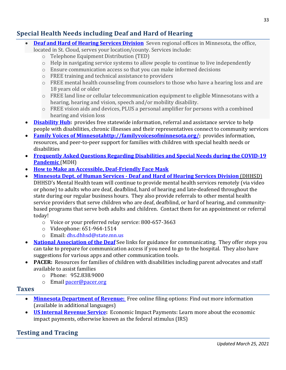# **Special Health Needs including Deaf and Hard of Hearing**

- **[Deaf and Hard of Hearing Services Division](http://www.mn.gov/deaf-hard-of-hearing/communication-access/ted))** Seven regional offices in Minnesota, the office, located in St. Cloud, serves your location/county. Services include:
	- o Telephone Equipment Distribution (TED)
	- o Help in navigating service systems to allow people to continue to live independently
	- o Ensure communication access so that you can make informed decisions
	- o FREE training and technical assistance to providers
	- o FREE mental health counseling from counselors to those who have a hearing loss and are 18 years old or older
	- $\circ$  FREE land line or cellular telecommunication equipment to eligible Minnesotans with a hearing, hearing and vision, speech and/or mobility disability.
	- $\circ$  FREE vision aids and devices, PLUS a personal amplifier for persons with a combined hearing and vision loss
- **[Disability Hub:](https://disabilityhubmn.org/health/coronavirus-disease-2019-covid-19)** provides free statewide information, referral and assistance service to help people with disabilities, chronic illnesses and their representatives connect to community services
- **[Family Voices of Minnesotahttp://familyvoicesofminnesota.org/:](http://familyvoicesofminnesota.org/)** provides information, resources, and peer-to-peer support for families with children with special health needs or disabilities
- **[Frequently Asked Questions Regarding Disabilities and Special Needs during the COVID-19](https://www.health.state.mn.us/communities/equity/about/covid19_disabilities.html)  [Pandemic](https://www.health.state.mn.us/communities/equity/about/covid19_disabilities.html)** (MDH)
- **[How to Make an Accessible, Deaf-Friendly Face Mask](https://www.hsdc.org/accessible-deaf-friendly-face-mask/)**
- **Minnesota Dept. of Human Services - [Deaf and Hard of Hearing Services Division](https://mn.gov/deaf-hard-of-hearing/communication-access/emergency/covid19.jsp)** (DHHSD)
	- DHHSD's Mental Health team will continue to provide mental health services remotely (via video or phone) to adults who are deaf, deafblind, hard of hearing and late-deafened throughout the state during our regular business hours. They also provide referrals to other mental health service providers that serve children who are deaf, deafblind, or hard of hearing, and communitybased programs that serve both adults and children. Contact them for an appointment or referral today!
		- o Voice or your preferred relay service: 800-657-3663
		- o Videophone: 651-964-1514
		- o Email: [dhs.dhhsd@state.mn.us](mailto:dhs.dhhsd@state.mn.us)
- **[National Association](https://www.nad.org/2020/03/28/communicating-with-medical-personnel-during-coronavirus/) of the Deaf** See links for guidance for communicating. They offer steps you can take to prepare for communication access if you need to go to the hospital. They also have suggestions for various apps and other communication tools.
- **PACER:** Resources for families of children with disabilities including parent advocates and staff available to assist families
	- o Phone: 952.838.9000
	- o Email [pacer@pacer.org](mailto:pacer@pacer.org)

## **Taxes**

- **[Minnesota Department of Revenue:](https://www.revenue.state.mn.us/free-electronic-filing)** Free online filing options: Find out more information (available in additional languages)
- **[US Internal Revenue Service:](https://www.irs.gov/newsroom/economic-impact-payments-what-you-need-to-know)** Economic Impact Payments: Learn more about the economic impact payments, otherwise known as the federal stimulus (IRS)

# **Testing and Tracing**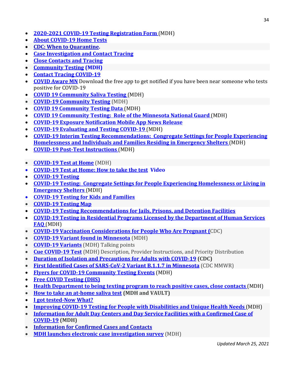- **[2020-2021 COVID-19 Testing Registration Form](https://www.health.state.mn.us/diseases/coronavirus/hcp/ltctestform.pdf)** (MDH)
- **[About COVID-19 Home Tests](https://lnks.gd/l/eyJhbGciOiJIUzI1NiJ9.eyJidWxsZXRpbl9saW5rX2lkIjoxMjEsInVyaSI6ImJwMjpjbGljayIsImJ1bGxldGluX2lkIjoiMjAyMTAxMjcuMzQwODAzNzEiLCJ1cmwiOiJodHRwczovL3d3dy5oZWFsdGguc3RhdGUubW4udXMvZGlzZWFzZXMvY29yb25hdmlydXMvdGVzdHNpdGVzL2hvbWV0ZXN0cy5odG1sIn0.fI_hY5ucazN4HamYaoj_yXVCxP37213dL9rGUfmryLM/s/862318511/br/93790331118-l)**
- **[CDC: When to Quarantine.](https://lnks.gd/l/eyJhbGciOiJIUzI1NiJ9.eyJidWxsZXRpbl9saW5rX2lkIjoxMjEsInVyaSI6ImJwMjpjbGljayIsImJ1bGxldGluX2lkIjoiMjAyMTAyMTguMzU0OTA5ODEiLCJ1cmwiOiJodHRwczovL3d3dy5jZGMuZ292L2Nvcm9uYXZpcnVzLzIwMTktbmNvdi9pZi15b3UtYXJlLXNpY2svcXVhcmFudGluZS5odG1sIn0.IEyRGU560rwzi-u-VkyshzttEglsQ3mvpcOueEJ2-IM/s/862318511/br/97838333105-l)**
- **[Case Investigation and Contact Tracing](https://www-dev2.health.state.mn.us/diseases/coronavirus/tracing.pdf)**
- **[Close Contacts and Tracing](https://www.health.state.mn.us/diseases/coronavirus/close.html)**
- **[Community Testing](https://www.health.state.mn.us/diseases/coronavirus/testsites/community.html) (MDH)**
- **[Contact Tracing COVID-19](https://www.health.state.mn.us/diseases/coronavirus/tracing.html)**
- **[COVID Aware MN](https://covidawaremn.com/)** Download the free app to get notified if you have been near someone who tests positive for COVID-19
- **[COVID 19 Community Saliva Testing](https://www.health.state.mn.us/diseases/coronavirus/testsites/saliva.html)** (MDH)
- **[COVID-19 Community Testing](https://www.health.state.mn.us/diseases/coronavirus/testsites/community.html)** (MDH)
- **[COVID 19 Community Testing Data](https://www.health.state.mn.us/diseases/coronavirus/testsites/testdata.html)** (MDH)
- **[COVID 19 Community Testing: Role of the Minnesota National Guard](https://content.govdelivery.com/attachments/MNMDH/2020/09/29/file_attachments/1558646/MNNG%20role%20community%20testing.pdf)** (MDH)
- **[COVID-19 Exposure Notification Mobile App News Release](https://mn.gov/governor/news/#/detail/appId/1/id/455263)**
- **[COVID-19 Evaluating and Testing COVID-19](https://www.health.state.mn.us/diseases/coronavirus/hcp/eval.html)** (MDH)
- **[COVID-19 Interim Testing Recommendations: Congregate Settings for People Experiencing](https://www.health.state.mn.us/diseases/coronavirus/guidetestshelter.pdf)  [Homelessness and Individuals and Families Residing in Emergency Shelters](https://www.health.state.mn.us/diseases/coronavirus/guidetestshelter.pdf)** (MDH)
- **[COVID-19 Post-Test Instructions](https://www.health.state.mn.us/diseases/coronavirus/hcp/ltcposttest.pdf)** (MDH)
- **[COVID-19 Test at Home](https://www.health.state.mn.us/diseases/coronavirus/testsites/athome.html)** (MDH)
- **[COVID-19 Test at Home: How to take the test](https://lnks.gd/l/eyJhbGciOiJIUzI1NiJ9.eyJidWxsZXRpbl9saW5rX2lkIjoxMjgsInVyaSI6ImJwMjpjbGljayIsImJ1bGxldGluX2lkIjoiMjAyMTAyMTAuMzUwMDg2NzEiLCJ1cmwiOiJodHRwczovL3d3dy5oZWFsdGguc3RhdGUubW4udXMvZGlzZWFzZXMvY29yb25hdmlydXMvdGVzdHNpdGVzL2F0aG9tZS5odG1sI2hvdyJ9.jnx93uHOuKGmc-PTkbG4DlTGMhCOz6ELjqI_0DEHpeY/s/862318511/br/97356835959-l) Video**
- **[COVID-19 Testing](https://www.health.state.mn.us/diseases/coronavirus/testsites/index.html)**
- **[COVID-19 Testing: Congregate Settings for People Experiencing Homelessness or Living in](https://www.health.state.mn.us/diseases/coronavirus/guidetestshelter.pdf)  [Emergency Shelters](https://www.health.state.mn.us/diseases/coronavirus/guidetestshelter.pdf)** (MDH)
- **[COVID-19 Testing for Kids and Families](https://lnks.gd/l/eyJhbGciOiJIUzI1NiJ9.eyJidWxsZXRpbl9saW5rX2lkIjoxMjMsInVyaSI6ImJwMjpjbGljayIsImJ1bGxldGluX2lkIjoiMjAyMTAyMjQuMzU4ODQ2ODEiLCJ1cmwiOiJodHRwczovL3d3dy5oZWFsdGguc3RhdGUubW4udXMvZGlzZWFzZXMvY29yb25hdmlydXMvc2Nob29scy90ZXN0aW5nLmh0bWwifQ.8XlBfhQRPYoF1PMwkdf48bIfvszji2HRi4wHTBnrlN4/s/862318511/br/98303970767-l)**
- **[COVID-19 Testing Map](https://mn.gov/covid19/get-tested/testing-locations/index.jsp)**
- **COVID-19 Testing Recommendations [for Jails, Prisons, and Detention Facilities](https://www.health.state.mn.us/diseases/coronavirus/testingjail.pdf)**
- **[COVID-19 Testing in Residential Programs Licensed](https://www.health.state.mn.us/diseases/coronavirus/groupfaq.pdf) by the Department of Human Services FAQ** [\(MDH\)](https://www.health.state.mn.us/diseases/coronavirus/groupfaq.pdf)
- **[COVID-19 Vaccination Considerations for People Who Are Pregnant \(](https://www.cdc.gov/coronavirus/2019-ncov/vaccines/recommendations/pregnancy.html)**CDC)
- **[COVID-19 Variant found in Minnesota](https://www.health.state.mn.us/news/pressrel/2021/covid010921.html)** (MDH)
- **[COVID-19 Variants](https://www.health.state.mn.us/diseases/coronavirus/basics.html#variants)** (MDH) Talking points
- **[Cue COVID-19 Test](https://www.health.state.mn.us/diseases/coronavirus/hcp/cue.html)** (MDH) Description, Provider Instructions, and Priority Distribution
- **[Duration of Isolation and Precautions for Adults with COVID-19](https://www.cdc.gov/coronavirus/2019-ncov/hcp/duration-isolation.html) (CDC)**
- **[First Identified Cases of SARS-CoV-2 Variant B.1.1.7 in Minnesota](https://www.cdc.gov/mmwr/volumes/70/wr/mm7008e1.htm?s_cid=mm7008e1_w)** (CDC MMWR)
- **[Flyers for COVID-19 Community Testing Events](https://www.health.state.mn.us/diseases/coronavirus/testsites/index.html)** (MDH)
- **Free COVID [Testing \(DHS\)](https://mn.gov/dhs/health-care-coverage/)**
- **Health Department to being texting program to reach positive cases, close contacts** (MDH)
- **[How to take an at-home saliva test](https://www.youtube.com/watch?v=eEsHPX1cwD4&feature=youtu.be) (MDH and VAULT)**
- **[I got tested-Now What?](https://mn.gov/covid19/for-minnesotans/if-sick/i-got-tested-now-what/index.jsp)**
- **[Improving COVID-19 Testing for People with Disabilities and Unique Health Needs](https://www.health.state.mn.us/communities/equity/about/c19testing.html)** (MDH)
- **[Information for Adult Day Centers and Day Service Facilities with a Confirmed Case of](https://www.health.state.mn.us/diseases/coronavirus/adultdaycase.pdf)  [COVID-19](https://www.health.state.mn.us/diseases/coronavirus/adultdaycase.pdf) (MDH)**
- **[Information for Confirmed Cases and Contacts](https://lnks.gd/l/eyJhbGciOiJIUzI1NiJ9.eyJidWxsZXRpbl9saW5rX2lkIjoxMzEsInVyaSI6ImJwMjpjbGljayIsImJ1bGxldGluX2lkIjoiMjAyMTAyMTguMzU0OTA5ODEiLCJ1cmwiOiJodHRwczovL3d3dy5oZWFsdGguc3RhdGUubW4udXMvZGlzZWFzZXMvY29yb25hdmlydXMvY2FzZXMuaHRtbCJ9.aGL1l4_OOcWdGc_2rD2tF7wbJjO8Y5XSCKb1DNa3anE/s/862318511/br/97838333105-l)**
- **[MDH launches electronic case investigation survey](https://www.health.state.mn.us/news/pressrel/2021/covid012121.html)** (MDH)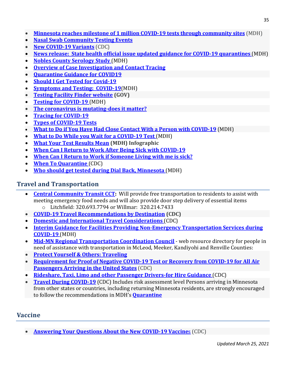- **[Minnesota reaches milestone of 1 million COVID-19 tests through community sites](https://www.health.state.mn.us/news/pressrel/2021/covidtesting012721.html)** (MDH)
- **[Nasal Swab Community Testing Events](https://www.health.state.mn.us/diseases/coronavirus/testsites/community.html)**
- **[New COVID-19 Variants](https://www.cdc.gov/coronavirus/2019-ncov/transmission/variant.html)** (CDC)
- **[News release: State health official issue updated guidance for COVID-19 quarantines](https://www.health.state.mn.us/news/pressrel/2020/covid120720.html)** (MDH)
- **[Nobles County Serology Study](https://www.health.state.mn.us/diseases/coronavirus/testsites/nobles.html)** (MDH)
- **[Overview of Case Investigation and Contact Tracing](https://www.health.state.mn.us/diseases/coronavirus/hcp/cictoverview.pdf)**
- **[Quarantine Guidance for COVID19](https://www.health.state.mn.us/diseases/coronavirus/quarguide.pdf)**
- **[Should I Get Tested for Covid-19](https://mn.gov/covid19/for-minnesotans/if-sick/get-tested/index.jsp)**
- **[Symptoms and Testing: COVID-19](https://www.health.state.mn.us/diseases/coronavirus/symptoms.html)**(MDH)
- **[Testing Facility Finder website](https://mn.gov/covid19/get-tested/testing-locations/index.jsp) (GOV)**
- **[Testing for COVID-19](https://www.health.state.mn.us/diseases/coronavirus/symptoms.html#test)** (MDH)
- **[The coronavirus is mutating-does it matter?](https://www.nature.com/articles/d41586-020-02544-6#:%7E:text=A%20typical%20SARS%2DCoV%2D2,the%20University%20of%20Basel%2C%20Switzerland)**
- **[Tracing for COVID-19](https://www.health.state.mn.us/diseases/coronavirus/tracing.html)**
- **[Types of COVID-19 Tests](https://www.health.state.mn.us/diseases/coronavirus/testsites/types.html)**
- **[What to Do if You Have Had Close Contact With a Person with COVID-19](https://www.health.state.mn.us/diseases/coronavirus/contact.html)** (MDH)
- **[What to Do While you Wait for a COVID-19 Test](https://www.health.state.mn.us/diseases/coronavirus/waiting.html)** (MDH)
- **[What Your Test Results Mean](https://www.health.state.mn.us/diseases/coronavirus/materials/testresult.pdf) (MDH) Infographic**
- **[When Can I Return to Work After Being Sick](https://www.youtube.com/watch?v=VbJM3sZkZIs&feature=emb_logo) with COVID-19**
- **[When Can I Return to Work if Someone Living with me is sick?](https://www.youtube.com/watch?v=sy_YzDgjy-A&feature=emb_logo)**
- **[When To Quarantine](https://www.cdc.gov/coronavirus/2019-ncov/if-you-are-sick/quarantine.html)** (CDC)
- **[Who should get tested during Dial Back, Minnesota](https://www.health.state.mn.us/diseases/coronavirus/testsites/index.html#test)** (MDH)

### **Travel and Transportation**

- **[Central Community Transit CCT:](https://www.cctbus.org/)** Will provide free transportation to residents to assist with meeting emergency food needs and will also provide door step delivery of essential items o Litchfield: 320.693.7794 or Willmar: 320.214.7433
- **[COVID-19 Travel Recommendations by Destination](https://www.cdc.gov/coronavirus/2019-ncov/travelers/map-and-travel-notices.html) (CDC)**
- **[Domestic and International Travel Considerations](https://www.cdc.gov/coronavirus/2019-ncov/travelers/index.html)** (CDC)
- **Interim Guidance for Facilities Providing Non-Emergency Transportation Services during COVID-19** (MDH)
- **[Mid-MN Regional Transportation Coordination Council](http://mmrdc.org/cushyfiles/index_244_3784781265.pdf)** web resource directory for people in need of assistance with transportation in McLeod, Meeker, Kandiyohi and Renville Counties:
- **[Protect Yourself & Others: Traveling](https://lnks.gd/l/eyJhbGciOiJIUzI1NiJ9.eyJidWxsZXRpbl9saW5rX2lkIjoxMzEsInVyaSI6ImJwMjpjbGljayIsImJ1bGxldGluX2lkIjoiMjAyMTAxMjcuMzQwODAzNzEiLCJ1cmwiOiJodHRwczovL3d3dy5oZWFsdGguc3RhdGUubW4udXMvZGlzZWFzZXMvY29yb25hdmlydXMvcHJldmVudGlvbi5odG1sI3RyYXZlbCJ9.VI9gdsd4Zz1OePFWtUtJSYzYj2LHLXIed8hamh2lcP0/s/862318511/br/93790331118-l)**
- **[Requirement for Proof of Negative COVID-19 Test or Recovery from COVID-19 for All Air](https://www.cdc.gov/coronavirus/2019-ncov/travelers/testing-international-air-travelers.html)  [Passengers Arriving in the United States](https://www.cdc.gov/coronavirus/2019-ncov/travelers/testing-international-air-travelers.html)** (CDC)
- **[Rideshare, Taxi, Limo and other Passenger Drivers-for Hire Guidance](https://www.cdc.gov/coronavirus/2019-ncov/community/organizations/rideshare-drivers-for-hire.html)** (CDC)
- **[Travel During COVID-19](https://www.cdc.gov/coronavirus/2019-ncov/travelers/travel-during-covid19.html)** (CDC) Includes risk assessment level Persons arriving in Minnesota from other states or countries, including returning Minnesota residents, are strongly encouraged to follow the recommendations in MDH's **[Quarantine](https://www.health.state.mn.us/diseases/coronavirus/quarguide.pdf)**

## **Vaccine**

• **[Answering Your Questions About the New COVID-19 Vaccine](https://www.cdc.gov/vaccines/covid-19/downloads/hcp-employees-general-faqs.pdf)**s (CDC)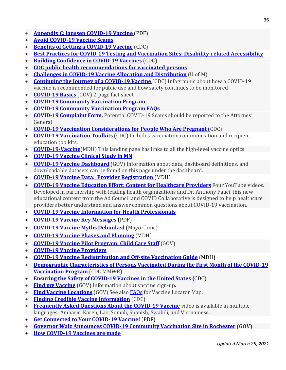- **[Appendix C: Janssen COVID-19 Vaccine](https://lnks.gd/l/eyJhbGciOiJIUzI1NiJ9.eyJidWxsZXRpbl9saW5rX2lkIjoxMjMsInVyaSI6ImJwMjpjbGljayIsImJ1bGxldGluX2lkIjoiMjAyMTAzMDMuMzYzMDE1NDEiLCJ1cmwiOiJodHRwczovL3d3dy5oZWFsdGguc3RhdGUubW4udXMvZGlzZWFzZXMvY29yb25hdmlydXMvdmFjY2luZS9ndWlkZWFwcGMucGRmIn0.qcxYiKev3ESj3ggDrEMRX6HSO6sabGFx8_5zJOKr3VM/s/862318511/br/99384025154-l)** (PDF)
- **[Avoid COVID-19 Vaccine Scams](https://oig.hhs.gov/coronavirus/vaccine-scams2020.pdf)**
- **[Benefits of Getting a COVID-19 Vaccine](https://www.cdc.gov/coronavirus/2019-ncov/vaccines/vaccine-benefits.html)** (CDC)
- **[Best Practices for COVID-19 Testing and Vaccination Sites: Disability-related Accessibility](https://lnks.gd/l/eyJhbGciOiJIUzI1NiJ9.eyJidWxsZXRpbl9saW5rX2lkIjoxMzYsInVyaSI6ImJwMjpjbGljayIsImJ1bGxldGluX2lkIjoiMjAyMTAyMTAuMzUwMDg2NzEiLCJ1cmwiOiJodHRwczovL3d3dy5oZWFsdGguc3RhdGUubW4udXMvY29tbXVuaXRpZXMvZXF1aXR5L2Fib3V0L2MxOXRlc3RpbmcuaHRtbCJ9.wGvh2eXtD0Jml-Bwc-c9R8gekWSVcFLbFiiVrZmyBmE/s/862318511/br/97356835959-l)**
- **[Building Confidence in COVID-19 Vaccines](https://www.cdc.gov/vaccines/covid-19/vaccinate-with-confidence.html)** (CDC)
- **[CDC public health recommendations for vaccinated persons](https://lnks.gd/l/eyJhbGciOiJIUzI1NiJ9.eyJidWxsZXRpbl9saW5rX2lkIjoxMTksInVyaSI6ImJwMjpjbGljayIsImJ1bGxldGluX2lkIjoiMjAyMTAyMTguMzU0OTA5ODEiLCJ1cmwiOiJodHRwczovL3d3dy5jZGMuZ292L3ZhY2NpbmVzL2NvdmlkLTE5L2luZm8tYnktcHJvZHVjdC9jbGluaWNhbC1jb25zaWRlcmF0aW9ucy5odG1sI3BocmVjcyJ9.TamTjcfKyrOhV40V51HwhVtl--myXQ2bP_Nuo2z7qhs/s/862318511/br/97838333105-l)**
- **[Challenges in COVID-19 Vaccine Allocation and Distribution](https://www.youtube.com/watch?v=DsqgCYyzg5Q&feature=youtu.be)** (U of M)
- **[Continuing the Journey of a COVID-19 Vaccine](https://www.cdc.gov/vaccines/covid-19/downloads/journey-of-covid-19-vaccine-508.pdf)** (CDC) Infographic about how a COVID-19 vaccine is recommended for public use and how safety continues to be monitored
- **[COVID-19 Basics](https://www.health.state.mn.us/diseases/coronavirus/vaccine/basicsfs.pdf)** (GOV) 2-page fact sheet
- **[COVID-19 Community Vaccination Program](https://mn.gov/covid19/vaccine/find-vaccine/community-vaccination-program/faq.jsp)**
- **[COVID-19 Community Vaccination Program FAQs](https://mn.gov/covid19/vaccine/find-vaccine/community-vaccination-program/faq.jsp)**
- **[COVID-19 Complaint Form.](https://www.ag.state.mn.us/Office/Forms/COVID19Complaint.asp)** Potential COVID-19 Scams should be reported to the Attorney General
- **[COVID-19 Vaccination Considerations for People Who Are Pregnant](https://www.cdc.gov/coronavirus/2019-ncov/vaccines/recommendations/pregnancy.html)** (CDC)
- **[COVID-19 Vaccination Toolkits](https://www.cdc.gov/vaccines/covid-19/toolkits/index.html)** (CDC) Includes vaccination communication and recipient education toolkits.
- **[COVID-19-Vaccine](https://www.health.state.mn.us/diseases/coronavirus/vaccine.html)**(MDH) This landing page has links to all the high-level vaccine optics.
- **[COVID-19 Vaccine Clinical Study in MN](https://www.healthpartners.com/covid-19/covid-19-vaccine-study/)**
- **[COVID-19 Vaccine Dashboard](https://mn.gov/covid19/vaccine/data/index.jsp)** (GOV) Information about data, dashboard definitions, and downloadable datasets can be found on this page under the dashboard.
- **[COVID-19 Vaccine Data: Provider Registration](https://www.health.state.mn.us/diseases/coronavirus/vaccine/stats/provider.html)** (MDH)
- **[COVID-19 Vaccine Education Effort: Content for Healthcare Providers](https://www.youtube.com/playlist?list=PLdSSKSOSBh4mcQbLK0NnLo8iP5TNqUCOf)** Four YouTube videos. Developed in partnership with leading health organizations and Dr. Anthony Fauci, this new educational content from the Ad Council and COVID Collaborative is designed to help healthcare providers better understand and answer common questions about COVID-19 vaccination.
- **[COVID-19 Vaccine Information for Health Professionals](https://www.health.state.mn.us/diseases/coronavirus/hcp/vaccine.html)**
- **[COVID-19 Vaccine Key Messages](https://lnks.gd/l/eyJhbGciOiJIUzI1NiJ9.eyJidWxsZXRpbl9saW5rX2lkIjoxMTcsInVyaSI6ImJwMjpjbGljayIsImJ1bGxldGluX2lkIjoiMjAyMTAxMjcuMzQwODAzNzEiLCJ1cmwiOiJodHRwczovL3d3dy5oZWFsdGguc3RhdGUubW4udXMvZGlzZWFzZXMvY29yb25hdmlydXMvdmFjY2luZS92YXhrZXltZXNzYWdlcy5wZGYifQ.1XFkrDR2nxPq5SIVWOBZmuUCCE81JB1LdW4vGR98-wE/s/862318511/br/93790331118-l)** (PDF)
- **[COVID-19 Vaccine Myths Debunked](https://newsnetwork.mayoclinic.org/discussion/covid-19-vaccine-myths-debunked/)** (Mayo Clinic)
- **[COVID-19 Vaccine Phases and Planning](https://www.health.state.mn.us/diseases/coronavirus/vaccine/plan.html)** (MDH)
- **[COVID-19 Vaccine Pilot Program: Child Care Staff](https://education.mn.gov/mdeprod/idcplg?IdcService=GET_FILE&dDocName=prod034648&RevisionSelectionMethod=latestReleased&Rendition=primary)** (GOV)
- **[COVID-19 Vaccine Providers](https://lnks.gd/l/eyJhbGciOiJIUzI1NiJ9.eyJidWxsZXRpbl9saW5rX2lkIjoxMjgsInVyaSI6ImJwMjpjbGljayIsImJ1bGxldGluX2lkIjoiMjAyMTAzMDMuMzYzMDE1NDEiLCJ1cmwiOiJodHRwczovL3d3dy5oZWFsdGguc3RhdGUubW4udXMvZGlzZWFzZXMvY29yb25hdmlydXMvdmFjY2luZS9wcm92aWRlci5odG1sIn0.3EhLHhN4XWog5TDO08gL-xRIqbo3Cxd9Vr9NS4rX0cs/s/862318511/br/99384025154-l)**
- **[COVID-19 Vaccine Redistribution and Off-site Vaccination Guide](https://www.health.state.mn.us/diseases/coronavirus/vaccine/vaxredistribution.pdf)** (MDH)
- **[Demographic Characteristics of Persons Vaccinated During the First Month of the COVID-19](https://www.cdc.gov/mmwr/volumes/70/wr/mm7005e1.htm?s_cid=mm7005e1_w)  [Vaccination Program](https://www.cdc.gov/mmwr/volumes/70/wr/mm7005e1.htm?s_cid=mm7005e1_w)** (CDC MMWR)
- **[Ensuring the Safety of COVID-19 Vaccines in the United States \(](https://www.cdc.gov/coronavirus/2019-ncov/vaccines/safety.html)**CDC)
- **[Find my Vaccine](https://mn.gov/covid19/vaccine/find-vaccine/index.jsp)** (GOV) Information about vaccine sign-up**.**
- **[Find Vaccine Locations](https://mn.gov/covid19/vaccine/find-vaccine/locations/index.jsp)** (GOV) See also [FAQs](https://mn.gov/covid19/vaccine/find-vaccine/community-vaccination-program/faq.jsp) for Vaccine Locator Map.
- **[Finding Credible Vaccine Information](https://www.cdc.gov/vaccines/vac-gen/evalwebs.htm)** (CDC)
- **[Frequently Asked Questions About the COVID-19 Vaccine](https://www.health.state.mn.us/diseases/coronavirus/materials/videos.html#protect)** video is available in multiple languages: Amharic, Karen, Lao, Somali, Spanish, Swahili, and Vietnamese.
- **[Get Connected to Your COVID-19 Vaccine!](https://lnks.gd/l/eyJhbGciOiJIUzI1NiJ9.eyJidWxsZXRpbl9saW5rX2lkIjoxMjYsInVyaSI6ImJwMjpjbGljayIsImJ1bGxldGluX2lkIjoiMjAyMTAyMjQuMzU4ODQ2ODEiLCJ1cmwiOiJodHRwczovL3d3dy5oZWFsdGguc3RhdGUubW4udXMvZGlzZWFzZXMvY29yb25hdmlydXMvdmFjY2luZS9jb25uZWN0LnBkZiJ9.UPjeTJVNe0zX5iuNaoBw_F-4BYT91qqIpp145ByV76I/s/862318511/br/98303970767-l)** (PDF)
- **[Governor Walz Announces COVID-19 Community Vaccination Site in Rochester](https://mn.gov/governor/news/#/detail/appId/1/id/467579) (GOV)**
- **[How COVID-19 Vaccines are made](https://www.health.state.mn.us/diseases/coronavirus/vaxprocess.pdf)**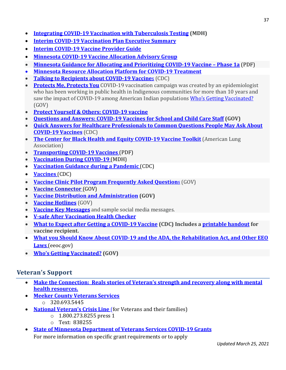- **[Integrating COVID-19 Vaccination with Tuberculosis Testing](https://www.health.state.mn.us/diseases/tb/rules/cv19tb.pdf) (MDH)**
- **[Interim COVID-19 Vaccination Plan Executive Summary](https://www.health.state.mn.us/diseases/coronavirus/vaxplansumm.html)**
- **[Interim COVID-19 Vaccine Provider Guide](https://www.health.state.mn.us/diseases/coronavirus/vaccine/guide.pdf)**
- **[Minnesota COVID-19 Vaccine Allocation Advisory Group](https://lnks.gd/l/eyJhbGciOiJIUzI1NiJ9.eyJidWxsZXRpbl9saW5rX2lkIjoxMzksInVyaSI6ImJwMjpjbGljayIsImJ1bGxldGluX2lkIjoiMjAyMTAyMTAuMzUwMDg2NzEiLCJ1cmwiOiJodHRwczovL3d3dy5oZWFsdGguc3RhdGUubW4udXMvZGlzZWFzZXMvY29yb25hdmlydXMvdmFjY2luZS9hZHZpc29yeS5odG1sIn0.FaNNGfgp4HnkQIrpQOafSkRs66JaTLGseG_uxHgpENs/s/862318511/br/97356835959-l)**
- **[Minnesota Guidance for Allocating and Prioritizing COVID-19 Vaccine –](https://lnks.gd/l/eyJhbGciOiJIUzI1NiJ9.eyJidWxsZXRpbl9saW5rX2lkIjoxMjYsInVyaSI6ImJwMjpjbGljayIsImJ1bGxldGluX2lkIjoiMjAyMTAxMTQuMzMyNjczMDEiLCJ1cmwiOiJodHRwczovL3d3dy5oZWFsdGguc3RhdGUubW4udXMvZGlzZWFzZXMvY29yb25hdmlydXMvdmFjY2luZS9waGFzZTFhZ3VpZGUucGRmIn0.kNDnBD7I0ee3fsNEfVNSnkSi1HmCsVIlmXhR_QEOhxI/s/862318511/br/93079451911-l) Phase 1a** (PDF)
- **[Minnesota Resource Allocation Platform for COVID-19 Treatment](https://lnks.gd/l/eyJhbGciOiJIUzI1NiJ9.eyJidWxsZXRpbl9saW5rX2lkIjoxMzksInVyaSI6ImJwMjpjbGljayIsImJ1bGxldGluX2lkIjoiMjAyMTAzMDMuMzYzMDE1NDEiLCJ1cmwiOiJodHRwczovL3d3dy5oZWFsdGguc3RhdGUubW4udXMvZGlzZWFzZXMvY29yb25hdmlydXMvbW5yYXAuaHRtbCJ9.qUWxdPGdC5vClONYKnxNYQpzT1lloDP8ZBXehEvtbBc/s/862318511/br/99384025154-l)**
- **[Talking to Recipients about COVID-19 Vaccine](https://www.cdc.gov/vaccines/covid-19/hcp/index.html?CDC_AA_refVal=https%3A%2F%2Fwww.cdc.gov%2Fvaccines%2Fcovid-19%2Fhcp%2Ftalking-to-patients.html)s** (CDC)
- **[Protects Me, Protects You](https://www.protectsmeprotectsyou.org/)** COVID-19 vaccination campaign was created by an epidemiologist who has been working in public health in Indigenous communities for more than 10 years and saw the impact of COVID-19 among American Indian populations [Who's Getting Vaccinated?](https://mn.gov/covid19/vaccine/whos-getting-vaccinated/index.jsp) (GOV)
- **[Protect Yourself & Others: COVID-19 vaccine](https://lnks.gd/l/eyJhbGciOiJIUzI1NiJ9.eyJidWxsZXRpbl9saW5rX2lkIjoxMjUsInVyaSI6ImJwMjpjbGljayIsImJ1bGxldGluX2lkIjoiMjAyMTAxMTQuMzMyNjczMDEiLCJ1cmwiOiJodHRwczovL3d3dy5oZWFsdGguc3RhdGUubW4udXMvZGlzZWFzZXMvY29yb25hdmlydXMvcHJldmVudGlvbi5odG1sI3ZheCJ9.WaldNjoTXQgYVJminaRPyMY_tHsNcFK8iwS1ff7icVM/s/862318511/br/93079451911-l)**
- **[Questions and Answers: COVID-19 Vaccines for School and Child Care Staff](https://mn.gov/covid19/vaccine/find-vaccine/school-and-child-care-staff-faq.jsp) (GOV)**
- **[Quick Answers for Healthcare Professionals to Common Questions People May Ask About](https://www.cdc.gov/vaccines/covid-19/downloads/healthcare-professionals-vaccine-quick-answers.pdf)  [COVID-19 Vaccines](https://www.cdc.gov/vaccines/covid-19/downloads/healthcare-professionals-vaccine-quick-answers.pdf)** (CDC)
- **[The Center for Black Health and Equity COVID-19 Vaccine Toolkit](https://www.lung.org/lung-health-diseases/lung-disease-lookup/covid-19/action-initiative/vaccine-toolkit)** (American Lung Association)
- **[Transporting COVID-19 Vaccines](https://lnks.gd/l/eyJhbGciOiJIUzI1NiJ9.eyJidWxsZXRpbl9saW5rX2lkIjoxMjIsInVyaSI6ImJwMjpjbGljayIsImJ1bGxldGluX2lkIjoiMjAyMTAzMDMuMzYzMDE1NDEiLCJ1cmwiOiJodHRwczovL3d3dy5oZWFsdGguc3RhdGUubW4udXMvZGlzZWFzZXMvY29yb25hdmlydXMvdmFjY2luZS90cmFuc3BvcnQucGRmIn0.adqSMNQMOfMrP9CiMkT4vwX2Zg69wWi9c9w_j1TfDOc/s/862318511/br/99384025154-l)** (PDF)
- **Vaccination During COVID-19** (MDH)
- **[Vaccination Guidance during a Pandemic](https://www.cdc.gov/vaccines/pandemic-guidance/index.html)** (CDC)
- **[Vaccines](https://www.cdc.gov/coronavirus/2019-ncov/vaccines/index.html)** (CDC)
- **[Vaccine Clinic Pilot Program Frequently Asked Question](https://mn.gov/covid19/vaccine/find-vaccine/faq.jsp)**s (GOV)
- **[Vaccine Connector](https://lnks.gd/l/eyJhbGciOiJIUzI1NiJ9.eyJidWxsZXRpbl9saW5rX2lkIjoxMDMsInVyaSI6ImJwMjpjbGljayIsImJ1bGxldGluX2lkIjoiMjAyMTAyMTguMzU0OTA5ODEiLCJ1cmwiOiJodHRwczovL21uLmdvdi9jb3ZpZDE5L3ZhY2NpbmUvY29ubmVjdG9yLyJ9.2S83zcGuFeN7cKHQ9kUdcTpoazo56maA0hgkdeRhK80/s/862318511/br/97838333105-l)** (GOV)
- **[Vaccine Distribution and Administration](https://lnks.gd/l/eyJhbGciOiJIUzI1NiJ9.eyJidWxsZXRpbl9saW5rX2lkIjoxMDMsInVyaSI6ImJwMjpjbGljayIsImJ1bGxldGluX2lkIjoiMjAyMTAyMTguMzU0OTA5ODEiLCJ1cmwiOiJodHRwczovL21uLmdvdi9jb3ZpZDE5L3ZhY2NpbmUvY29ubmVjdG9yLyJ9.2S83zcGuFeN7cKHQ9kUdcTpoazo56maA0hgkdeRhK80/s/862318511/br/97838333105-l) (GOV)**
- **[Vaccine Hotlines](https://mn.gov/covid19/vaccine/find-vaccine/hotlines/index.jsp)** (GOV)
- **[Vaccine Key Messages](https://www.health.state.mn.us/diseases/coronavirus/vaccine/vaxkeymessages.pdf)** and sample social media messages.
- **[V-safe After Vaccination Health Checker](https://www.cdc.gov/coronavirus/2019-ncov/vaccines/safety/vsafe.html)**
- **[What to Expect after Getting a COVID-19 Vaccine](https://www.cdc.gov/coronavirus/2019-ncov/vaccines/expect/after.html) (CDC) Includes a [printable handout](https://www.cdc.gov/coronavirus/2019-ncov/vaccines/pdfs/321466-A_FS_What_Expect_COVID-19_Vax_Final_12.13.20.pdf) for vaccine recipient.**
- **[What you Should Know About COVID-19 and the ADA, the Rehabilitation Act, and Other EEO](https://www.eeoc.gov/wysk/what-you-should-know-about-covid-19-and-ada-rehabilitation-act-and-other-eeo-laws)  Laws** [\(eeoc.gov\)](https://www.eeoc.gov/wysk/what-you-should-know-about-covid-19-and-ada-rehabilitation-act-and-other-eeo-laws)
- **[Who's Getting Vaccinated?](https://mn.gov/covid19/vaccine/whos-getting-vaccinated/index.jsp) (GOV)**

## **Veteran's Support**

- **[Make the Connection: Reals stories of Veteran's strength and recovery along with mental](https://maketheconnection.net/)  [health resources.](https://maketheconnection.net/)**
- **[Meeker County Veterans Services](https://www.co.meeker.mn.us/198/Veterans-Service)**
	- $\circ$  320.693.5445
- **[National Veteran's Crisis Line](https://www.veteranscrisisline.net/COVID-19%20Vaccine%20Data)** (for Veterans and their families)
	- o 1.800.273.8255 press 1
	- o Text: 838255
- **[State of Minnesota Department of Veterans Services COVID-19 Grants](https://www.co.meeker.mn.us/613/Veterans)** For more information on specific grant requirements or to apply